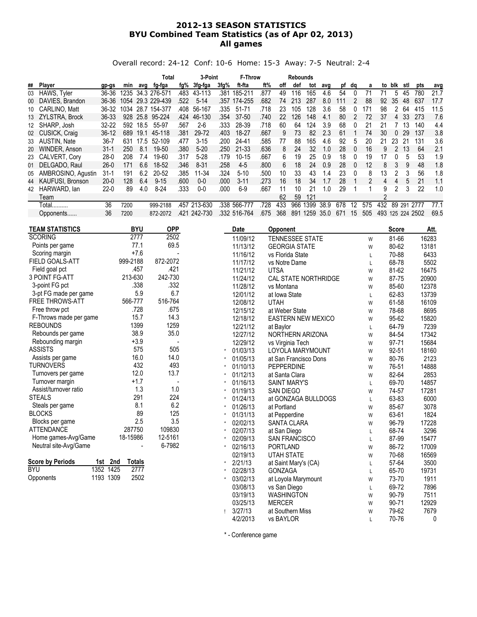## 2012-13 SEASON STATISTICS BYU Combined Team Statistics (as of Apr 02, 2013) All games

Overall record: 24-12 Conf: 10-6 Home: 15-3 Away: 7-5 Neutral: 2-4

|    |                     |           |      |      | Total        |      | 3-Point  |      | <b>F-Throw</b> |      |     | <b>Rebounds</b> |      |      |     |          |     |     |        |     |      |      |
|----|---------------------|-----------|------|------|--------------|------|----------|------|----------------|------|-----|-----------------|------|------|-----|----------|-----|-----|--------|-----|------|------|
| ## | Player              | gp-gs     | min  | avg  | fg-fga       | fg%  | 3fg fga  | 3fg% | ft-fta         | ft%  | off | def             | tot  | avg  |     | pt dq    | a   |     | to blk | stl | pts  | avg  |
| 03 | HAWS, Tyler         | 36-36     | 1235 |      | 34.3 276-571 | .483 | 43-113   | .381 | 185-211        | .877 | 49  | 116             | 165  | 4.6  | 54  |          | 71  |     | 5      | 45  | 780  | 21.7 |
| 00 | DAVIES, Brandon     | 36-36     | 1054 |      | 29.3 229-439 | .522 | $5-14$   |      | .357 174-255   | .682 | 74  | 213             | 287  | 8.0  | 111 |          | 88  | 92  | 35     | 48  | 637  | 17.7 |
|    | 10 CARLINO, Matt    | 36-32     | 1034 | 28.7 | 154-377      | .408 | 56-167   | .335 | $51 - 71$      | .718 | 23  | 105             | 128  | 3.6  | 58  |          | 171 | 98  | 2      | 64  | 415  | 11.5 |
|    | 13 ZYLSTRA, Brock   | 36-33     | 928  | 25.8 | 95-224       | .424 | 46-130   | .354 | $37 - 50$      | .740 | 22  | 126             | 148  | 4.1  | 80  |          | 72  | 37  | 4      | 33  | 273  | 7.6  |
|    | 12 SHARP, Josh      | $32 - 22$ | 592  | 18.5 | 55-97        | .567 | $2 - 6$  | .333 | 28-39          | .718 | 60  | 64              | 124  | 3.9  | 68  |          | 21  | 21  |        | 13  | 140  | 4.4  |
|    | 02 CUSICK, Craig    | $36-12$   | 689  | 19.1 | 45-118       | .381 | 29-72    | .403 | 18-27          | .667 | 9   | 73              | 82   | 2.3  | 61  |          | 74  | 30  | 0      | 29  | 137  | 3.8  |
|    | 33 AUSTIN, Nate     | 36-7      | 631  | 17.5 | 52-109       | .477 | $3 - 15$ | .200 | 24-41          | .585 | 77  | 88              | 165  | 4.6  | 92  | h        | 20  | 21  | 23     | 21  | 131  | 3.6  |
| 20 | WINDER, Anson       | $31 - 1$  | 250  | 8.1  | 19-50        | .380 | $5-20$   | .250 | 21-33          | .636 | 8   | 24              | 32   | 1.0  | 28  |          | 16  | 9   |        | 13  | 64   | 2.1  |
|    | 23 CALVERT, Cory    | $28-0$    | 208  | 7.4  | 19-60        | .317 | $5 - 28$ | .179 | $10 - 15$      | .667 | 6.  | 19              | 25   | 0.9  | 18  |          | 19  | 17  |        | 5   | 53   | 1.9  |
|    | 01 DELGADO, Raul    | $26-0$    | 171  | 6.6  | 18-52        | .346 | $8 - 31$ | .258 | $4-5$          | .800 | 6   | 18              | 24   | 0.9  | 28  | - 0      | 12  | 8   | 3      | 9   | 48   | 1.8  |
| 05 | AMBROSINO, Agustin  | 31-1      | 191  | 6.2  | 20-52        | .385 | 11-34    | .324 | $5-10$         | .500 | 10  | 33              | 43   | 1.4  | 23  | $\Omega$ | 8   | 13  |        | 3   | 56   | 1.8  |
|    | 44 KAUFUSI, Bronson | $20-0$    | 128  | 6.4  | $9 - 15$     | .600 | $0 - 0$  | .000 | $3 - 11$       | .273 | 16  | 18              | 34   | 1.7  | 28  |          | 2   | 4   |        |     | 21   | 1.1  |
|    | 42 HARWARD, lan     | $22-0$    | 89   | 4.0  | $8-24$       | .333 | $0 - 0$  | .000 | $6-9$          | .667 | 11  | 10              | 21   | 1.0  | 29  |          |     | 9   |        | 3   | 22   | 1.0  |
|    | Team                |           |      |      |              |      |          |      |                |      | 62  | 59              | 121  |      |     |          |     | 2   |        |     |      |      |
|    | Total               | 36        | 7200 |      | 999-2188     | .457 | 213-630  | .338 | 566-777        | 728  | 433 | 966             | 1399 | 38.9 | 678 | 12       | 575 | 432 | 89     | 291 | 2777 | 77.1 |
|    | Opponents           | 36        | 7200 |      | 872-2072     | 421  | 242-730  |      | .332 516-764   | .675 | 368 | 891             | 1259 | 35.0 | 671 | 15       | 505 | 493 | 125    | 224 | 2502 | 69.5 |

| <b>TEAM STATISTICS</b>  |              | <b>BYU</b>    | <b>OPP</b> | Date     | Opponent                  |   | <b>Score</b> | Att.  |
|-------------------------|--------------|---------------|------------|----------|---------------------------|---|--------------|-------|
| <b>SCORING</b>          |              | 2777          | 2502       | 11/09/12 | TENNESSEE STATE           | W | 81-66        | 16283 |
| Points per game         |              | 77.1          | 69.5       | 11/13/12 | <b>GEORGIA STATE</b>      | W | 80-62        | 13181 |
| Scoring margin          |              | $+7.6$        |            | 11/16/12 | vs Florida State          | L | 70-88        | 6433  |
| <b>FIELD GOALS-ATT</b>  |              | 999-2188      | 872-2072   | 11/17/12 | vs Notre Dame             | L | 68-78        | 5502  |
| Field goal pct          |              | .457          | .421       | 11/21/12 | <b>UTSA</b>               | W | 81-62        | 16475 |
| <b>3 POINT FG-ATT</b>   |              | 213-630       | 242-730    | 11/24/12 | CAL STATE NORTHRIDGE      | W | 87-75        | 20900 |
| 3-point FG pct          |              | .338          | .332       | 11/28/12 | vs Montana                | W | 85-60        | 12378 |
| 3-pt FG made per game   |              | 5.9           | 6.7        | 12/01/12 | at Iowa State             | L | 62-83        | 13739 |
| <b>FREE THROWS-ATT</b>  |              | 566-777       | 516-764    | 12/08/12 | <b>UTAH</b>               | W | 61-58        | 16109 |
| Free throw pct          |              | .728          | .675       | 12/15/12 | at Weber State            | W | 78-68        | 8695  |
| F-Throws made per game  |              | 15.7          | 14.3       | 12/18/12 | <b>EASTERN NEW MEXICO</b> | W | 95-62        | 15820 |
| <b>REBOUNDS</b>         |              | 1399          | 1259       | 12/21/12 | at Baylor                 | Г | 64-79        | 7239  |
| Rebounds per game       |              | 38.9          | 35.0       | 12/27/12 | NORTHERN ARIZONA          | W | 84-54        | 17342 |
| Rebounding margin       |              | $+3.9$        |            | 12/29/12 | vs Virginia Tech          | W | 97-71        | 15684 |
| <b>ASSISTS</b>          |              | 575           | 505        | 01/03/13 | LOYOLA MARYMOUNT          | W | 92-51        | 18160 |
| Assists per game        |              | 16.0          | 14.0       | 01/05/13 | at San Francisco Dons     | W | 80-76        | 2123  |
| <b>TURNOVERS</b>        |              | 432           | 493        | 01/10/13 | PEPPERDINE                | W | 76-51        | 14888 |
| Turnovers per game      |              | 12.0          | 13.7       | 01/12/13 | at Santa Clara            | W | 82-64        | 2853  |
| Turnover margin         |              | $+1.7$        |            | 01/16/13 | <b>SAINT MARY'S</b>       | Г | 69-70        | 14857 |
| Assist/turnover ratio   |              | 1.3           | 1.0        | 01/19/13 | <b>SAN DIEGO</b>          | W | 74-57        | 17281 |
| <b>STEALS</b>           |              | 291           | 224        | 01/24/13 | at GONZAGA BULLDOGS       | L | 63-83        | 6000  |
| Steals per game         |              | 8.1           | 6.2        | 01/26/13 | at Portland               | W | 85-67        | 3078  |
| <b>BLOCKS</b>           |              | 89            | 125        | 01/31/13 | at Pepperdine             | W | 63-61        | 1824  |
| Blocks per game         |              | 2.5           | 3.5        | 02/02/13 | <b>SANTA CLARA</b>        | W | 96-79        | 17228 |
| <b>ATTENDANCE</b>       |              | 287750        | 109830     | 02/07/13 | at San Diego              | L | 68-74        | 3296  |
| Home games-Avg/Game     |              | 18-15986      | 12-5161    | 02/09/13 | <b>SAN FRANCISCO</b>      | L | 87-99        | 15477 |
| Neutral site-Avg/Game   |              |               | 6-7982     | 02/16/13 | <b>PORTLAND</b>           | W | 86-72        | 17009 |
|                         |              |               |            | 02/19/13 | <b>UTAH STATE</b>         | W | 70-68        | 16569 |
| <b>Score by Periods</b> | 1st 2nd      | <b>Totals</b> |            | 2/21/13  | at Saint Mary's (CA)      | L | 57-64        | 3500  |
| <b>BYU</b>              | 1425<br>1352 | 2777          |            | 02/28/13 | <b>GONZAGA</b>            | L | 65-70        | 19731 |
| Opponents               | 1193 1309    | 2502          |            | 03/02/13 | at Loyola Marymount       | W | 73-70        | 1911  |
|                         |              |               |            | 03/08/13 | vs San Diego              | L | 69-72        | 7896  |
|                         |              |               |            | 03/19/13 | WASHINGTON                | W | 90-79        | 7511  |
|                         |              |               |            | 03/25/13 | <b>MERCER</b>             | W | 90-71        | 12929 |
|                         |              |               |            | 3/27/13  | at Southern Miss          | W | 79-62        | 7679  |

\* - Conference game

4/2/2013 vs BAYLOR L 70-76 0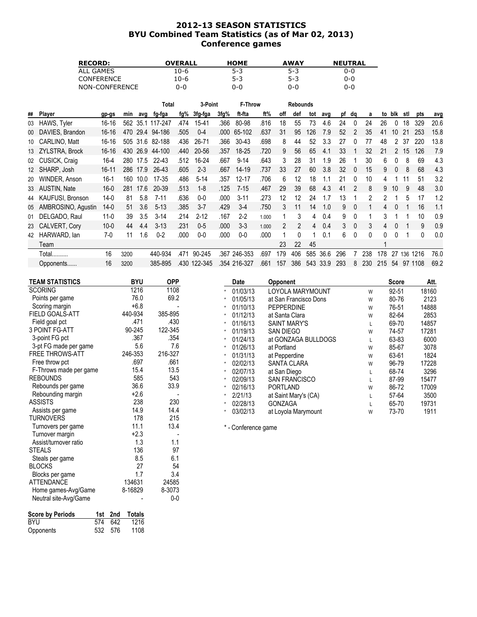### 2012-13 SEASON STATISTICS BYU Combined Team Statistics (as of Mar 02, 2013) Conference games

| <b>RECORD:</b>    | <b>OVERALL</b> | <b>HOME</b> | <b>AWAY</b> | <b>NEUTRAL</b> |
|-------------------|----------------|-------------|-------------|----------------|
| ALL GAMES         | 10-6           | $5 - 3$     | $5-3$       | 0-0            |
| <b>CONFERENCE</b> | 10-6           | $5 - 3$     | $5-3$       | $0 - 0$        |
| NON-CONFERENCE    | 0-0            | 0-0         | 0-0         | 0-0            |

|    |                     |           |      |          | Total            |      | 3-Point      |      | F-Throw      |       |     | <b>Rebounds</b> |     |      |     |                |     |     |     |     |          |      |
|----|---------------------|-----------|------|----------|------------------|------|--------------|------|--------------|-------|-----|-----------------|-----|------|-----|----------------|-----|-----|-----|-----|----------|------|
| ## | Player              | gp-gs     | min  | ava      | fg-fga           | fg%  | 3fg-fga      | 3fg% | ft-fta       | ft%   | off | def             | tot | avg  | рf  | dq             | a   | to  | blk | stl | pts      | avg  |
| 03 | HAWS, Tyler         | $16 - 16$ |      |          | 562 35.1 117-247 | .474 | 15-41        | .366 | 80-98        | .816  | 18  | 55              | 73  | 4.6  | 24  | 0              | 24  | 26  | 0   | 18  | 329      | 20.6 |
| 00 | DAVIES, Brandon     | $16-16$   | 470  |          | 29.4 94-186      | .505 | $0 - 4$      | .000 | 65-102       | .637  | 31  | 95              | 126 | 7.9  | 52  | $\mathcal{P}$  | 35  | 41  | 10  | 21  | 253      | 15.8 |
| 10 | CARLINO, Matt       | 16-16     |      | 505 31.6 | 82-188           | .436 | $26 - 71$    | .366 | 30-43        | .698  | 8   | 44              | 52  | 3.3  | 27  |                | 77  | 48  |     | 37  | 220      | 13.8 |
|    | 13 ZYLSTRA, Brock   | $16 - 16$ | 430  | 26.9     | 44-100           | .440 | 20-56        | .357 | 18-25        | .720  | 9   | 56              | 65  | 4.1  | 33  |                | 32  | 21  |     | 15  | 126      | 7.9  |
|    | 02 CUSICK, Craig    | $16 - 4$  | 280  | 17.5     | $22 - 43$        | .512 | 16-24        | .667 | $9 - 14$     | .643  | 3   | 28              | 31  | 1.9  | 26  |                | 30  | 6   |     | 8   | 69       | 4.3  |
|    | 12 SHARP, Josh      | $16 - 11$ | 286  | 17.9     | 26-43            | .605 | $2 - 3$      | .667 | $14 - 19$    | .737  | 33  | 27              | 60  | 3.8  | 32  | $\overline{0}$ | 15  | 9   |     | 8   | 68       | 4.3  |
| 20 | WINDER, Anson       | $16-1$    | 160  | 10.0     | 17-35            | .486 | $5-14$       | .357 | $12 - 17$    | .706  | 6   | 12              | 18  | 1.1  | 21  | 0              | 10  |     |     |     | 51       | 3.2  |
|    | 33 AUSTIN, Nate     | $16-0$    | 281  | 17.6     | 20-39            | .513 | $1 - 8$      | .125 | $7 - 15$     | .467  | 29  | 39              | 68  | 4.3  | 41  | 2              | 8   | 9   | 10  | 9   | 48       | 3.0  |
|    | 44 KAUFUSI, Bronson | $14-0$    | 81   | 5.8      | $7 - 11$         | .636 | $0-0$        | .000 | $3 - 11$     | .273  | 12  | 12              | 24  | 1.7  | 13  |                | 2   | 2   |     | 5   | 17       | 1.2  |
| 05 | AMBROSINO, Agustin  | 14-0      | 51   | 3.6      | $5 - 13$         | .385 | $3 - 7$      | .429 | $3-4$        | .750  | 3   | 11              | 14  | 1.0  | 9   | $\theta$       |     | 4   | 0   |     | 16       | 1.1  |
| 01 | DELGADO, Raul       | $11-0$    | 39   | 3.5      | $3 - 14$         | .214 | $2 - 12$     | .167 | $2 - 2$      | 1.000 |     | 3               | 4   | 0.4  | 9   | $\mathbf{0}$   |     | 3   |     |     | 10       | 0.9  |
| 23 | CALVERT, Cory       | $10 - 0$  | 44   | 4.4      | $3 - 13$         | .231 | $0-5$        | .000 | $3 - 3$      | 1.000 | 2   | $\mathcal{P}$   | 4   | 0.4  | 3   | $\mathbf{0}$   | 3   | 4   |     |     | 9        | 0.9  |
| 42 | HARWARD, lan        | $7-0$     | 11   | 1.6      | $0 - 2$          | .000 | $0-0$        | .000 | $0-0$        | .000  |     | 0               |     | 0.1  | 6.  | 0              | 0   |     |     |     | $\Omega$ | 0.0  |
|    | Team                |           |      |          |                  |      |              |      |              |       | 23  | 22              | 45  |      |     |                |     |     |     |     |          |      |
|    | Total               | 16        | 3200 |          | 440-934          | .471 | 90-245       | .367 | 246-353      | .697  | 179 | 406             | 585 | 36.6 | 296 |                | 238 | 178 | 27  | 136 | 1216     | 76.0 |
|    | Opponents           | 16        | 3200 |          | 385-895          |      | .430 122-345 |      | .354 216-327 | .661  | 157 | 386             | 543 | 33.9 | 293 | 8              | 230 | 215 | 54  | 97  | 1108     | 69.2 |

| TEAM STATISTICS        | <b>BYU</b> | <b>OPP</b> |         | Date                | <b>Opponent</b>       |   | Score | Att.  |
|------------------------|------------|------------|---------|---------------------|-----------------------|---|-------|-------|
| <b>SCORING</b>         | 1216       | 1108       |         | 01/03/13            | LOYOLA MARYMOUNT      | W | 92-51 | 18160 |
| Points per game        | 76.0       | 69.2       |         | 01/05/13            | at San Francisco Dons | W | 80-76 | 2123  |
| Scoring margin         | $+6.8$     |            | $\star$ | 01/10/13            | <b>PEPPERDINE</b>     | W | 76-51 | 14888 |
| FIELD GOALS-ATT        | 440-934    | 385-895    | $\star$ | 01/12/13            | at Santa Clara        | W | 82-64 | 2853  |
| Field goal pct         | .471       | .430       |         | 01/16/13            | <b>SAINT MARY'S</b>   | L | 69-70 | 14857 |
| 3 POINT FG-ATT         | 90-245     | 122-345    | $\star$ | 01/19/13            | SAN DIEGO             | W | 74-57 | 17281 |
| 3-point FG pct         | .367       | .354       | $\star$ | 01/24/13            | at GONZAGA BULLDOGS   |   | 63-83 | 6000  |
| 3-pt FG made per game  | 5.6        | 7.6        |         | 01/26/13            | at Portland           | W | 85-67 | 3078  |
| <b>FREE THROWS-ATT</b> | 246-353    | 216-327    | $\star$ | 01/31/13            | at Pepperdine         | W | 63-61 | 1824  |
| Free throw pct         | .697       | .661       | $\star$ | 02/02/13            | <b>SANTA CLARA</b>    | W | 96-79 | 17228 |
| F-Throws made per game | 15.4       | 13.5       |         | 02/07/13            | at San Diego          |   | 68-74 | 3296  |
| <b>REBOUNDS</b>        | 585        | 543        |         | 02/09/13            | <b>SAN FRANCISCO</b>  | L | 87-99 | 15477 |
| Rebounds per game      | 36.6       | 33.9       |         | 02/16/13            | <b>PORTLAND</b>       | W | 86-72 | 17009 |
| Rebounding margin      | $+2.6$     |            | $\star$ | 2/21/13             | at Saint Mary's (CA)  |   | 57-64 | 3500  |
| ASSISTS                | 238        | 230        |         | 02/28/13            | <b>GONZAGA</b>        | L | 65-70 | 19731 |
| Assists per game       | 14.9       | 14.4       |         | 03/02/13            | at Loyola Marymount   | W | 73-70 | 1911  |
| TURNOVERS              | 178        | 215        |         |                     |                       |   |       |       |
| Turnovers per game     | 11.1       | 13.4       |         | * - Conference game |                       |   |       |       |
| Turnover margin        | $+2.3$     |            |         |                     |                       |   |       |       |
| Assist/turnover ratio  | 1.3        | 1.1        |         |                     |                       |   |       |       |
| STEALS                 | 136        | 97         |         |                     |                       |   |       |       |

STEALS 97<br>Steals per game 6.1 between 136 97<br>8.5 6.1 Steals per game  $8.5$  6.1<br>BLOCKS 31 BLOCKS 54<br>Blocks per game 54<br>1.7 3.4 Blocks per game 1.7 3.4<br>
ATTENDANCE 134631 24585 ATTENDANCE 134631 24585<br>Home games-Avg/Game 8-16829 8-3073 Home games-Avg/Game 8-16829 8-3073<br>Neutral site-Avg/Game 6-00-0

Neutral site-Avg/Game

Score by Periods 1st 2nd Totals BYU 574 642 1216 Opponents 532 576 1108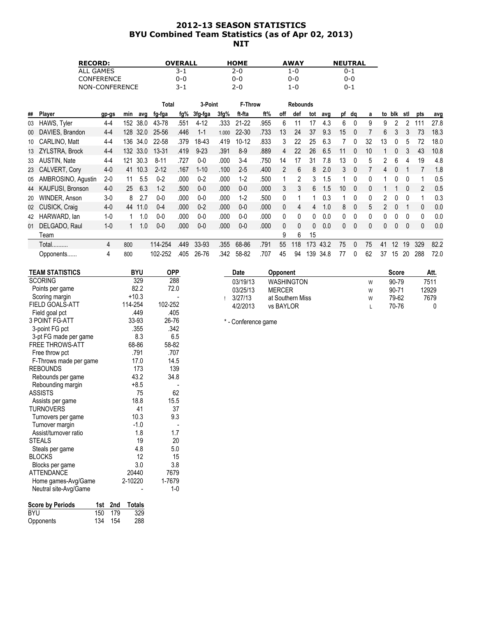# 2012-13 SEASON STATISTICS BYU Combined Team Statistics (as of Apr 02, 2013) NIT

| <b>RECORD:</b>    | <b>OVERALL</b> | <b>HOME</b> | <b>AWAY</b> | <b>NEUTRAL</b> |
|-------------------|----------------|-------------|-------------|----------------|
| ALL GAMES         | $3 - 1$        | 2-0         | 1-0         | 0-1            |
| <b>CONFERENCE</b> | 0-0            | 0-0         | 0-0         | 0-0            |
| NON-CONFERENCE    | $3 - 1$        | $2 - 0$     | 1-0         | 0-1            |

|    |                    |         |     |          | Total     |      | 3-Point  |       | F-Throw   |      |              | <b>Rebounds</b> |     |      |    |          |    |          |          |              |               |      |
|----|--------------------|---------|-----|----------|-----------|------|----------|-------|-----------|------|--------------|-----------------|-----|------|----|----------|----|----------|----------|--------------|---------------|------|
| ## | <b>Player</b>      | gp-gs   | min | avg      | fg-fga    | fg%  | 3fg-fga  | 3fg%  | ft fta    | ft%  | off          | def             | tot | avg  | рf | dq       | a  | to       | blk      | stl          | pts           | avg  |
| 03 | HAWS, Tyler        | $4 - 4$ | 152 | 38.0     | 43-78     | .551 | $4 - 12$ | .333  | $21 - 22$ | .955 | 6            |                 | 17  | 4.3  | 6  |          | 9  | 9        |          |              |               | 27.8 |
| 00 | DAVIES, Brandon    | $4 - 4$ | 128 | 32.0     | 25-56     | .446 | $1 - 1$  | 1.000 | 22-30     | .733 | 13           | 24              | 37  | 9.3  | 15 | $\Omega$ |    | 6        |          |              | 73            | 18.3 |
| 10 | CARLINO, Matt      | $4 - 4$ | 136 | 34.0     | 22-58     | .379 | 18-43    | .419  | $10 - 12$ | .833 | 3            | 22              | 25  | 6.3  |    |          | 32 | 13       |          | 5            | 72            | 18.0 |
|    | 13 ZYLSTRA, Brock  | $4 - 4$ |     | 132 33.0 | $13 - 31$ | .419 | $9 - 23$ | .391  | $8-9$     | .889 | 4            | 22              | 26  | 6.5  |    |          | 10 |          |          | 3            | 43            | 10.8 |
|    | 33 AUSTIN, Nate    | $4 - 4$ | 121 | 30.3     | $8 - 11$  | .727 | $0 - 0$  | .000  | $3-4$     | .750 | 14           | 17              | 31  | 7.8  | 13 |          | 5  | 2        | 6        | 4            | 19            | 4.8  |
|    | 23 CALVERT, Cory   | $4-0$   | 41  | 10.3     | $2 - 12$  | .167 | $1 - 10$ | .100  | $2 - 5$   | .400 | 2            | 6               | 8   | 2.0  | 3  | $\Omega$ |    | 4        |          |              |               | 1.8  |
| 05 | AMBROSINO, Agustin | $2 - 0$ | 11  | 5.5      | $0 - 2$   | .000 | $0 - 2$  | .000  | $1-2$     | .500 |              | 2               | 3   | 1.5  |    |          | 0  |          |          |              |               | 0.5  |
| 44 | KAUFUSI, Bronson   | $4-0$   | 25  | 6.3      | $1 - 2$   | .500 | $0-0$    | .000  | $0-0$     | .000 | 3            | 3               | 6   | 1.5  | 10 | $\Omega$ | 0  |          |          | $\Omega$     | $\mathcal{P}$ | 0.5  |
| 20 | WINDER, Anson      | $3-0$   | 8   | 2.7      | $0-0$     | .000 | $0-0$    | .000  | $1-2$     | .500 | 0            |                 |     | 0.3  |    |          | 0  |          |          | 0            |               | 0.3  |
|    | 02 CUSICK, Craig   | $4-0$   | 44  | 11.0     | $0 - 4$   | .000 | $0 - 2$  | .000  | $0 - 0$   | .000 | $\mathbf{0}$ | 4               | 4   | 1.0  | 8  | $\Omega$ | 5  |          |          |              | 0             | 0.0  |
| 42 | HARWARD, lan       | $1 - 0$ |     | 1.0      | $0 - 0$   | .000 | $0 - 0$  | .000  | $0 - 0$   | .000 | 0            | 0               | 0   | 0.0  | 0  | $\Omega$ | 0  | 0        |          | $\Omega$     | 0             | 0.0  |
| 01 | DELGADO, Raul      | $1 - 0$ |     | 1.0      | $0-0$     | .000 | $0 - 0$  | .000  | $0-0$     | .000 | 0            | 0               | 0   | 0.0  | 0  | $\bf{0}$ | 0  | $\Omega$ | $\Omega$ | $\mathbf{0}$ | 0             | 0.0  |
|    | ⊺eam               |         |     |          |           |      |          |       |           |      | 9            | 6               | 15  |      |    |          |    |          |          |              |               |      |
|    | Total              | 4       | 800 |          | 114-254   | .449 | 33-93    | .355  | 68-86     | .791 | 55           | 118             | 173 | 43.2 | 75 | $\Omega$ | 75 | 41       | 12       | 19           | 329           | 82.2 |
|    | Opponents          | 4       | 800 |          | 102-252   | .405 | 26-76    | .342  | 58-82     | .707 | 45           | 94              | 139 | 34.8 | 77 | $\Omega$ | 62 | 37       | 15       | 20           | 288           | 72.0 |

| <b>TEAM STATISTICS</b>         | <b>BYU</b>           | <b>OPP</b> | Date                    | <b>Opponent</b>   |   | <b>Score</b> | Att.  |
|--------------------------------|----------------------|------------|-------------------------|-------------------|---|--------------|-------|
| <b>SCORING</b>                 | 329                  | 288        | 03/19/13                | <b>WASHINGTON</b> | W | 90-79        | 7511  |
| Points per game                | 82.2                 | 72.0       | 03/25/13                | <b>MERCER</b>     | W | 90-71        | 12929 |
| Scoring margin                 | $+10.3$              |            | 3/27/13<br>$\mathbf{I}$ | at Southern Miss  | W | 79-62        | 7679  |
| FIELD GOALS-ATT                | 114-254              | 102-252    | 4/2/2013                | vs BAYLOR         | L | 70-76        | 0     |
| Field goal pct                 | .449                 | .405       |                         |                   |   |              |       |
| 3 POINT FG-ATT                 | 33-93                | 26-76      | * - Conference game     |                   |   |              |       |
| 3-point FG pct                 | .355                 | .342       |                         |                   |   |              |       |
| 3-pt FG made per game          | 8.3                  | 6.5        |                         |                   |   |              |       |
| <b>FREE THROWS-ATT</b>         | 68-86                | 58-82      |                         |                   |   |              |       |
| Free throw pct                 | .791                 | .707       |                         |                   |   |              |       |
| F-Throws made per game         | 17.0                 | 14.5       |                         |                   |   |              |       |
| <b>REBOUNDS</b>                | 173                  | 139        |                         |                   |   |              |       |
| Rebounds per game              | 43.2                 | 34.8       |                         |                   |   |              |       |
| Rebounding margin              | $+8.5$               |            |                         |                   |   |              |       |
| <b>ASSISTS</b>                 | 75                   | 62         |                         |                   |   |              |       |
| Assists per game               | 18.8                 | 15.5       |                         |                   |   |              |       |
| <b>TURNOVERS</b>               | 41                   | 37         |                         |                   |   |              |       |
| Turnovers per game             | 10.3                 | 9.3        |                         |                   |   |              |       |
| Turnover margin                | $-1.0$               |            |                         |                   |   |              |       |
| Assist/turnover ratio          | 1.8                  | 1.7        |                         |                   |   |              |       |
| <b>STEALS</b>                  | 19                   | 20         |                         |                   |   |              |       |
| Steals per game                | 4.8                  | 5.0        |                         |                   |   |              |       |
| <b>BLOCKS</b>                  | 12                   | 15         |                         |                   |   |              |       |
| Blocks per game                | 3.0                  | 3.8        |                         |                   |   |              |       |
| <b>ATTENDANCE</b>              | 20440                | 7679       |                         |                   |   |              |       |
| Home games-Avg/Game            | 2-10220              | 1-7679     |                         |                   |   |              |       |
| Neutral site-Avg/Game          |                      | $1 - 0$    |                         |                   |   |              |       |
| <b>Score by Periods</b><br>1st | <b>Totals</b><br>2nd |            |                         |                   |   |              |       |
| <b>BYU</b><br>150              | 329<br>179           |            |                         |                   |   |              |       |
| 134<br>Opponents               | 288<br>154           |            |                         |                   |   |              |       |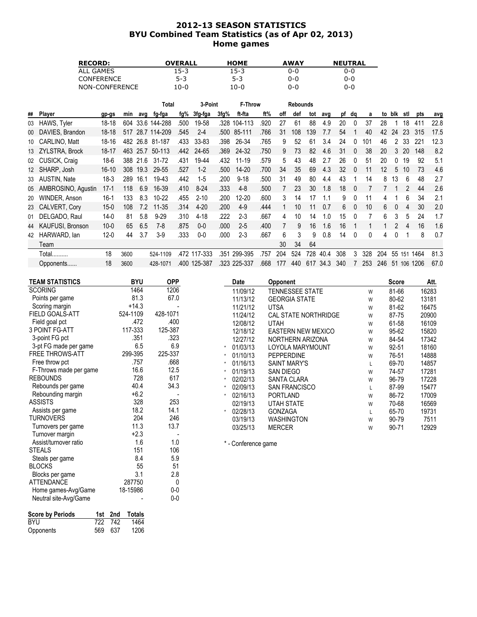## 2012-13 SEASON STATISTICS BYU Combined Team Statistics (as of Apr 02, 2013) Home games

| <b>RECORD:</b>    | <b>OVERALL</b> | <b>HOME</b> | <b>AWAY</b> | <b>NEUTRAL</b> |
|-------------------|----------------|-------------|-------------|----------------|
| ALL GAMES         | 15-3           | 15-3        | 0-0         | 0-0            |
| <b>CONFERENCE</b> | $5-3$          | $5 - 3$     | 0-0         | $0 - 0$        |
| NON-CONFERENCE    | 10-0           | 10-0        | 0-0         | 0-0            |

|    |                    |           |      |      | Total            |      | 3-Point      |      | F-Throw      |      |     | <b>Rebounds</b> |     |      |     |          |     |     |        |     |          |      |
|----|--------------------|-----------|------|------|------------------|------|--------------|------|--------------|------|-----|-----------------|-----|------|-----|----------|-----|-----|--------|-----|----------|------|
| ## | Player             | gp-gs     | min  | ava  | fg-fga           | fg%  | 3fg-fga      | 3fg% | ft-fta       | ft%  | off | def             | tot | avg  | pf  | dq       | a   |     | to blk | stl | pts      | avg  |
| 03 | HAWS, Tyler        | 18-18     | 604  |      | 33.6 144-288     | .500 | 19-58        | .328 | 104-113      | .920 | 27  | 61              | 88  | 4.9  | 20  | $\Omega$ | 37  | 28  |        | 18  | 411      | 22.8 |
| 00 | DAVIES, Brandon    | $18-18$   |      |      | 517 28.7 114-209 | .545 | $2 - 4$      |      | .500 85-111  | .766 | 31  | 108             | 139 | 7.7  | 54  |          | 40  | 42  | 24     | 23  | 315      | 17.5 |
| 10 | CARLINO, Matt      | 18-16     | 482  |      | 26.8 81-187      | .433 | 33-83        | .398 | 26-34        | .765 | 9   | 52              | 61  | 3.4  | 24  |          | 101 | 46  |        | 33  | 221      | 12.3 |
|    | 13 ZYLSTRA, Brock  | 18-17     | 463  | 25.7 | 50-113           | .442 | 24-65        | .369 | 24-32        | .750 | 9   | 73              | 82  | 4.6  | 31  |          | 38  | 20  | 3      | 20  | 148      | 8.2  |
|    | 02 CUSICK, Craig   | $18-6$    | 388  | 21.6 | $31 - 72$        | .431 | 19-44        | .432 | $11 - 19$    | .579 | 5   | 43              | 48  | 2.7  | 26  | $\Omega$ | 51  | 20  | 0      | 19  | 92       | 5.1  |
|    | 12 SHARP, Josh     | $16 - 10$ | 308  | 19.3 | 29-55            | .527 | $1-2$        | .500 | $14 - 20$    | .700 | 34  | 35              | 69  | 4.3  | 32  | $\Omega$ | 11  | 12  | 5      | 10  | 73       | 4.6  |
|    | 33 AUSTIN, Nate    | 18-3      | 289  | 16.1 | 19-43            | .442 | $1 - 5$      | .200 | $9 - 18$     | .500 | 31  | 49              | 80  | 4.4  | 43  |          | 14  | 8   | 13     | 6   | 48       | 2.7  |
| 05 | AMBROSINO, Agustin | 17-1      | 118  | 6.9  | 16-39            | .410 | $8-24$       | .333 | $4 - 8$      | .500 |     | 23              | 30  | 1.8  | 18  | - 0      |     |     |        |     | 44       | 2.6  |
| 20 | WINDER, Anson      | $16-1$    | 133  | 8.3  | $10 - 22$        | .455 | $2 - 10$     | .200 | $12 - 20$    | .600 | 3   | 14              | 17  | 1.1  | 9   |          |     | 4   |        | 6   | 34       | 2.1  |
|    | 23 CALVERT, Cory   | $15 - 0$  | 108  | 7.2  | $11 - 35$        | .314 | $4 - 20$     | .200 | $4-9$        | .444 |     | 10              | 11  | 0.7  | 6   | $\Omega$ | 10  | 6   | 0      | 4   | 30       | 2.0  |
| 01 | DELGADO, Raul      | $14-0$    | 81   | 5.8  | $9 - 29$         | .310 | $4 - 18$     | .222 | $2 - 3$      | .667 | 4   | 10              | 14  | 1.0  | 15  | $\cup$   |     | 6   | 3      | 5   | 24       | 1.7  |
| 44 | KAUFUSI, Bronson   | $10 - 0$  | 65   | 6.5  | $7-8$            | .875 | $0-0$        | .000 | $2 - 5$      | .400 |     | 9               | 16  | 1.6  | 16  |          |     |     | 2      | 4   | 16       | 1.6  |
| 42 | HARWARD, lan       | $12 - 0$  | 44   | 3.7  | $3-9$            | .333 | $0 - 0$      | .000 | $2 - 3$      | .667 | 6   | 3               | 9   | 0.8  | 14  | $\Omega$ | 0   | 4   | 0      |     | 8        | 0.7  |
|    | Team               |           |      |      |                  |      |              |      |              |      | 30  | 34              | 64  |      |     |          |     |     |        |     |          |      |
|    | Total              | 18        | 3600 |      | 524-1109         |      | .472 117-333 | .351 | 299-395      | .757 | 204 | 524             | 728 | 40.4 | 308 | 3        | 328 | 204 | 55     | 151 | 1464     | 81.3 |
|    | Opponents          | 18        | 3600 |      | 428-1071         |      | .400 125-387 |      | .323 225-337 | .668 | 177 | 440             | 617 | 34.3 | 340 |          | 253 | 246 | 51     |     | 106 1206 | 67.0 |

| <b>TEAM STATISTICS</b> | <b>BYU</b> | <b>OPP</b> | Date                | <b>Opponent</b>           |   | <b>Score</b> | Att.  |
|------------------------|------------|------------|---------------------|---------------------------|---|--------------|-------|
| <b>SCORING</b>         | 1464       | 1206       | 11/09/12            | TENNESSEE STATE           | W | 81-66        | 16283 |
| Points per game        | 81.3       | 67.0       | 11/13/12            | <b>GEORGIA STATE</b>      | W | 80-62        | 13181 |
| Scoring margin         | $+14.3$    |            | 11/21/12            | <b>UTSA</b>               | W | 81-62        | 16475 |
| <b>FIELD GOALS-ATT</b> | 524-1109   | 428-1071   | 11/24/12            | CAL STATE NORTHRIDGE      | W | 87-75        | 20900 |
| Field goal pct         | .472       | .400       | 12/08/12            | <b>UTAH</b>               | W | 61-58        | 16109 |
| <b>3 POINT FG-ATT</b>  | 117-333    | 125-387    | 12/18/12            | <b>EASTERN NEW MEXICO</b> | W | 95-62        | 15820 |
| 3-point FG pct         | .351       | .323       | 12/27/12            | NORTHERN ARIZONA          | W | 84-54        | 17342 |
| 3-pt FG made per game  | 6.5        | 6.9        | 01/03/13            | LOYOLA MARYMOUNT          | W | 92-51        | 18160 |
| <b>FREE THROWS-ATT</b> | 299-395    | 225-337    | 01/10/13            | <b>PEPPERDINE</b>         | W | 76-51        | 14888 |
| Free throw pct         | .757       | .668       | 01/16/13            | <b>SAINT MARY'S</b>       | L | 69-70        | 14857 |
| F-Throws made per game | 16.6       | 12.5       | 01/19/13            | <b>SAN DIEGO</b>          | W | 74-57        | 17281 |
| <b>REBOUNDS</b>        | 728        | 617        | 02/02/13            | <b>SANTA CLARA</b>        | W | 96-79        | 17228 |
| Rebounds per game      | 40.4       | 34.3       | 02/09/13            | <b>SAN FRANCISCO</b>      | L | 87-99        | 15477 |
| Rebounding margin      | $+6.2$     |            | 02/16/13            | <b>PORTLAND</b>           | W | 86-72        | 17009 |
| <b>ASSISTS</b>         | 328        | 253        | 02/19/13            | <b>UTAH STATE</b>         | W | 70-68        | 16569 |
| Assists per game       | 18.2       | 14.1       | 02/28/13            | <b>GONZAGA</b>            | L | 65-70        | 19731 |
| TURNOVERS              | 204        | 246        | 03/19/13            | <b>WASHINGTON</b>         | W | 90-79        | 7511  |
| Turnovers per game     | 11.3       | 13.7       | 03/25/13            | <b>MERCER</b>             | W | 90-71        | 12929 |
| Turnover margin        | $+2.3$     |            |                     |                           |   |              |       |
| Assist/turnover ratio  | 1.6        | 1.0        | * - Conference game |                           |   |              |       |
| <b>STEALS</b>          | 151        | 106        |                     |                           |   |              |       |
| Steals per game        | 8.4        | 5.9        |                     |                           |   |              |       |
| <b>BLOCKS</b>          | 55         | 51         |                     |                           |   |              |       |
| Blocks per game        | 3.1        | 2.8        |                     |                           |   |              |       |

| Neutral site-Avg/Game   |     |         |        | 0-0 |
|-------------------------|-----|---------|--------|-----|
| <b>Score by Periods</b> |     | 1st 2nd | Totals |     |
| <b>BYU</b>              |     | 722 742 | 1464   |     |
| Opponents               | 569 | 637     | 1206   |     |

BLOCKS 55 51 Blocks per game 3.1 3.1 2.8 ATTENDANCE 287750 0 Home games-Avg/Game 18-15986 0-0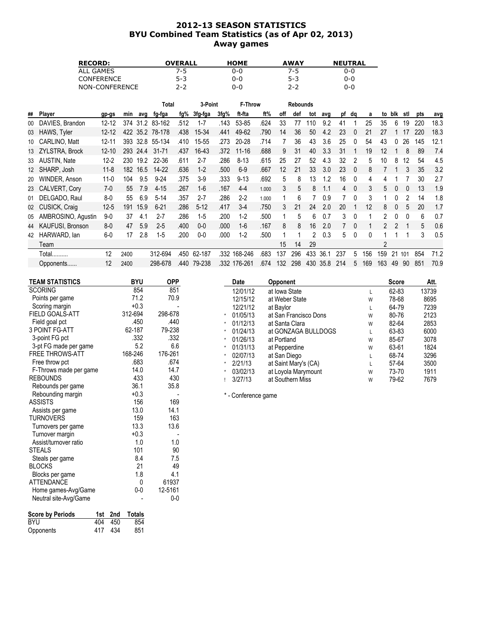# 2012-13 SEASON STATISTICS BYU Combined Team Statistics (as of Apr 02, 2013) Away games

| <b>RECORD:</b>    | <b>OVERALL</b> | <b>HOME</b> | <b>AWAY</b> | <b>NEUTRAL</b> |
|-------------------|----------------|-------------|-------------|----------------|
| ALL GAMES         | 7-5            | 0-0         | 7-5         | 0-0            |
| <b>CONFERENCE</b> | $5-3$          | 0-0         | $5-3$       | 0-0            |
| NON-CONFERENCE    | $2 - 2$        | 0-0         | 2-2         | 0-0            |

|    |                         |           |      |      | Total           |      | 3-Point  |      | <b>F-Throw</b> |       |     | <b>Rebounds</b> |     |      |                |          |     |     |          |     |     |      |
|----|-------------------------|-----------|------|------|-----------------|------|----------|------|----------------|-------|-----|-----------------|-----|------|----------------|----------|-----|-----|----------|-----|-----|------|
| ## | Player                  | gp-gs     | min  | avg  | fg-fga          | fg%  | 3fg-fga  | 3fg% | ft-fta         | ft%   | off | def             | tot | avg  |                | pf dq    | a   |     | to blk   | stl | pts | avg  |
| 00 | DAVIES, Brandon         | $12 - 12$ |      |      | 374 31.2 83-162 | .512 | $1 - 7$  | .143 | 53-85          | .624  | 33  | 77              | 10  | 9.2  | 41             |          | 25  | 35  | 6        | 19  | 220 | 18.3 |
| 03 | HAWS, Tyler             | $12 - 12$ | 422  |      | 35.2 78-178     | .438 | 15-34    | .441 | 49-62          | .790  | 14  | 36              | 50  | 4.2  | 23             | $\Omega$ | 21  | 27  |          | 17  | 220 | 18.3 |
| 10 | CARLINO, Matt           | $12 - 11$ | 393  | 32.8 | 55-134          | .410 | 15-55    | .273 | 20-28          | .714  |     | 36              | 43  | 3.6  | 25             | 0        | 54  | 43  |          | 26  | 145 | 12.1 |
|    | 13 ZYLSTRA, Brock       | $12 - 10$ | 293  | 24.4 | $31 - 71$       | .437 | 16-43    | .372 | $11 - 16$      | .688  | 9   | 31              | 40  | 3.3  | 31             |          | 19  | 12  |          | 8   | 89  | 7.4  |
|    | 33 AUSTIN, Nate         | $12 - 2$  | 230  | 19.2 | 22-36           | .611 | $2 - 7$  | .286 | $8 - 13$       | .615  | 25  | 27              | 52  | 4.3  | 32             |          | 5   | 10  | 8        | 12  | 54  | 4.5  |
|    | 12 SHARP, Josh          | $11 - 8$  | 182  | 16.5 | 14-22           | .636 | $1 - 2$  | .500 | $6-9$          | .667  | 12  | 21              | 33  | 3.0  | 23             | $\Omega$ | 8   |     |          | 3   | 35  | 3.2  |
| 20 | WINDER, Anson           | $11 - 0$  | 104  | 9.5  | $9 - 24$        | .375 | $3-9$    | .333 | $9 - 13$       | .692  | 5   | 8               | 13  | 1.2  | 16             | $\Omega$ | 4   |     |          |     | 30  | 2.7  |
| 23 | CALVERT, Cory           | $7-0$     | 55   | 7.9  | $4 - 15$        | .267 | $1 - 6$  | .167 | $4 - 4$        | 1.000 | 3   | 5               | 8   |      | $\overline{4}$ | $\Omega$ | 3   | 5   | $\Omega$ | 0   | 13  | 1.9  |
| 01 | DELGADO, Raul           | $8-0$     | 55   | 6.9  | $5 - 14$        | .357 | $2 - 7$  | .286 | $2 - 2$        | 1.000 |     | 6               |     | 0.9  |                | 0        | 3   |     |          | 2   | 14  | 1.8  |
|    | 02 CUSICK, Craig        | $12 - 5$  | 191  | 15.9 | $6 - 21$        | .286 | $5 - 12$ | .417 | $3-4$          | .750  | 3   | 21              | 24  | 2.0  | 20             |          | 12  | 8   |          | 5   | 20  | 1.7  |
| 05 | AMBROSINO, Agustin      | $9-0$     | 37   | 4.1  | $2 - 7$         | .286 | $1 - 5$  | .200 | $1 - 2$        | .500  |     | 5               | 6   | 0.7  | 3              | 0        |     |     |          |     | 6   | 0.7  |
| 44 | <b>KAUFUSI, Bronson</b> | $8-0$     | 47   | 5.9  | $2 - 5$         | .400 | $0-0$    | .000 | $1-6$          | .167  | 8   | 8               | 16  | 2.0  |                | $\Omega$ |     | 2   |          |     | 5   | 0.6  |
| 42 | HARWARD, lan            | $6-0$     | 17   | 2.8  | $1 - 5$         | .200 | $0 - 0$  | .000 | $1-2$          | .500  |     |                 | 2   | 0.3  | 5              | $\Omega$ | 0   |     |          |     | 3   | 0.5  |
|    | Team                    |           |      |      |                 |      |          |      |                |       | 15  | 14              | 29  |      |                |          |     | 2   |          |     |     |      |
|    | Total                   | 12        | 2400 |      | 312-694         | .450 | 62-187   | .332 | 168-246        | .683  | 137 | 296             | 433 | 36.1 | 237            | 5        | 156 | 159 | 21       | 101 | 854 | 71.2 |
|    | Opponents               | 12        | 2400 |      | 298-678         | .440 | 79-238   |      | .332 176-261   | .674  | 132 | 298             | 430 | 35.8 | 214            | 5.       | 169 | 163 | 49       | 90  | 851 | 70.9 |

| <b>BYU</b> | <b>OPP</b> |         | Date     | Opponent                                            |                                             | <b>Score</b> | Att.  |
|------------|------------|---------|----------|-----------------------------------------------------|---------------------------------------------|--------------|-------|
| 854        | 851        |         | 12/01/12 | at Iowa State                                       |                                             | 62-83        | 13739 |
| 71.2       | 70.9       |         | 12/15/12 | at Weber State                                      | W                                           | 78-68        | 8695  |
| $+0.3$     |            |         | 12/21/12 | at Baylor                                           |                                             | 64-79        | 7239  |
| 312-694    | 298-678    |         | 01/05/13 | at San Francisco Dons                               | W                                           | 80-76        | 2123  |
| .450       | .440       |         | 01/12/13 | at Santa Clara                                      | W                                           | 82-64        | 2853  |
| 62-187     | 79-238     |         | 01/24/13 | at GONZAGA BULLDOGS                                 |                                             | 63-83        | 6000  |
| .332       | .332       |         | 01/26/13 | at Portland                                         | W                                           | 85-67        | 3078  |
| 5.2        | 6.6        |         | 01/31/13 | at Pepperdine                                       | W                                           | 63-61        | 1824  |
|            |            |         | 02/07/13 | at San Diego                                        |                                             | 68-74        | 3296  |
| .683       | .674       |         | 2/21/13  |                                                     |                                             | 57-64        | 3500  |
| 14.0       | 14.7       |         | 03/02/13 | at Loyola Marymount                                 | W                                           | 73-70        | 1911  |
| 433        | 430        |         | 3/27/13  | at Southern Miss                                    | W                                           | 79-62        | 7679  |
| 36.1       | 35.8       |         |          |                                                     |                                             |              |       |
| $+0.3$     |            |         |          |                                                     |                                             |              |       |
| 156        | 169        |         |          |                                                     |                                             |              |       |
| 13.0       | 14.1       |         |          |                                                     |                                             |              |       |
| 159        | 163        |         |          |                                                     |                                             |              |       |
| 13.3       | 13.6       |         |          |                                                     |                                             |              |       |
| $+0.3$     |            |         |          |                                                     |                                             |              |       |
| 1.0        | 1.0        |         |          |                                                     |                                             |              |       |
|            | 168-246    | 176-261 |          | $\star$<br>$\star$<br>$\star$<br>$\star$<br>$\star$ | at Saint Mary's (CA)<br>* - Conference game |              |       |

| <b>STEALS</b>           |     |     | 101    | 90      |
|-------------------------|-----|-----|--------|---------|
| Steals per game         |     |     | 8.4    | 7.5     |
| <b>BLOCKS</b>           |     |     | 21     | 49      |
| Blocks per game         |     |     | 1.8    | 4.1     |
| <b>ATTENDANCE</b>       |     |     | 0      | 61937   |
| Home games-Avg/Game     |     |     | 0-0    | 12-5161 |
| Neutral site-Avg/Game   |     |     |        | 0-0     |
| <b>Score by Periods</b> | 1st | 2nd | Totals |         |
| <b>BYU</b>              | 404 | 450 | 854    |         |
| Opponents               | 417 | 434 | 851    |         |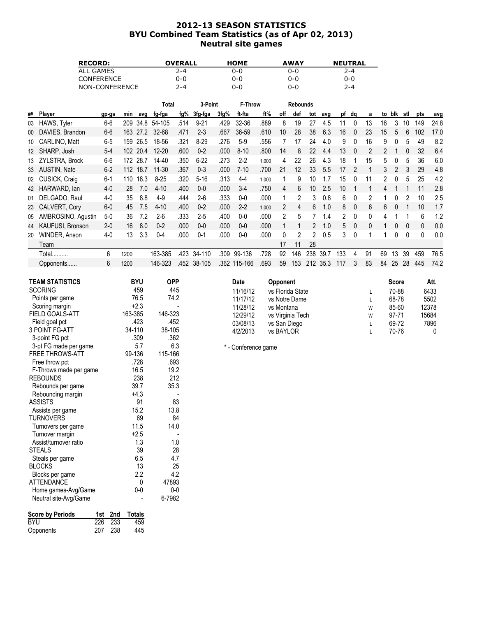# 2012-13 SEASON STATISTICS BYU Combined Team Statistics (as of Apr 02, 2013) Neutral site games

| <b>RECORD:</b>    | <b>OVERALL</b> | <b>HOME</b> | <b>AWAY</b> | <b>NEUTRAL</b> |
|-------------------|----------------|-------------|-------------|----------------|
| ALL GAMES         | 2-4            | 0-0         | 0-0         | $2 - 4$        |
| <b>CONFERENCE</b> | 0-0            | 0-0         | 0-0         | 0-0            |
| NON-CONFERENCE    | $2 - 4$        | 0-0         | 0-0         | $7 - 4$        |

|    |                         |         |      |      | Total     |      | 3-Point  |      | <b>F-Throw</b> |       |     | <b>Rebounds</b> |     |      |     |              |    |               |     |     |                |      |
|----|-------------------------|---------|------|------|-----------|------|----------|------|----------------|-------|-----|-----------------|-----|------|-----|--------------|----|---------------|-----|-----|----------------|------|
| ## | Player                  | gp-gs   | min  | ava  | fg-fga    | fg%  | 3fg-fga  | 3fg% | ft-fta         | ft%   | off | def             | tot | avg  | рf  | da           | a  | to            | blk | stl | pts            | avg  |
| 03 | HAWS, Tyler             | $6-6$   | 209  | 34.8 | 54-105    | .514 | $9 - 21$ | .429 | 32-36          | .889  | 8   | 19              | 27  | 4.5  | 11  | $\Omega$     | 13 | 16            | 3   | 10  | 149            | 24.8 |
| 00 | DAVIES, Brandon         | $6-6$   | 163  | 27.2 | 32-68     | .471 | $2 - 3$  | .667 | 36-59          | .610  | 10  | 28              | 38  | 6.3  | 16  |              | 23 | 15            | 5   | 6   | 102            | 17.0 |
| 10 | CARLINO, Matt           | $6-5$   | 159  | 26.5 | 18-56     | .321 | $8 - 29$ | .276 | $5-9$          | .556  |     | 17              | 24  | 4.0  | 9   |              | 16 | 9             |     | 5   | 49             | 8.2  |
|    | 12 SHARP, Josh          | $5-4$   | 102  | 20.4 | $12 - 20$ | .600 | $0 - 2$  | .000 | $8 - 10$       | .800  | 14  |                 | 22  | 4.4  | 13  |              | 2  | $\mathcal{P}$ |     |     | 32             | 6.4  |
| 13 | ZYLSTRA, Brock          | $6-6$   | 172  | 28.7 | 14-40     | .350 | $6 - 22$ | .273 | $2 - 2$        | 1.000 | 4   | 22              | 26  | 4.3  | 18  |              | 15 | 5             |     | 5   | 36             | 6.0  |
|    | 33 AUSTIN, Nate         | $6-2$   | 112  | 18.7 | $11 - 30$ | .367 | $0 - 3$  | .000 | $7-10$         | .700  | 21  | 12              | 33  | 5.5  | 17  |              |    | 3             |     |     | 29             | 4.8  |
| 02 | <b>CUSICK, Craig</b>    | $6 - 1$ | 110  | 18.3 | $8 - 25$  | .320 | $5 - 16$ | .313 | $4 - 4$        | 1.000 |     | 9               | 10  |      | 15  |              |    |               |     | 5   | 25             | 4.2  |
| 42 | HARWARD, lan            | $4-0$   | 28   | 7.0  | $4 - 10$  | .400 | $0 - 0$  | .000 | $3-4$          | .750  | 4   | 6               | 10  | 2.5  | 10  |              |    |               |     |     |                | 2.8  |
| 01 | DELGADO, Raul           | $4-0$   | 35   | 8.8  | $4-9$     | .444 | $2-6$    | .333 | $0-0$          | .000  |     | 2               | 3   | 0.8  | 6   | 0            | 2  |               | 0   |     | 10             | 2.5  |
|    | 23 CALVERT, Cory        | $6-0$   | 45   | 7.5  | $4 - 10$  | .400 | $0 - 2$  | .000 | $2 - 2$        | 1.000 | 2   | 4               | 6   | 1.0  | 8   | $\mathbf{0}$ | 6  | 6             |     |     | 10             | 1.7  |
| 05 | AMBROSINO, Agustin      | $5-0$   | 36   | 7.2  | $2-6$     | .333 | $2 - 5$  | .400 | $0-0$          | .000  | 2   | 5               |     | 1.4  |     | 0            | 0  |               |     |     | 6              | 1.2  |
| 44 | <b>KAUFUSI, Bronson</b> | $2 - 0$ | 16   | 8.0  | $0 - 2$   | .000 | $0-0$    | .000 | $0-0$          | .000  |     |                 | 2   | 1.0  | 5.  | $\mathbf{0}$ | 0  |               | 0   | 0   | $\overline{0}$ | 0.0  |
| 20 | WINDER, Anson           | $4-0$   | 13   | 3.3  | $0 - 4$   | .000 | $0 - 1$  | .000 | $0-0$          | .000  | 0   |                 | 2   | 0.5  | 3   | $\Omega$     |    |               | 0   | 0   | $\Box$         | 0.0  |
|    | Team                    |         |      |      |           |      |          |      |                |       | 17  | 11              | 28  |      |     |              |    |               |     |     |                |      |
|    | Total                   | 6       | 1200 |      | 163-385   | .423 | 34-110   | .309 | 99-136         | .728  | 92  | 146             | 238 | 39.7 | 133 | 4            | 91 | 69            | 13  | 39  | 459            | 76.5 |
|    | Opponents               | 6       | 1200 |      | 146-323   | .452 | 38-105   |      | .362 115-166   | .693  | 59  | 153             | 212 | 35.3 | 117 | 3            | 83 | 84            | 25  | 28  | 445            | 74.2 |

| <b>TEAM STATISTICS</b>         |     | <b>BYU</b> | <b>OPP</b> |
|--------------------------------|-----|------------|------------|
| <b>SCORING</b>                 |     | 459        | 445        |
| Points per game                |     | 76.5       | 74.2       |
| Scoring margin                 |     | $+2.3$     |            |
| FIELD GOALS-ATT                |     | 163-385    | 146-323    |
| Field goal pct                 |     | .423       | .452       |
| <b>3 POINT FG-ATT</b>          |     | 34-110     | 38-105     |
| 3-point FG pct                 |     | .309       | .362       |
| 3-pt FG made per game          |     | 5.7        | 6.3        |
| FREE THROWS-ATT                |     | 99-136     | 115-166    |
| Free throw pct                 |     | .728       | .693       |
| F-Throws made per game         |     | 16.5       | 19.2       |
| <b>REBOUNDS</b>                |     | 238        | 212        |
| Rebounds per game              |     | 39.7       | 35.3       |
| Rebounding margin              |     | $+4.3$     |            |
| <b>ASSISTS</b>                 |     | 91         | 83         |
| Assists per game               |     | 15.2       | 13.8       |
| <b>TURNOVERS</b>               |     | 69         | 84         |
| Turnovers per game             |     | 11.5       | 14.0       |
| Turnover margin                |     | $+2.5$     |            |
| Assist/turnover ratio          |     | 1.3        | 1.0        |
| <b>STEALS</b>                  |     | 39         | 28         |
| Steals per game                |     | 6.5        | 4.7        |
| <b>BLOCKS</b>                  |     | 13         | 25         |
| Blocks per game                |     | 2.2        | 4.2        |
| <b>ATTENDANCE</b>              |     | 0          | 47893      |
| Home games-Avg/Game            |     | $0 - 0$    | $0 - 0$    |
| Neutral site-Avg/Game          |     |            | 6-7982     |
| <b>Score by Periods</b><br>1st | 2nd | Totals     |            |
| 226<br>BYU                     | 233 | 459        |            |

Opponents 207 238 445

|   | <b>Score</b> | Att.  |
|---|--------------|-------|
|   | 70-88        | 6433  |
|   | 68-78        | 5502  |
| W | 85-60        | 12378 |
| W | 97-71        | 15684 |
|   | 69-72        | 7896  |
|   | 70-76        | 0     |
|   |              |       |

\* - Conference game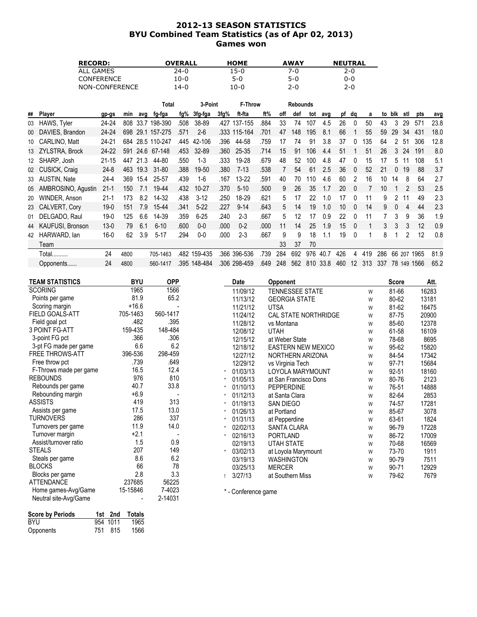# 2012-13 SEASON STATISTICS BYU Combined Team Statistics (as of Apr 02, 2013) Games won

| <b>RECORD:</b>    | <b>OVERALL</b> | <b>HOME</b> | <b>AWAY</b> | <b>NEUTRAL</b> |
|-------------------|----------------|-------------|-------------|----------------|
| ALL GAMES         | 24-0           | 15-0        | 7-0.        | 2-0            |
| <b>CONFERENCE</b> | 10-0           | 5-0         | $5-0$       | 0-0            |
| NON-CONFERENCE    | 14-0           | 10-0        | 2-0         | $2 - 0$        |

|    |                         |           |      |      | Total        |      | 3-Point      |      | <b>F-Throw</b> |      |     | <b>Rebounds</b> |     |      |                 |          |     |     |          |        |          |      |
|----|-------------------------|-----------|------|------|--------------|------|--------------|------|----------------|------|-----|-----------------|-----|------|-----------------|----------|-----|-----|----------|--------|----------|------|
| ## | Player                  | gp-gs     | min  | ava  | fg-fga       | fg%  | 3fg-fga      | 3fg% | ft-fta         | ft%  | off | def             | tot | avg  |                 | pf dq    | a   | to  | blk      | stl    | pts      | avg  |
| 03 | HAWS, Tyler             | 24-24     | 808  |      | 33.7 198-390 | .508 | 38-89        | .427 | 137-155        | .884 | 33  | 74              | 107 | 4.5  | 26              | $\Omega$ | 50  | 43  | 3        | 29     | 57'      | 23.8 |
| 00 | DAVIES, Brandon         | 24-24     | 698  | 29.1 | 157-275      | .571 | $2 - 6$      |      | .333 115-164   | .701 | 47  | 148             | 195 | 8.1  | 66              |          | 55  | 59  | 29       | 34     | 431      | 18.0 |
|    | 10 CARLINO, Matt        | 24-21     | 684  |      | 28.5 110-247 | .445 | 42-106       | .396 | 44-58          | .759 | 17  | 74              | 91  | 3.8  | 37              |          | 135 | 64  |          | 51     | 306      | 12.8 |
|    | 13 ZYLSTRA, Brock       | 24-22     | 591  |      | 24.6 67-148  | .453 | 32-89        | .360 | 25-35          | .714 | 15  | 91              | 106 | 4.4  | 51              |          | 51  | 26  | 3        | 24     | 191      | 8.0  |
|    | 12 SHARP, Josh          | $21 - 15$ | 447  | 21.3 | 44-80        | .550 | $1-3$        | .333 | 19-28          | .679 | 48  | 52              | 100 | 4.8  | 47              | $\Omega$ | 15  | 17  | 5        |        | 108      | 5.1  |
|    | 02 CUSICK, Craig        | $24 - 8$  | 463  | 19.3 | 31-80        | .388 | 19-50        | .380 | $7-13$         | .538 |     | 54              | 61  | 2.5  | 36              | $\Omega$ | 52  | 21  | 0        | 19     | 88       | 3.7  |
|    | 33 AUSTIN, Nate         | $24 - 4$  | 369  | 15.4 | 25-57        | .439 | 1-6          | .167 | $13 - 22$      | .591 | 40  | 70              | 110 | 4.6  | 60              |          | 16  | 10  | 14       | 8      | 64       | 2.7  |
| 05 | AMBROSINO, Agustin      | $21 - 1$  | 150  | 7.1  | 19-44        | .432 | 10-27        | .370 | $5-10$         | .500 | 9   | 26              | 35  | 1.7  | 20              | $\Omega$ |     | 10  |          | 2      | 53       | 2.5  |
| 20 | WINDER, Anson           | $21 - 1$  | 173  | 8.2  | 14-32        | .438 | $3 - 12$     | .250 | 18-29          | .621 | 5   | 17              | 22  | 1.0  | 17              | $\cup$   |     | 9   | 2        | 11     | 49       | 2.3  |
|    | 23 CALVERT, Cory        | $19-0$    | 151  | 7.9  | 15-44        | .341 | $5-22$       | .227 | $9 - 14$       | .643 | 5   | 14              | 19  | 1.0  | 10 <sup>°</sup> | $\Omega$ | 14  | 9   | $\Omega$ | 4      | 44       | 2.3  |
|    | 01 DELGADO, Raul        | $19-0$    | 125  | 6.6  | 14-39        | .359 | $6 - 25$     | .240 | $2 - 3$        | .667 | 5   | 12              | 17  | 0.9  | 22              | $\Omega$ | 11  |     | 3        | 9      | 36       | 1.9  |
| 44 | <b>KAUFUSI, Bronson</b> | $13 - 0$  | 79   | 6.1  | $6 - 10$     | .600 | $0 - 0$      | .000 | $0 - 2$        | .000 | 11  | 14              | 25  | 1.9  | 15              | $\Omega$ |     | 3   | 3        | 3      | 12       | 0.9  |
| 42 | HARWARD, lan            | 16-0      | 62   | 3.9  | $5-17$       | .294 | $0-0$        | .000 | $2 - 3$        | .667 | 9   | 9               | 18  | 1.1  | 19              | $\Omega$ |     | 8   |          | 2      | 12       | 0.8  |
|    | Team                    |           |      |      |              |      |              |      |                |      | 33  | 37              | 70  |      |                 |          |     |     |          |        |          |      |
|    | Total                   | 24        | 4800 |      | 705-1463     | .482 | 159-435      | .366 | 396-536        | .739 | 284 | 692             | 976 | 40.7 | 426             | 4        | 419 | 286 | 66       |        | 207 1965 | 81.9 |
|    | Opponents               | 24        | 4800 |      | 560-1417     |      | .395 148-484 |      | .306 298-459   | .649 | 248 | 562             | 810 | 33.8 | 460             | $12 \,$  | 313 | 337 |          | 78 149 | 1566     | 65.2 |

| <b>TEAM STATISTICS</b> | <b>BYU</b> | <b>OPP</b> |          | Date                | Opponent                  |   | <b>Score</b> | Att.  |
|------------------------|------------|------------|----------|---------------------|---------------------------|---|--------------|-------|
| <b>SCORING</b>         | 1965       | 1566       |          | 11/09/12            | TENNESSEE STATE           | W | 81-66        | 16283 |
| Points per game        | 81.9       | 65.2       |          | 11/13/12            | <b>GEORGIA STATE</b>      | W | 80-62        | 13181 |
| Scoring margin         | $+16.6$    |            |          | 11/21/12            | <b>UTSA</b>               | W | 81-62        | 16475 |
| FIELD GOALS-ATT        | 705-1463   | 560-1417   |          | 11/24/12            | CAL STATE NORTHRIDGE      | W | 87-75        | 20900 |
| Field goal pct         | .482       | .395       |          | 11/28/12            | vs Montana                | W | 85-60        | 12378 |
| 3 POINT FG-ATT         | 159-435    | 148-484    |          | 12/08/12            | <b>UTAH</b>               | W | 61-58        | 16109 |
| 3-point FG pct         | .366       | .306       |          | 12/15/12            | at Weber State            | W | 78-68        | 8695  |
| 3-pt FG made per game  | 6.6        | 6.2        |          | 12/18/12            | <b>EASTERN NEW MEXICO</b> | W | 95-62        | 15820 |
| <b>FREE THROWS-ATT</b> | 396-536    | 298-459    |          | 12/27/12            | NORTHERN ARIZONA          | W | 84-54        | 17342 |
| Free throw pct         | .739       | .649       |          | 12/29/12            | vs Virginia Tech          | W | 97-71        | 15684 |
| F-Throws made per game | 16.5       | 12.4       |          | 01/03/13            | LOYOLA MARYMOUNT          | W | 92-51        | 18160 |
| <b>REBOUNDS</b>        | 976        | 810        | $\star$  | 01/05/13            | at San Francisco Dons     | W | 80-76        | 2123  |
| Rebounds per game      | 40.7       | 33.8       | $^\star$ | 01/10/13            | <b>PEPPERDINE</b>         | W | 76-51        | 14888 |
| Rebounding margin      | $+6.9$     |            |          | 01/12/13            | at Santa Clara            | W | 82-64        | 2853  |
| <b>ASSISTS</b>         | 419        | 313        | $\star$  | 01/19/13            | SAN DIEGO                 | W | 74-57        | 17281 |
| Assists per game       | 17.5       | 13.0       | $^\star$ | 01/26/13            | at Portland               | W | 85-67        | 3078  |
| TURNOVERS              | 286        | 337        |          | 01/31/13            | at Pepperdine             | W | 63-61        | 1824  |
| Turnovers per game     | 11.9       | 14.0       | $\star$  | 02/02/13            | <b>SANTA CLARA</b>        | W | 96-79        | 17228 |
| Turnover margin        | $+2.1$     |            | $\star$  | 02/16/13            | PORTLAND                  | W | 86-72        | 17009 |
| Assist/turnover ratio  | 1.5        | 0.9        |          | 02/19/13            | <b>UTAH STATE</b>         | W | 70-68        | 16569 |
| <b>STEALS</b>          | 207        | 149        | $\star$  | 03/02/13            | at Loyola Marymount       | W | 73-70        | 1911  |
| Steals per game        | 8.6        | 6.2        |          | 03/19/13            | <b>WASHINGTON</b>         | W | 90-79        | 7511  |
| <b>BLOCKS</b>          | 66         | 78         |          | 03/25/13            | <b>MERCER</b>             | W | 90-71        | 12929 |
| Blocks per game        | 2.8        | 3.3        |          | 3/27/13             | at Southern Miss          | W | 79-62        | 7679  |
| <b>ATTENDANCE</b>      | 237685     | 56225      |          |                     |                           |   |              |       |
| Home games-Avg/Game    | 15-15846   | 7-4023     |          | * - Conference game |                           |   |              |       |
| Neutral site-Avg/Game  |            | 2-14031    |          |                     |                           |   |              |       |

| Score by Periods |          | 1st 2nd Totals |
|------------------|----------|----------------|
| BYU              | 954 1011 | 1965           |
| Opponents        | 751 815  | 1566           |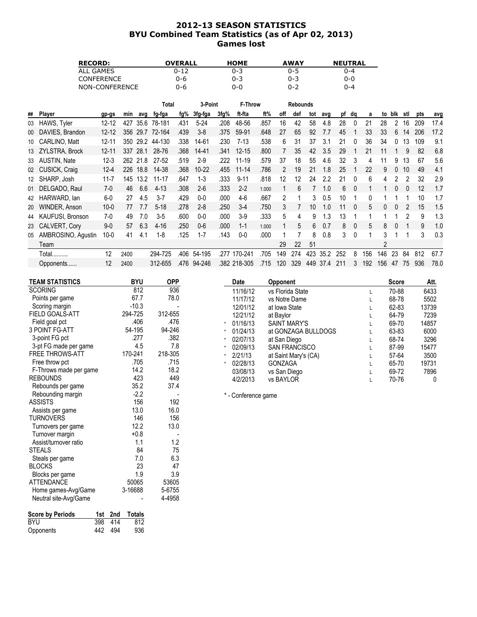# 2012-13 SEASON STATISTICS BYU Combined Team Statistics (as of Apr 02, 2013) Games lost

| <b>RECORD:</b>    | <b>OVERALL</b> | <b>HOME</b> | <b>AWAY</b> | <b>NEUTRAL</b> |
|-------------------|----------------|-------------|-------------|----------------|
| ALL GAMES         | 0-12           | 0-3         | $0 - 5$     | በ-4            |
| <b>CONFERENCE</b> | 0-6            | 0-3         | $0 - 3$     | 0-0            |
| NON-CONFERENCE    | 0-6            | 0-0         | $0 - 2$     | ገ-4            |

|    |                         |           |      |          | Total    |      | 3-Point   |      | <b>F-Throw</b> |       |               | <b>Rebounds</b> |     |      |     |                |     |     |        |     |     |      |
|----|-------------------------|-----------|------|----------|----------|------|-----------|------|----------------|-------|---------------|-----------------|-----|------|-----|----------------|-----|-----|--------|-----|-----|------|
| ## | Player                  | gp-gs     | min  | avg      | fg-fga   | fg%  | 3fg-fga   | 3fg% | ft-fta         | ft%   | off           | def             | tot | avg  |     | pf dq          | a   |     | to blk | stl | pts | avg  |
| 03 | HAWS, Tyler             | $12 - 12$ | 427  | 35.6     | 78-181   | .431 | $5 - 24$  | .208 | 48-56          | .857  | 16            | 42              | 58  | 4.8  | 28  | $\Omega$       | 21  | 28  | 2      | 16  | 209 | 17.4 |
| 00 | DAVIES, Brandon         | $12 - 12$ | 356  | 29.7     | 72-164   | .439 | $3-8$     | .375 | 59-91          | .648  | 27            | 65              | 92  | 7.7  | 45  |                | 33  | 33  | 6      | 14  | 206 | 17.2 |
| 10 | <b>CARLINO, Matt</b>    | $12 - 11$ | 350  | 29.2     | 44-130   | .338 | 14-61     | .230 | $7-13$         | .538  | 6             | 31              | 37  | 3.1  | 21  | $\Omega$       | 36  | 34  |        | 13  | 109 | 9.1  |
|    | 13 ZYLSTRA, Brock       | $12 - 11$ | 337  | 28.1     | 28-76    | .368 | $14 - 41$ | .341 | $12 - 15$      | .800  |               | 35              | 42  | 3.5  | 29  |                | 21  | 11  |        | 9   | 82  | 6.8  |
|    | 33 AUSTIN, Nate         | $12 - 3$  |      | 262 21.8 | 27-52    | .519 | $2 - 9$   | .222 | 11-19          | .579  | 37            | 18              | 55  | 4.6  | 32  |                | 4   |     | 9      | 13  | 67  | 5.6  |
|    | 02 CUSICK, Craig        | $12 - 4$  | 226  | 18.8     | 14-38    | .368 | 10-22     | .455 | $11 - 14$      | .786  |               | 19              | 21  | 1.8  | 25  |                | 22  | 9   |        | 10  | 49  | 4.1  |
|    | 12 SHARP, Josh          | $11 - 7$  | 145  | 13.2     | 11-17    | .647 | $1-3$     | .333 | $9 - 11$       | .818  | 12            | 12              | 24  | 2.2  | 21  |                | 6   | 4   |        | 2   | 32  | 2.9  |
| 01 | DELGADO, Raul           | $7-0$     | 46   | 6.6      | $4 - 13$ | .308 | $2-6$     | .333 | $2 - 2$        | 1.000 |               | 6               |     | 1.0  | 6   | $\Omega$       |     |     |        | 0   | 12  | 1.7  |
| 42 | HARWARD, lan            | $6-0$     | 27   | 4.5      | $3 - 7$  | .429 | $0-0$     | .000 | $4-6$          | .667  | $\mathcal{P}$ |                 | 3   | 0.5  | 10  |                | 0   |     |        |     | 10  | 1.7  |
| 20 | WINDER, Anson           | $10 - 0$  | 77   | 7.7      | $5 - 18$ | .278 | $2 - 8$   | .250 | $3-4$          | .750  | 3             |                 | 10  | 1.0  | 11  | - 0            | 5   | 0   | 0      |     | 15  | 1.5  |
| 44 | <b>KAUFUSI, Bronson</b> | 7-0       | 49   | 7.0      | $3-5$    | .600 | $0-0$     | .000 | $3-9$          | .333  | 5             | 4               | 9   | 1.3  | 13  |                |     |     |        |     | 9   | 1.3  |
|    | 23 CALVERT, Cory        | $9-0$     | 57   | 6.3      | $4 - 16$ | .250 | $0-6$     | .000 | $1 - 1$        | 1.000 |               | 5               | 6   | 0.7  | 8   | $\overline{0}$ | 5   | 8   |        |     | 9   | 1.0  |
| 05 | AMBROSINO, Agustin      | 10-0      | 41   | 4.1      | $1 - 8$  | .125 | $1 - 7$   | .143 | $0-0$          | .000  |               |                 | 8   | 0.8  | 3   | $\Omega$       |     | 3   |        |     | 3   | 0.3  |
|    | Team                    |           |      |          |          |      |           |      |                |       | 29            | 22              | 51  |      |     |                |     | 2   |        |     |     |      |
|    | Total                   | 12        | 2400 |          | 294-725  | .406 | 54-195    | 277  | 170-241        | .705  | 149           | 274             | 423 | 35.2 | 252 | 8              | 156 | 146 | 23     | 84  | 812 | 67.7 |
|    | Opponents               | 12        | 2400 |          | 312-655  | .476 | 94-246    |      | .382 218-305   | .715  | 120           | 329             | 449 | 37.4 | 211 | 3              | 192 | 156 | 47     | 75  | 936 | 78.0 |

| TEAM STATISTICS               | <b>BYU</b>     | OPP        | Date                | Opponent             | <b>Score</b> | Att.  |
|-------------------------------|----------------|------------|---------------------|----------------------|--------------|-------|
| <b>SCORING</b>                | 812            | 936        | 11/16/12            | vs Florida State     | 70-88        | 6433  |
| Points per game               | 67.7           | 78.0       | 11/17/12            | vs Notre Dame        | 68-78        | 5502  |
| Scoring margin                | $-10.3$        |            | 12/01/12            | at Iowa State        | 62-83        | 13739 |
| FIELD GOALS-ATT               | 294-725        | 312-655    | 12/21/12            | at Baylor            | 64-79        | 7239  |
| Field goal pct                | .406           | .476       | 01/16/13            | <b>SAINT MARY'S</b>  | 69-70        | 14857 |
| 3 POINT FG-ATT                | 54-195         | 94-246     | 01/24/13            | at GONZAGA BULLDOGS  | 63-83        | 6000  |
| 3-point FG pct                | .277           | .382       | 02/07/13            | at San Diego         | 68-74        | 3296  |
| 3-pt FG made per game         | 4.5            | 7.8        | 02/09/13            | <b>SAN FRANCISCO</b> | 87-99        | 15477 |
| <b>FREE THROWS-ATT</b>        | 170-241        | 218-305    | 2/21/13             | at Saint Mary's (CA) | 57-64        | 3500  |
| Free throw pct                | .705           | .715       | 02/28/13            | <b>GONZAGA</b>       | 65-70        | 19731 |
| F-Throws made per game        | 14.2           | 18.2       | 03/08/13            | vs San Diego         | 69-72        | 7896  |
| <b>REBOUNDS</b>               | 423            | 449        | 4/2/2013            | vs BAYLOR            | 70-76        | 0     |
| Rebounds per game             | 35.2           | 37.4       |                     |                      |              |       |
| Rebounding margin             | $-2.2$         |            | * - Conference game |                      |              |       |
| <b>ASSISTS</b>                | 156            | 192        |                     |                      |              |       |
| Assists per game              | 13.0           | 16.0       |                     |                      |              |       |
| TURNOVERS                     | 146            | 156        |                     |                      |              |       |
| Turnovers per game            | 12.2           | 13.0       |                     |                      |              |       |
| Turnover marqin               | $+0.8$         |            |                     |                      |              |       |
| حالمو ممرزم ومسالمات والمنادي | $\overline{A}$ | $\sqrt{2}$ |                     |                      |              |       |

| rumov <del>o</del> r margin |     |     | ט.ט           |        |
|-----------------------------|-----|-----|---------------|--------|
| Assist/turnover ratio       |     |     | 1.1           | 1.2    |
| <b>STEALS</b>               |     |     | 84            | 75     |
| Steals per game             |     |     | 7.0           | 6.3    |
| <b>BLOCKS</b>               |     |     | 23            | 47     |
| Blocks per game             |     |     | 1.9           | 3.9    |
| ATTENDANCE                  |     |     | 50065         | 53605  |
| Home games-Avg/Game         |     |     | 3-16688       | 5-6755 |
| Neutral site-Avg/Game       |     |     |               | 4-4958 |
|                             |     |     |               |        |
| <b>Score by Periods</b>     | 1st | 2nd | <b>Totals</b> |        |
| <b>BYU</b>                  | 398 | 414 | 812           |        |
| Opponents                   | 494 | 936 |               |        |
|                             |     |     |               |        |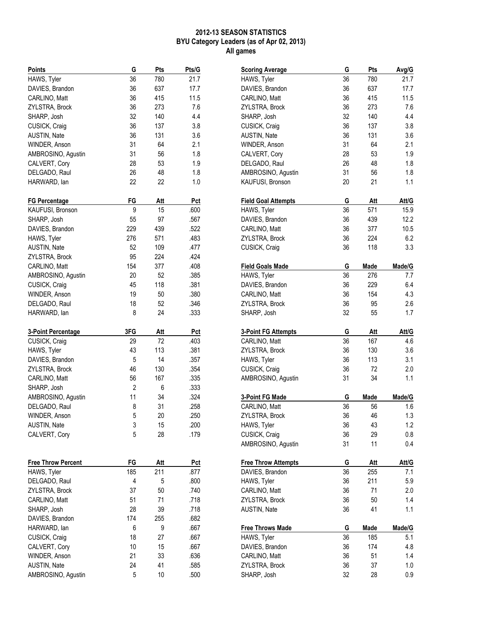## 2012-13 SEASON STATISTICS BYU Category Leaders (as of Apr 02, 2013) All games

| HAWS, Tyler<br>36<br>780<br>21.7<br>36<br>637<br>17.7<br>DAVIES, Brandon<br>36<br>CARLINO, Matt<br>415<br>11.5<br>36<br>ZYLSTRA, Brock<br>273<br>7.6<br>32<br>140<br>4.4<br>SHARP, Josh<br>36<br>CUSICK, Craig<br>137<br>3.8<br>36<br>3.6<br>AUSTIN, Nate<br>131<br>31<br>2.1<br>WINDER, Anson<br>64<br>31<br>56<br>1.8<br>AMBROSINO, Agustin<br>28<br>53<br>CALVERT, Cory<br>1.9<br>26<br>48<br>DELGADO, Raul<br>1.8<br>22<br>HARWARD, lan<br>22<br>1.0<br>FG<br>Att<br>Pct<br><b>FG Percentage</b><br>15<br>KAUFUSI, Bronson<br>9<br>.600<br>97<br>SHARP, Josh<br>55<br>.567 |
|--------------------------------------------------------------------------------------------------------------------------------------------------------------------------------------------------------------------------------------------------------------------------------------------------------------------------------------------------------------------------------------------------------------------------------------------------------------------------------------------------------------------------------------------------------------------------------|
|                                                                                                                                                                                                                                                                                                                                                                                                                                                                                                                                                                                |
|                                                                                                                                                                                                                                                                                                                                                                                                                                                                                                                                                                                |
|                                                                                                                                                                                                                                                                                                                                                                                                                                                                                                                                                                                |
|                                                                                                                                                                                                                                                                                                                                                                                                                                                                                                                                                                                |
|                                                                                                                                                                                                                                                                                                                                                                                                                                                                                                                                                                                |
|                                                                                                                                                                                                                                                                                                                                                                                                                                                                                                                                                                                |
|                                                                                                                                                                                                                                                                                                                                                                                                                                                                                                                                                                                |
|                                                                                                                                                                                                                                                                                                                                                                                                                                                                                                                                                                                |
|                                                                                                                                                                                                                                                                                                                                                                                                                                                                                                                                                                                |
|                                                                                                                                                                                                                                                                                                                                                                                                                                                                                                                                                                                |
|                                                                                                                                                                                                                                                                                                                                                                                                                                                                                                                                                                                |
|                                                                                                                                                                                                                                                                                                                                                                                                                                                                                                                                                                                |
|                                                                                                                                                                                                                                                                                                                                                                                                                                                                                                                                                                                |
|                                                                                                                                                                                                                                                                                                                                                                                                                                                                                                                                                                                |
|                                                                                                                                                                                                                                                                                                                                                                                                                                                                                                                                                                                |
|                                                                                                                                                                                                                                                                                                                                                                                                                                                                                                                                                                                |
| 229<br>.522<br>DAVIES, Brandon<br>439                                                                                                                                                                                                                                                                                                                                                                                                                                                                                                                                          |
| HAWS, Tyler<br>276<br>571<br>.483                                                                                                                                                                                                                                                                                                                                                                                                                                                                                                                                              |
| 52<br><b>AUSTIN, Nate</b><br>109<br>.477                                                                                                                                                                                                                                                                                                                                                                                                                                                                                                                                       |
| 95<br>.424<br>ZYLSTRA, Brock<br>224                                                                                                                                                                                                                                                                                                                                                                                                                                                                                                                                            |
| 154<br>.408<br>CARLINO, Matt<br>377                                                                                                                                                                                                                                                                                                                                                                                                                                                                                                                                            |
| 20<br>.385<br>AMBROSINO, Agustin<br>52                                                                                                                                                                                                                                                                                                                                                                                                                                                                                                                                         |
| 45<br>118<br>.381<br>CUSICK, Craig                                                                                                                                                                                                                                                                                                                                                                                                                                                                                                                                             |
| 19<br>.380<br>WINDER, Anson<br>50                                                                                                                                                                                                                                                                                                                                                                                                                                                                                                                                              |
| 18<br>52<br>.346<br>DELGADO, Raul                                                                                                                                                                                                                                                                                                                                                                                                                                                                                                                                              |
| 8<br>24<br>.333<br>HARWARD, lan                                                                                                                                                                                                                                                                                                                                                                                                                                                                                                                                                |
|                                                                                                                                                                                                                                                                                                                                                                                                                                                                                                                                                                                |
|                                                                                                                                                                                                                                                                                                                                                                                                                                                                                                                                                                                |
| 3FG<br>Pct<br>3-Point Percentage<br>Att                                                                                                                                                                                                                                                                                                                                                                                                                                                                                                                                        |
| CUSICK, Craig<br>29<br>72<br>.403                                                                                                                                                                                                                                                                                                                                                                                                                                                                                                                                              |
| 43<br>113<br>.381<br>HAWS, Tyler                                                                                                                                                                                                                                                                                                                                                                                                                                                                                                                                               |
| 14<br>.357<br>DAVIES, Brandon<br>5                                                                                                                                                                                                                                                                                                                                                                                                                                                                                                                                             |
| .354<br>46<br>130                                                                                                                                                                                                                                                                                                                                                                                                                                                                                                                                                              |
| .335<br>CARLINO, Matt<br>56<br>167                                                                                                                                                                                                                                                                                                                                                                                                                                                                                                                                             |
| ZYLSTRA, Brock<br>.333<br>SHARP, Josh<br>2<br>6                                                                                                                                                                                                                                                                                                                                                                                                                                                                                                                                |
| 11<br>.324<br>34                                                                                                                                                                                                                                                                                                                                                                                                                                                                                                                                                               |
| AMBROSINO, Agustin<br>8<br>31<br>DELGADO, Raul<br>.258                                                                                                                                                                                                                                                                                                                                                                                                                                                                                                                         |
|                                                                                                                                                                                                                                                                                                                                                                                                                                                                                                                                                                                |
| WINDER, Anson<br>5<br>20<br>.250                                                                                                                                                                                                                                                                                                                                                                                                                                                                                                                                               |
| 3<br>15<br>.200<br>5<br>28<br>.179                                                                                                                                                                                                                                                                                                                                                                                                                                                                                                                                             |
|                                                                                                                                                                                                                                                                                                                                                                                                                                                                                                                                                                                |
| AUSTIN, Nate<br>CALVERT, Cory                                                                                                                                                                                                                                                                                                                                                                                                                                                                                                                                                  |
| FG<br>Pct<br>Att                                                                                                                                                                                                                                                                                                                                                                                                                                                                                                                                                               |
| <b>Free Throw Percent</b><br>185<br>211<br>HAWS, Tyler<br>.877                                                                                                                                                                                                                                                                                                                                                                                                                                                                                                                 |
| DELGADO, Raul<br>4<br>5<br>.800                                                                                                                                                                                                                                                                                                                                                                                                                                                                                                                                                |
| 37<br>50<br>.740<br>ZYLSTRA, Brock                                                                                                                                                                                                                                                                                                                                                                                                                                                                                                                                             |
| 51<br>71<br>CARLINO, Matt<br>.718                                                                                                                                                                                                                                                                                                                                                                                                                                                                                                                                              |
| 28<br>39<br>.718<br>SHARP, Josh                                                                                                                                                                                                                                                                                                                                                                                                                                                                                                                                                |
| 174<br>255<br>.682<br>DAVIES, Brandon                                                                                                                                                                                                                                                                                                                                                                                                                                                                                                                                          |
| .667<br>HARWARD, lan<br>6<br>9                                                                                                                                                                                                                                                                                                                                                                                                                                                                                                                                                 |
| CUSICK, Craig<br>18<br>27<br>.667                                                                                                                                                                                                                                                                                                                                                                                                                                                                                                                                              |
| 10<br>15<br>.667<br>CALVERT, Cory                                                                                                                                                                                                                                                                                                                                                                                                                                                                                                                                              |
| 21<br>.636                                                                                                                                                                                                                                                                                                                                                                                                                                                                                                                                                                     |
| 33<br>WINDER, Anson<br>41<br>AUSTIN, Nate<br>24<br>.585                                                                                                                                                                                                                                                                                                                                                                                                                                                                                                                        |

| <b>Scoring Average</b>     | G  | Pts  | Avg/G   |
|----------------------------|----|------|---------|
| HAWS, Tyler                | 36 | 780  | 21.7    |
| DAVIES, Brandon            | 36 | 637  | 17.7    |
| CARLINO, Matt              | 36 | 415  | 11.5    |
| ZYLSTRA, Brock             | 36 | 273  | 7.6     |
| SHARP, Josh                | 32 | 140  | 4.4     |
| CUSICK, Craig              | 36 | 137  | 3.8     |
| AUSTIN, Nate               | 36 | 131  | 3.6     |
| WINDER, Anson              | 31 | 64   | 2.1     |
| CALVERT, Cory              | 28 | 53   | 1.9     |
| DELGADO, Raul              | 26 | 48   | 1.8     |
|                            | 31 | 56   | 1.8     |
| AMBROSINO, Agustin         | 20 | 21   | 1.1     |
| KAUFUSI, Bronson           |    |      |         |
| <b>Field Goal Attempts</b> | G  | Att  | Att/G   |
| HAWS, Tyler                | 36 | 571  | 15.9    |
| DAVIES, Brandon            | 36 | 439  | 12.2    |
| CARLINO, Matt              | 36 | 377  | 10.5    |
| ZYLSTRA, Brock             | 36 | 224  | 6.2     |
| CUSICK, Craig              | 36 | 118  | 3.3     |
|                            |    |      |         |
| <b>Field Goals Made</b>    | G  | Made | Made/G  |
| HAWS, Tyler                | 36 | 276  | 7.7     |
| DAVIES, Brandon            | 36 | 229  | 6.4     |
| CARLINO, Matt              | 36 | 154  | 4.3     |
| ZYLSTRA, Brock             | 36 | 95   | 2.6     |
| SHARP, Josh                | 32 | 55   | 1.7     |
|                            |    |      |         |
| <b>3-Point FG Attempts</b> | G  | Att  | Att/G   |
| CARLINO, Matt              | 36 | 167  | 4.6     |
| ZYLSTRA, Brock             | 36 | 130  | 3.6     |
| HAWS, Tyler                | 36 | 113  | 3.1     |
| CUSICK, Craig              | 36 | 72   | 2.0     |
| AMBROSINO, Agustin         | 31 | 34   | 1.1     |
|                            |    |      |         |
| <b>3-Point FG Made</b>     | G  | Made | Made/G  |
| CARLINO, Matt              | 36 | 56   | 1.6     |
| ZYLSTRA, Brock             | 36 | 46   | 1.3     |
| HAWS, Tyler                | 36 | 43   | 1.2     |
| CUSICK, Craig              | 36 | 29   | 0.8     |
| AMBROSINO, Agustin         | 31 | 11   | 0.4     |
|                            |    |      |         |
| <b>Free Throw Attempts</b> | G  | Att  | Att/G   |
| DAVIES, Brandon            | 36 | 255  | 7.1     |
| HAWS, Tyler                | 36 | 211  | 5.9     |
| CARLINO, Matt              | 36 | 71   | 2.0     |
| ZYLSTRA, Brock             | 36 | 50   | 1.4     |
| AUSTIN, Nate               | 36 | 41   | 1.1     |
|                            |    |      |         |
| <b>Free Throws Made</b>    | G  | Made | Made/G  |
| HAWS, Tyler                | 36 | 185  | 5.1     |
| DAVIES, Brandon            | 36 | 174  | 4.8     |
| CARLINO, Matt              | 36 | 51   | $1.4\,$ |
| ZYLSTRA, Brock             | 36 | 37   | 1.0     |
| SHARP, Josh                | 32 | 28   | 0.9     |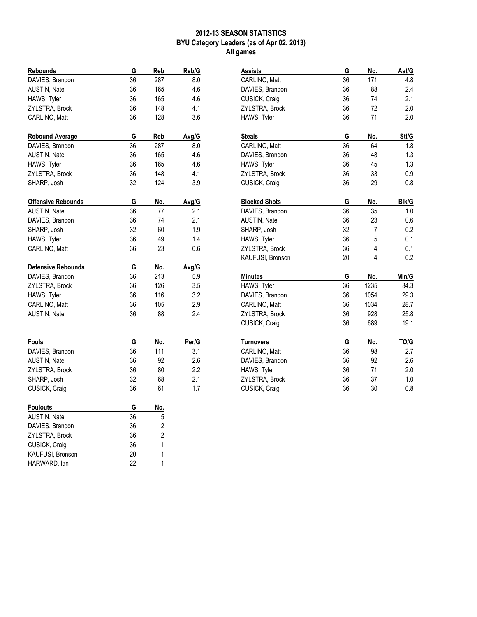# 2012-13 SEASON STATISTICS BYU Category Leaders (as of Apr 02, 2013) All games

| Rebounds                  | G        | Reb            | Reb/G      |
|---------------------------|----------|----------------|------------|
| DAVIES, Brandon           | 36       | 287            | 8.0        |
| <b>AUSTIN, Nate</b>       | 36       | 165            | 4.6        |
| HAWS, Tyler               | 36       | 165            | 4.6        |
| ZYLSTRA, Brock            | 36       | 148            | 4.1        |
| CARLINO, Matt             | 36       | 128            | 3.6        |
| Rebound Average           | G        | Reb            | Avg/G      |
| DAVIES, Brandon           | 36       | 287            | 8.0        |
| AUSTIN, Nate              | 36       | 165            | 4.6        |
| HAWS, Tyler               | 36       | 165            | 4.6        |
| ZYLSTRA, Brock            | 36       | 148            | 4.1        |
| SHARP, Josh               | 32       | 124            | 3.9        |
| <b>Offensive Rebounds</b> | G        | No.            | Avg/G      |
| AUSTIN, Nate              | 36       | 77             | 2.1        |
| DAVIES, Brandon           | 36       | 74             | 2.1        |
| SHARP, Josh               | 32       | 60             | 1.9        |
| HAWS, Tyler               | 36       | 49             | 1.4        |
| CARLINO, Matt             | 36       | 23             | 0.6        |
| <b>Defensive Rebounds</b> | G        | No.            | Avg/G      |
| DAVIES, Brandon           | 36       | 213            | 5.9        |
| ZYLSTRA, Brock            | 36       | 126            | 3.5        |
| HAWS, Tyler               | 36       | 116            | 3.2        |
| CARLINO, Matt             | 36       | 105            | 2.9        |
| <b>AUSTIN, Nate</b>       | 36       | 88             | 2.4        |
|                           |          |                |            |
| Fouls                     | G        | No.            | Per/G      |
| DAVIES, Brandon           | 36<br>36 | 111            | 3.1        |
| AUSTIN, Nate              | 36       | 92             | 2.6<br>2.2 |
| ZYLSTRA, Brock            | 32       | 80             | 2.1        |
| SHARP, Josh               | 36       | 68             | 1.7        |
| CUSICK, Craig             |          | 61             |            |
| <b>Foulouts</b>           | G        | No.            |            |
| AUSTIN, Nate              | 36       | 5              |            |
| DAVIES, Brandon           | 36       | $\overline{2}$ |            |
| ZYLSTRA, Brock            | 36       | $\overline{2}$ |            |
| CUSICK, Craig             | 36       | 1              |            |
| KAUFUSI, Bronson          | 20       | 1              |            |
| HARWARD, lan              | 22       | 1              |            |

| Assists              | G  | No.  | Ast/G        |
|----------------------|----|------|--------------|
| CARLINO, Matt        | 36 | 171  | 4.8          |
| DAVIES, Brandon      | 36 | 88   | 2.4          |
| CUSICK, Craig        | 36 | 74   | 2.1          |
| ZYLSTRA, Brock       | 36 | 72   | 2.0          |
| HAWS, Tyler          | 36 | 71   | 2.0          |
|                      |    |      |              |
| <b>Steals</b>        | G  | No.  | Stl/G        |
| CARLINO, Matt        | 36 | 64   | 1.8          |
| DAVIES, Brandon      | 36 | 48   | 1.3          |
| HAWS, Tyler          | 36 | 45   | 1.3          |
| ZYLSTRA, Brock       | 36 | 33   | 0.9          |
| CUSICK, Craig        | 36 | 29   | 0.8          |
|                      |    |      |              |
| <b>Blocked Shots</b> | G  | No.  | <b>BIk/G</b> |
| DAVIES, Brandon      | 36 | 35   | 1.0          |
| <b>AUSTIN, Nate</b>  | 36 | 23   | 0.6          |
| SHARP, Josh          | 32 | 7    | 0.2          |
| HAWS, Tyler          | 36 | 5    | 0.1          |
| ZYLSTRA, Brock       | 36 | 4    | 0.1          |
| KAUFUSI, Bronson     | 20 | 4    | 0.2          |
| Minutes              | G  | No.  | Min/G        |
| HAWS, Tyler          | 36 | 1235 | 34.3         |
| DAVIES, Brandon      | 36 | 1054 | 29.3         |
| CARLINO, Matt        | 36 | 1034 | 28.7         |
| ZYLSTRA, Brock       | 36 | 928  | 25.8         |
| CUSICK, Craig        | 36 | 689  | 19.1         |
|                      |    |      |              |
| Turnovers            | G  | No.  | TO/G         |
| CARLINO, Matt        | 36 | 98   | 2.7          |
| DAVIES, Brandon      | 36 | 92   | 2.6          |
| HAWS, Tyler          | 36 | 71   | 2.0          |
| ZYLSTRA, Brock       | 36 | 37   | 1.0          |
| CUSICK, Craig        | 36 | 30   | 0.8          |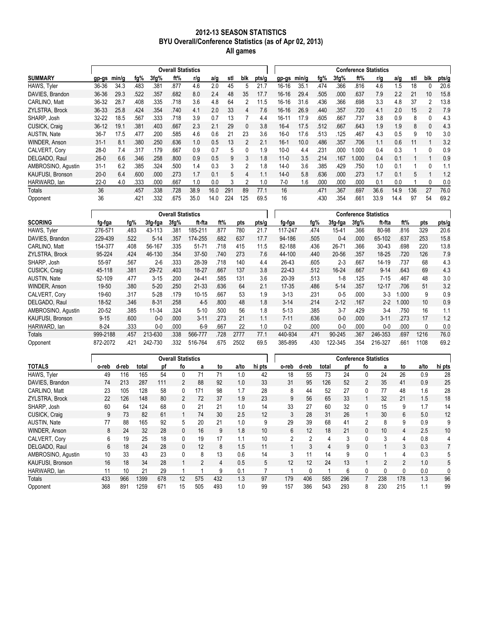#### 2012-13 SEASON STATISTICS BYU Overall/Conference Statistics (as of Apr 02, 2013) All games

|                         |           |       |      |      | <b>Overall Statistics</b> |      |      |     |                |       |           |       |      |       |      | <b>Conference Statistics</b> |      |     |     |       |
|-------------------------|-----------|-------|------|------|---------------------------|------|------|-----|----------------|-------|-----------|-------|------|-------|------|------------------------------|------|-----|-----|-------|
| <b>SUMMARY</b>          | gp-gs     | min/g | fg%  | 3fg% | ft%                       | r/g  | a/g  | stl | blk            | pts/g | gp gs     | min/g | fg%  | 3fg%  | ft%  | r/g                          | a/g  | stl | blk | pts/g |
| HAWS, Tyler             | 36-36     | 34.3  | .483 | .381 | .877                      | 4.6  | 2.0  | 45  |                |       | $16 - 16$ | 35.1  | .474 | 366   | .816 | 4.6                          | ∣.5  | 18  | 0   | 20.6  |
| DAVIES, Brandon         | $36 - 36$ | 29.3  | .522 | .357 | .682                      | 8.0  | 2.4  | 48  | 35             | 17.7  | $16 - 16$ | 29.4  | .505 | .000. | .637 | 7.9                          | 2.2  | 21  | 10  | 15.8  |
| CARLINO, Matt           | 36-32     | 28.7  | .408 | .335 | .718                      | 3.6  | 4.8  | 64  | 2              | 11.5  | 16-16     | 31.6  | .436 | 366   | .698 | 3.3                          | 4.8  | 37  |     | 13.8  |
| ZYLSTRA, Brock          | 36-33     | 25.8  | .424 | 354  | .740                      | 4.1  | 2.0  | 33  | 4              | 7.6   | $16-16$   | 26.9  | .440 | 357   | 720  | 4.1                          | 2.0  | 15  | 2   | 7.9   |
| SHARP. Josh             | 32-22     | 18.5  | 567  | .333 | 718                       | 3.9  | 0.7  | 13  |                | 4.4   | $16 - 11$ | 17.9  | .605 | .667  | .737 | 3.8                          | 0.9  | 8   | 0   | 4.3   |
| CUSICK, Craig           | $36-12$   | 19.1  | .381 | .403 | .667                      | 2.3  | 2.1  | 29  | $\mathbf{0}$   | 3.8   | $16-4$    | 17.5  | .512 | .667  | .643 | 1.9                          | 1.9  | 8   | 0   | 4.3   |
| <b>AUSTIN, Nate</b>     | $36-7$    | 17.5  | .477 | .200 | 585                       | 4.6  | 0.6  | 21  | 23             | 3.6   | $16-0$    | 17.6  | .513 | 125   | .467 | 4.3                          | 0.5  | 9   | 10  | 3.0   |
| <b>WINDER, Anson</b>    | $31 - 1$  | 8.1   | 380  | .250 | .636                      | 1.0  | 0.5  | 13  | $\mathcal{P}$  | 2.1   | $16-1$    | 10.0  | .486 | .357  | .706 | 1.1                          | 0.6  | 11  |     | 3.2   |
| CALVERT. Corv           | $28-0$    | 7.4   | .317 | 179  | .667                      | 0.9  | 0.7  | 5   | $\Omega$       | 1.9   | $10-0$    | 4.4   | .231 | .000  | .000 | 0.4                          | 0.3  |     | 0   | 0.9   |
| DELGADO, Raul           | $26-0$    | 6.6   | 346  | 258  | .800                      | 0.9  | 0.5  | 9   | 3              | 1.8   | $11-0$    | 3.5   | .214 | 167   | .000 | 0.4                          | 0.1  |     |     | 0.9   |
| AMBROSINO, Agustin      | $31 - 1$  | 6.2   | .385 | .324 | .500                      | 1.4  | 0.3  | 3   | $\mathfrak{p}$ | 1.8   | $14-0$    | 3.6   | .385 | .429  | 750  | 1.0                          | 0.1  |     | 0   | 1.1   |
| <b>KAUFUSI, Bronson</b> | $20 - 0$  | 6.4   | .600 | .000 | .273                      | 1.7  | 0.1  | 5   | 4              | 1.1   | $14 - 0$  | 5.8   | .636 | .000  | 273  | 1.7                          | 0.1  | 5   |     | 1.2   |
| HARWARD, lan            | $22-0$    | 4.0   | .333 | .000 | .667                      | 1.0  | 0.0  | 3   | 2              | 1.0   | 7-0       | 1.6   | .000 | .000  | .000 | 0.1                          | 0.0  |     | 0   | 0.0   |
| Totals                  | 36        |       | .457 | .338 | .728                      | 38.9 | 16.0 | 291 | 89             | 77.1  | 16        |       | .471 | .367  | .697 | 36.6                         | 14.9 | 136 | 27  | 76.0  |
| Opponent                | 36        |       | .421 | 332  | 675                       | 35.0 | 14.0 | 224 | 125            | 69.5  | 16        |       | .430 | 354   | .661 | 33.9                         | 14.4 | 97  | 54  | 69.2  |

|                         |           |      |           | <b>Overall Statistics</b> |           |      |      |       |           |      |           |      | <b>Conference Statistics</b> |       |                 |       |
|-------------------------|-----------|------|-----------|---------------------------|-----------|------|------|-------|-----------|------|-----------|------|------------------------------|-------|-----------------|-------|
|                         |           |      |           |                           |           |      |      |       |           |      |           |      |                              |       |                 |       |
| <b>SCORING</b>          | fg-fga    | fg%  | 3fg-fga   | 3fg%                      | ft fta    | ft%  | pts  | pts/g | fg-fga    | fg%  | 3fg fga   | 3fg% | ft fta                       | ft%   | pts             | pts/g |
| HAWS, Tyler             | 276-571   | .483 | 43-113    | .381                      | 185-211   | .877 | 780  | 21.7  | 117-247   | .474 | 15-41     | .366 | 80-98                        | .816  | 329             | 20.6  |
| DAVIES, Brandon         | 229-439   | .522 | $5 - 14$  | 357                       | 174-255   | .682 | 637  | 17.7  | 94-186    | .505 | $0 - 4$   | .000 | 65-102                       | .637  | 253             | 15.8  |
| CARLINO. Matt           | 154-377   | .408 | 56-167    | 335                       | $51 - 71$ | .718 | 415  | 11.5  | 82-188    | .436 | 26-71     | .366 | $30 - 43$                    | .698  | 220             | 13.8  |
| ZYLSTRA, Brock          | 95-224    | .424 | 46-130    | .354                      | 37-50     | .740 | 273  | 7.6   | 44-100    | .440 | $20 - 56$ | .357 | $18 - 25$                    | .720  | 126             | 7.9   |
| SHARP. Josh             | 55-97     | .567 | $2 - 6$   | .333                      | 28-39     | .718 | 140  | 4.4   | 26-43     | .605 | $2 - 3$   | .667 | 14-19                        | .737  | 68              | 4.3   |
| CUSICK, Craig           | 45-118    | .381 | 29-72     | .403                      | 18-27     | .667 | 137  | 3.8   | $22 - 43$ | .512 | 16-24     | .667 | $9 - 14$                     | .643  | 69              | 4.3   |
| <b>AUSTIN, Nate</b>     | 52-109    | .477 | $3-15$    | .200                      | 24-41     | .585 | 131  | 3.6   | 20-39     | .513 | $1 - 8$   | .125 | $7-15$                       | .467  | 48              | 3.0   |
| <b>WINDER, Anson</b>    | $19 - 50$ | .380 | $5-20$    | .250                      | $21 - 33$ | .636 | 64   | 2.1   | $17 - 35$ | .486 | $5 - 14$  | .357 | $12 - 17$                    | .706  | 51              | 3.2   |
| CALVERT. Corv           | 19-60     | .317 | $5-28$    | .179                      | $10 - 15$ | 667  | 53   | 1.9   | $3-13$    | .231 | $0 - 5$   | .000 | $3-3$                        | .000  | 9               | 0.9   |
| DELGADO, Raul           | 18-52     | .346 | $8 - 31$  | 258                       | $4 - 5$   | .800 | 48   | 1.8   | $3 - 14$  | .214 | $2 - 12$  | .167 | $2 - 2$                      | 1.000 | 10 <sup>°</sup> | 0.9   |
| AMBROSINO, Agustin      | $20 - 52$ | .385 | $11 - 34$ | .324                      | $5 - 10$  | .500 | 56   | 1.8   | $5-13$    | .385 | $3 - 7$   | .429 | $3-4$                        | .750  | 16              | 1.1   |
| <b>KAUFUSI, Bronson</b> | $9 - 15$  | .600 | $0 - 0$   | .000                      | $3 - 11$  | .273 | 21   | 1.1   | $7 - 11$  | .636 | $0 - 0$   | .000 | $3 - 11$                     | .273  | 17              | 1.2   |
| HARWARD, lan            | $8-24$    | .333 | $0 - 0$   | .000                      | $6-9$     | .667 | 22   | 1.0   | $0 - 2$   | .000 | $0 - 0$   | .000 | $0 - 0$                      | .000  | 0               | 0.0   |
| Totals                  | 999-2188  | .457 | 213-630   | .338                      | 566-777   | .728 | 2777 | 77.1  | 440-934   | .471 | 90-245    | .367 | 246-353                      | .697  | 1216            | 76.0  |
| Opponent                | 872-2072  | .421 | 242-730   | 332                       | 516-764   | 675  | 2502 | 69.5  | 385-895   | .430 | 122-345   | .354 | 216-327                      | 661   | 1108            | 69.2  |

|                      |       |       |       |     | <b>Overall Statistics</b> |                |     |      |        |                |                |       | <b>Conference Statistics</b> |                |     |                |      |        |
|----------------------|-------|-------|-------|-----|---------------------------|----------------|-----|------|--------|----------------|----------------|-------|------------------------------|----------------|-----|----------------|------|--------|
| <b>TOTALS</b>        | o-reb | d-reb | total | рf  | fo                        | a              | to  | a/to | hi pts | o-reb          | d-reb          | total | рf                           | fo             | a   | to             | a/to | hi pts |
| HAWS, Tyler          | 49    | 116   | 165   | 54  | 0                         | 71             |     | 1.0  | 42     | 18             | 55             | 73    | 24                           | $\mathbf{0}$   | 24  | 26             | 0.9  | 28     |
| DAVIES, Brandon      | 74    | 213   | 287   | 111 | $\overline{2}$            | 88             | 92  | 1.0  | 33     | 31             | 95             | 126   | 52                           | $\overline{2}$ | 35  | 41             | 0.9  | 25     |
| CARLINO. Matt        | 23    | 105   | 128   | 58  | $\mathbf{0}$              | 171            | 98  | 1.7  | 28     | 8              | 44             | 52    | 27                           | $\mathbf{0}$   | 77  | 48             | 1.6  | 28     |
| ZYLSTRA, Brock       | 22    | 126   | 148   | 80  | 2                         | 72             | 37  | 1.9  | 23     | 9              | 56             | 65    | 33                           |                | 32  | 21             | 1.5  | 18     |
| SHARP. Josh          | 60    | 64    | 124   | 68  | 0                         | 21             | 21  | 1.0  | 14     | 33             | 27             | 60    | 32                           | $\mathbf{0}$   | 15  | 9              | 1.7  | 14     |
| CUSICK, Craig        | 9     | 73    | 82    | 61  |                           | 74             | 30  | 2.5  | 12     | 3              | 28             | 31    | 26                           |                | 30  | 6              | 5.0  | 12     |
| AUSTIN, Nate         | 77    | 88    | 165   | 92  | 5                         | 20             | 21  | 1.0  | 9      | 29             | 39             | 68    | 41                           | 2              | 8   | 9              | 0.9  | 9      |
| <b>WINDER, Anson</b> | 8     | 24    | 32    | 28  | $\mathbf{0}$              | 16             | 9   | 1.8  | 10     | 6              | 12             | 18    | 21                           | $\mathbf{0}$   | 10  | 4              | 2.5  | 10     |
| CALVERT, Corv        | 6     | 19    | 25    | 18  | 0                         | 19             | 17  | 1.1  | 10     | $\overline{2}$ | $\mathfrak{D}$ |       | 3                            | $\Omega$       | 3   | 4              | 0.8  | 4      |
| DELGADO, Raul        | 6     | 18    | 24    | 28  | 0                         | 12             | 8   | 1.5  | 11     | 1              | 3              | 4     | 9                            | $\mathbf{0}$   |     | 3              | 0.3  | 7      |
| AMBROSINO, Agustin   | 10    | 33    | 43    | 23  | 0                         | 8              | 13  | 0.6  | 14     | 3              | 11             | 14    | 9                            | $\Omega$       |     | 4              | 0.3  | 5      |
| KAUFUSI, Bronson     | 16    | 18    | 34    | 28  |                           | $\overline{2}$ | 4   | 0.5  | 5      | 12             | 12             | 24    | 13                           |                | 2   | $\overline{2}$ | 1.0  | 5      |
| HARWARD, Ian         | 11    | 10    | 21    | 29  |                           |                | 9   | 0.1  |        |                | 0              |       | 6                            | $\mathbf{0}$   | 0   | 0              | 0.0  | 0      |
| Totals               | 433   | 966   | 1399  | 678 | 12                        | 575            | 432 | 1.3  | 97     | 179            | 406            | 585   | 296                          |                | 238 | 178            | 1.3  | 96     |
| Opponent             | 368   | 891   | 1259  | 671 | 15                        | 505            | 493 | 1.0  | 99     | 157            | 386            | 543   | 293                          | 8              | 230 | 215            | 1.1  | 99     |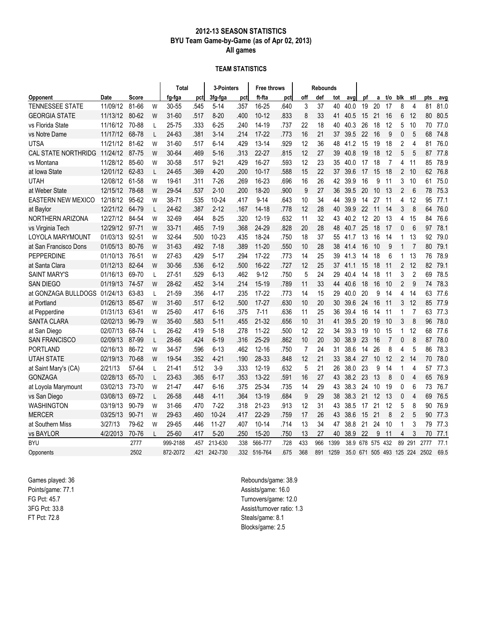### 2012-13 SEASON STATISTICS BYU Team Game-by-Game (as of Apr 02, 2013) All games

#### TEAM STATISTICS

|                            |          |              |   | Total    |      | 3-Pointers |      | <b>Free throws</b> |      |                | <b>Rebounds</b> |      |      |    |                     |                |                |                |      |      |
|----------------------------|----------|--------------|---|----------|------|------------|------|--------------------|------|----------------|-----------------|------|------|----|---------------------|----------------|----------------|----------------|------|------|
| Opponent                   | Date     | <b>Score</b> |   | fg-fga   | pctl | 3fg-fga    | pct  | ft-fta             | pct  | off            | def             | tot  | avg  | pf | a                   | t/o            | blk            | stl            | pts  | avg  |
| TENNESSEE STATE            | 11/09/12 | 81-66        | W | 30-55    | .545 | $5 - 14$   | .357 | 16-25              | .640 | 3              | 37              | 40   | 40.0 | 19 | 20                  | 17             | 8              | $\overline{4}$ | 81   | 81.0 |
| <b>GEORGIA STATE</b>       | 11/13/12 | 80-62        | W | 31-60    | .517 | $8 - 20$   | .400 | $10 - 12$          | .833 | 8              | 33              | 41   | 40.5 | 15 | 21                  | 16             | 6              | 12             | 80   | 80.5 |
| vs Florida State           | 11/16/12 | 70-88        | L | 25-75    | .333 | $6 - 25$   | .240 | 14-19              | .737 | 22             | 18              | 40   | 40.3 | 26 | 18                  | 12             | 5              | 10             | 70   | 77.0 |
| vs Notre Dame              | 11/17/12 | 68-78        | L | 24-63    | .381 | 3-14       | .214 | $17 - 22$          | .773 | 16             | 21              | 37   | 39.5 | 22 | 16                  | 9              | 0              | 5              | 68   | 74.8 |
| UTSA                       | 11/21/12 | 81-62        | W | 31-60    | .517 | $6 - 14$   | .429 | $13 - 14$          | .929 | 12             | 36              | 48   | 41.2 | 15 | 19                  | 18             | 2              | 4              | 81   | 76.0 |
| <b>CAL STATE NORTHRIDG</b> | 11/24/12 | 87-75        | W | 30-64    | .469 | 5-16       | .313 | $22 - 27$          | .815 | 12             | 27              | 39   | 40.8 | 19 | 18                  | 12             | 5              | 5              | 87   | 77.8 |
| vs Montana                 | 11/28/12 | 85-60        | W | 30-58    | .517 | $9 - 21$   | .429 | 16-27              | .593 | 12             | 23              | 35   | 40.0 | 17 | 18                  | 7              | 4              | 11             | 85   | 78.9 |
| at Iowa State              | 12/01/12 | 62-83        | L | 24-65    | .369 | $4 - 20$   | .200 | $10 - 17$          | .588 | 15             | 22              | 37   | 39.6 | 17 | 15                  | 18             | $\overline{2}$ | 10             | 62   | 76.8 |
| <b>UTAH</b>                | 12/08/12 | 61-58        | W | 19-61    | .311 | $7 - 26$   | .269 | 16-23              | .696 | 16             | 26              | 42   | 39.9 | 16 | 9                   | 11             | 3              | 10             | 61   | 75.0 |
| at Weber State             | 12/15/12 | 78-68        | W | 29-54    | .537 | $2 - 10$   | .200 | 18-20              | .900 | 9              | 27              | 36   | 39.5 | 20 | 10                  | 13             | 2              | 6              | 78   | 75.3 |
| EASTERN NEW MEXICO         | 12/18/12 | 95-62        | W | 38-71    | .535 | 10-24      | .417 | $9 - 14$           | .643 | 10             | 34              | 44   | 39.9 | 14 | 27                  | 11             | 4              | 12             | 95   | 77.1 |
| at Baylor                  | 12/21/12 | 64-79        | L | 24-62    | .387 | $2 - 12$   | .167 | 14-18              | .778 | 12             | 28              | 40   | 39.9 | 22 | 11                  | -14            | 3              | 8              | 64   | 76.0 |
| NORTHERN ARIZONA           | 12/27/12 | 84-54        | W | 32-69    | .464 | $8 - 25$   | .320 | 12-19              | .632 | 11             | 32              | 43   | 40.2 | 12 | 20                  | 13             | 4              | 15             | 84   | 76.6 |
| vs Virginia Tech           | 12/29/12 | $97 - 71$    | W | 33-71    | .465 | $7 - 19$   | .368 | 24-29              | .828 | 20             | 28              | 48   | 40.7 | 25 | 18                  | 17             | 0              | 6              | 97   | 78.1 |
| LOYOLA MARYMOUNT           | 01/03/13 | 92-51        | W | 32-64    | .500 | $10 - 23$  | .435 | 18-24              | .750 | 18             | 37              | 55   | 41.7 | 13 | 16                  | 14             | 1              | 13             | 92   | 79.0 |
| at San Francisco Dons      | 01/05/13 | 80-76        | W | 31-63    | .492 | $7 - 18$   | .389 | $11 - 20$          | .550 | 10             | 28              | 38   | 41.4 | 16 | 10                  | 9              | $\mathbf{1}$   | $\overline{7}$ | 80   | 79.1 |
| <b>PEPPERDINE</b>          | 01/10/13 | 76-51        | W | 27-63    | .429 | $5 - 17$   | .294 | $17 - 22$          | .773 | 14             | 25              | 39   | 41.3 | 14 | 18                  | 6              | 1              | 13             | 76   | 78.9 |
| at Santa Clara             | 01/12/13 | 82-64        | W | 30-56    | .536 | $6 - 12$   | .500 | 16-22              | .727 | 12             | 25              | 37   | 41.1 | 15 | 18                  | 11             | $\overline{2}$ | 12             | 82   | 79.1 |
| <b>SAINT MARY'S</b>        | 01/16/13 | 69-70        | L | 27-51    | .529 | $6 - 13$   | .462 | $9 - 12$           | .750 | 5              | 24              | 29   | 40.4 | 14 | 18                  | 11             | 3              | $\overline{2}$ | 69   | 78.5 |
| SAN DIEGO                  | 01/19/13 | 74-57        | W | 28-62    | .452 | $3 - 14$   | .214 | 15-19              | .789 | 11             | 33              | 44   | 40.6 | 18 | 16                  | 10             | 2              | 9              | 74   | 78.3 |
| at GONZAGA BULLDOGS        | 01/24/13 | 63-83        | L | 21-59    | .356 | 4-17       | .235 | 17-22              | .773 | 14             | 15              | 29   | 40.0 | 20 | 9                   | 14             | 4              | 14             | 63   | 77.6 |
| at Portland                | 01/26/13 | 85-67        | W | 31-60    | .517 | $6 - 12$   | .500 | $17 - 27$          | .630 | 10             | 20              | 30   | 39.6 | 24 | 16                  | 11             | 3              | 12             | 85   | 77.9 |
| at Pepperdine              | 01/31/13 | 63-61        | W | 25-60    | .417 | $6 - 16$   | .375 | $7 - 11$           | .636 | 11             | 25              | 36   | 39.4 | 16 | 14                  | 11             | $\mathbf{1}$   | $\overline{7}$ | 63   | 77.3 |
| <b>SANTA CLARA</b>         | 02/02/13 | 96-79        | W | 35-60    | .583 | 5-11       | .455 | 21-32              | .656 | 10             | 31              | 41   | 39.5 | 20 | 19                  | 10             | 3              | 8              | 96   | 78.0 |
| at San Diego               | 02/07/13 | 68-74        | L | 26-62    | .419 | $5 - 18$   | .278 | $11 - 22$          | .500 | 12             | 22              | 34   | 39.3 | 19 | 10                  | 15             | 1              | 12             | 68   | 77.6 |
| <b>SAN FRANCISCO</b>       | 02/09/13 | 87-99        | L | 28-66    | .424 | $6 - 19$   | .316 | 25-29              | .862 | 10             | 20              | 30   | 38.9 | 23 | 16                  | $\overline{7}$ | 0              | 8              | 87   | 78.0 |
| <b>PORTLAND</b>            | 02/16/13 | 86-72        | W | 34-57    | .596 | $6 - 13$   | .462 | $12 - 16$          | .750 | $\overline{7}$ | 24              | 31   | 38.6 | 14 | 26                  | 8              | 4              | 5              | 86   | 78.3 |
| <b>UTAH STATE</b>          | 02/19/13 | 70-68        | W | 19-54    | .352 | $4 - 21$   | .190 | 28-33              | .848 | 12             | 21              | 33   | 38.4 | 27 | 10                  | 12             | 2              | 14             | 70   | 78.0 |
| at Saint Mary's (CA)       | 2/21/13  | 57-64        | L | 21-41    | .512 | $3-9$      | .333 | $12 - 19$          | .632 | 5              | 21              | 26   | 38.0 | 23 | 9                   | 14             | 1              | 4              | 57   | 77.3 |
| <b>GONZAGA</b>             | 02/28/13 | 65-70        | L | 23-63    | .365 | $6 - 17$   | .353 | 13-22              | .591 | 16             | 27              | 43   | 38.2 | 23 | 13                  | 8              | 0              | $\overline{4}$ | 65   | 76.9 |
| at Loyola Marymount        | 03/02/13 | 73-70        | W | 21-47    | .447 | $6 - 16$   | .375 | 25-34              | .735 | 14             | 29              | 43   | 38.3 | 24 | 10                  | 19             | 0              | 6              | 73   | 76.7 |
| vs San Diego               | 03/08/13 | 69-72        | L | 26-58    | .448 | $4 - 11$   | .364 | $13 - 19$          | .684 | 9              | 29              | 38   | 38.3 | 21 | 12                  | 13             | 0              | 4              | 69   | 76.5 |
| <b>WASHINGTON</b>          | 03/19/13 | 90-79        | W | 31-66    | .470 | $7 - 22$   | .318 | $21 - 23$          | .913 | 12             | 31              | 43   | 38.5 | 17 | 21                  | 12             | 5              | 8              | 90   | 76.9 |
| <b>MERCER</b>              | 03/25/13 | 90-71        | W | 29-63    | .460 | $10 - 24$  | .417 | 22-29              | .759 | 17             | 26              | 43   | 38.6 | 15 | 21                  | 8              | 2              | 5              | 90   | 77.3 |
| at Southern Miss           | 3/27/13  | 79-62        | W | 29-65    | .446 | $11 - 27$  | .407 | $10 - 14$          | .714 | 13             | 34              | 47   | 38.8 | 21 | 24                  | 10             | 1              | 3              | 79   | 77.3 |
| vs BAYLOR                  | 4/2/2013 | 70-76        | I | 25-60    | .417 | $5 - 20$   | .250 | $15 - 20$          | .750 | 13             | 27              | 40   | 38.9 | 22 | 9                   | 11             | 4              | 3              | 70   | 77.1 |
| BYU                        |          | 2777         |   | 999-2188 | .457 | 213-630    | .338 | 566-777            | .728 | 433            | 966             | 1399 | 38.9 |    | 678 575 432         |                | 89             | 291            | 2777 | 77.1 |
| Opponents                  |          | 2502         |   | 872-2072 | .421 | 242-730    | .332 | 516-764            | 675  | 368            | 891             | 1259 | 35.0 |    | 671 505 493 125 224 |                |                |                | 2502 | 69.5 |

Games played: 36 Points/game: 77.1 FG Pct: 45.7 3FG Pct: 33.8 FT Pct: 72.8

Rebounds/game: 38.9 Assists/game: 16.0 Turnovers/game: 12.0 Assist/turnover ratio: 1.3 Steals/game: 8.1 Blocks/game: 2.5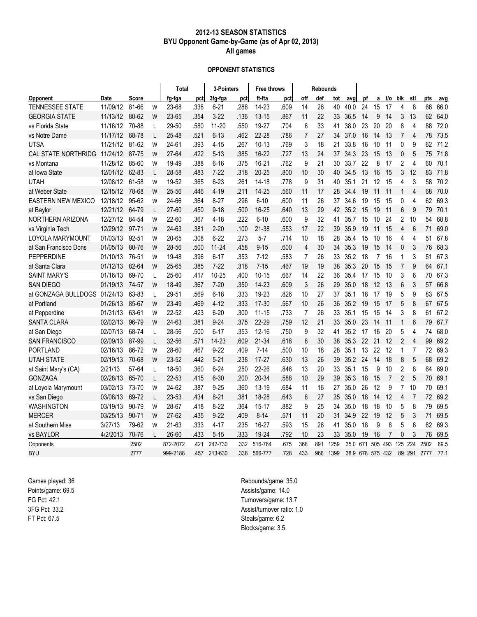### 2012-13 SEASON STATISTICS BYU Opponent Game-by-Game (as of Apr 02, 2013) All games

#### OPPONENT STATISTICS

|                            |          |              |   | Total     |      | 3-Pointers |      | Free throws |      |                | <b>Rebounds</b> |      |      |     |             |                |                |                |      |      |
|----------------------------|----------|--------------|---|-----------|------|------------|------|-------------|------|----------------|-----------------|------|------|-----|-------------|----------------|----------------|----------------|------|------|
| <b>Opponent</b>            | Date     | <b>Score</b> |   | fg-fga    | pct  | 3fg-fga    | pct  | ft fta      | pct  | off            | def             | tot  | avg  | рf  | a           | t/o            | blk            | stl            | pts  | avg  |
| TENNESSEE STATE            | 11/09/12 | 81-66        | W | 23-68     | .338 | $6 - 21$   | .286 | 14-23       | .609 | 14             | 26              | 40   | 40.0 | 24  | 15          | 17             | 4              | 8              | 66   | 66.0 |
| <b>GEORGIA STATE</b>       | 11/13/12 | 80-62        | W | 23-65     | .354 | $3 - 22$   | .136 | $13 - 15$   | .867 | 11             | 22              | 33   | 36.5 | 14  | 9           | 14             | 3              | 13             | 62   | 64.0 |
| vs Florida State           | 11/16/12 | 70-88        | L | 29-50     | .580 | $11 - 20$  | .550 | 19-27       | .704 | 8              | 33              | 41   | 38.0 | 23  | 20          | 20             | 8              | 4              | 88   | 72.0 |
| vs Notre Dame              | 11/17/12 | 68-78        | L | 25-48     | .521 | $6 - 13$   | .462 | 22-28       | .786 | $\overline{7}$ | 27              | 34   | 37.0 | 16  | 14          | 13             | 7              | 4              | 78   | 73.5 |
| UTSA                       | 11/21/12 | 81-62        | W | 24-61     | .393 | $4 - 15$   | .267 | 10-13       | .769 | 3              | 18              | 21   | 33.8 | 16  | 10          | 11             | 0              | 9              | 62   | 71.2 |
| <b>CAL STATE NORTHRIDG</b> | 11/24/12 | 87-75        | W | 27-64     | .422 | $5 - 13$   | .385 | 16-22       | .727 | 13             | 24              | 37   | 34.3 | 23  | 15          | 13             | 0              | 5              | 75   | 71.8 |
| vs Montana                 | 11/28/12 | 85-60        | W | 19-49     | .388 | $6 - 16$   | .375 | 16-21       | .762 | 9              | 21              | 30   | 33.7 | 22  | 8           | 17             | 2              | 4              | 60   | 70.1 |
| at Iowa State              | 12/01/12 | 62-83        | L | 28-58     | .483 | $7 - 22$   | .318 | $20 - 25$   | .800 | 10             | 30              | 40   | 34.5 | 13  | 16          | 15             | 3              | 12             | 83   | 71.8 |
| <b>UTAH</b>                | 12/08/12 | 61-58        | W | 19-52     | .365 | $6 - 23$   | .261 | 14-18       | .778 | 9              | 31              | 40   | 35.1 | 21  | 12          | 15             | 4              | 3              | 58   | 70.2 |
| at Weber State             | 12/15/12 | 78-68        | W | 25-56     | .446 | $4 - 19$   | .211 | $14 - 25$   | .560 | 11             | 17              | 28   | 34.4 | 19  | 11          | 11             | 1              | 4              | 68   | 70.0 |
| <b>EASTERN NEW MEXICO</b>  | 12/18/12 | 95-62        | W | 24-66     | .364 | $8 - 27$   | .296 | $6 - 10$    | .600 | 11             | 26              | 37   | 34.6 | 19  | 15          | 15             | 0              | 4              | 62   | 69.3 |
| at Baylor                  | 12/21/12 | 64-79        | L | $27 - 60$ | .450 | $9 - 18$   | .500 | 16-25       | .640 | 13             | 29              | 42   | 35.2 | 15  | 19          | 11             | 6              | 9              | 79   | 70.1 |
| NORTHERN ARIZONA           | 12/27/12 | 84-54        | W | 22-60     | .367 | 4-18       | .222 | $6 - 10$    | .600 | 9              | 32              | 41   | 35.7 | 15  | 10          | 24             | 2              | 10             | 54   | 68.8 |
| vs Virginia Tech           | 12/29/12 | 97-71        | W | 24-63     | .381 | $2 - 20$   | .100 | 21-38       | .553 | 17             | 22              | 39   | 35.9 | 19  | 11          | 15             | 4              | 6              | 71   | 69.0 |
| LOYOLA MARYMOUNT           | 01/03/13 | 92-51        | W | 20-65     | .308 | $6 - 22$   | .273 | $5 - 7$     | .714 | 10             | 18              | 28   | 35.4 | 15  | 10          | 16             | 4              | 4              | 51   | 67.8 |
| at San Francisco Dons      | 01/05/13 | 80-76        | W | 28-56     | .500 | $11 - 24$  | .458 | $9 - 15$    | .600 | $\overline{4}$ | 30              | 34   | 35.3 | 19  | 15          | 14             | 0              | 3              | 76   | 68.3 |
| <b>PEPPERDINE</b>          | 01/10/13 | 76-51        | W | 19-48     | .396 | $6 - 17$   | .353 | $7-12$      | .583 | $\overline{7}$ | 26              | 33   | 35.2 | 18  | 7           | 16             | 1              | 3              | 51   | 67.3 |
| at Santa Clara             | 01/12/13 | 82-64        | W | 25-65     | .385 | $7 - 22$   | .318 | $7 - 15$    | .467 | 19             | 19              | 38   | 35.3 | 20  | 15          | 15             | $\overline{7}$ | 9              | 64   | 67.1 |
| <b>SAINT MARY'S</b>        | 01/16/13 | 69-70        | L | 25-60     | .417 | $10 - 25$  | .400 | $10 - 15$   | .667 | 14             | 22              | 36   | 35.4 | 17  | 15          | 10             | 3              | 6              | 70   | 67.3 |
| <b>SAN DIEGO</b>           | 01/19/13 | 74-57        | W | 18-49     | .367 | $7 - 20$   | .350 | $14 - 23$   | .609 | 3              | 26              | 29   | 35.0 | 18  | 12          | 13             | 6              | 3              | 57   | 66.8 |
| at GONZAGA BULLDOGS        | 01/24/13 | 63-83        | L | 29-51     | .569 | $6 - 18$   | .333 | 19-23       | .826 | 10             | 27              | 37   | 35.1 | 18  | 17          | 19             | 5              | 9              | 83   | 67.5 |
| at Portland                | 01/26/13 | 85-67        | W | 23-49     | .469 | $4 - 12$   | .333 | $17 - 30$   | .567 | 10             | 26              | 36   | 35.2 | 19  | 15          | 17             | 5              | 8              | 67   | 67.5 |
| at Pepperdine              | 01/31/13 | 63-61        | W | 22-52     | .423 | $6 - 20$   | .300 | $11 - 15$   | .733 | 7              | 26              | 33   | 35.1 | 15  | 15          | 14             | 3              | 8              | 61   | 67.2 |
| <b>SANTA CLARA</b>         | 02/02/13 | 96-79        | W | 24-63     | .381 | $9 - 24$   | .375 | $22 - 29$   | .759 | 12             | 21              | 33   | 35.0 | 23  | 14          | 11             | 1              | 6              | 79   | 67.7 |
| at San Diego               | 02/07/13 | 68-74        | L | 28-56     | .500 | $6 - 17$   | .353 | $12 - 16$   | .750 | 9              | 32              | 41   | 35.2 | 17  | 16          | 20             | 5              | 4              | 74   | 68.0 |
| <b>SAN FRANCISCO</b>       | 02/09/13 | 87-99        | L | 32-56     | .571 | 14-23      | .609 | 21-34       | .618 | 8              | 30              | 38   | 35.3 | 22  | 21          | 12             | $\overline{2}$ | $\overline{4}$ | 99   | 69.2 |
| <b>PORTLAND</b>            | 02/16/13 | 86-72        | W | 28-60     | .467 | $9 - 22$   | .409 | $7 - 14$    | .500 | 10             | 18              | 28   | 35.1 | 13  | 22          | 12             | 1              | 7              | 72   | 69.3 |
| <b>UTAH STATE</b>          | 02/19/13 | 70-68        | W | 23-52     | .442 | $5 - 21$   | .238 | $17 - 27$   | .630 | 13             | 26              | 39   | 35.2 | 24  | 14          | 18             | 8              | 5              | 68   | 69.2 |
| at Saint Mary's (CA)       | 2/21/13  | 57-64        | L | 18-50     | .360 | $6 - 24$   | .250 | 22-26       | .846 | 13             | 20              | 33   | 35.1 | 15  | 9           | 10             | 2              | 8              | 64   | 69.0 |
| <b>GONZAGA</b>             | 02/28/13 | 65-70        | L | 22-53     | .415 | $6 - 30$   | .200 | 20-34       | .588 | 10             | 29              | 39   | 35.3 | 18  | 15          | $\overline{7}$ | $\overline{2}$ | 5              | 70   | 69.1 |
| at Loyola Marymount        | 03/02/13 | 73-70        | W | 24-62     | .387 | $9 - 25$   | .360 | 13-19       | .684 | 11             | 16              | 27   | 35.0 | 26  | 12          | 9              | 7              | 10             | 70   | 69.1 |
| vs San Diego               | 03/08/13 | 69-72        | L | 23-53     | .434 | $8 - 21$   | 381  | 18-28       | .643 | 8              | 27              | 35   | 35.0 | 18  | 14          | 12             | 4              | $\overline{7}$ | 72   | 69.2 |
| WASHINGTON                 | 03/19/13 | 90-79        | W | 28-67     | .418 | $8 - 22$   | .364 | $15 - 17$   | .882 | 9              | 25              | 34   | 35.0 | 18  | 18          | 10             | 5              | 8              | 79   | 69.5 |
| <b>MERCER</b>              | 03/25/13 | 90-71        | W | $27 - 62$ | .435 | $9 - 22$   | .409 | $8 - 14$    | .571 | 11             | 20              | 31   | 34.9 | 22  | 19          | 12             | 5              | 3              | 71   | 69.5 |
| at Southern Miss           | 3/27/13  | 79-62        | W | 21-63     | .333 | $4 - 17$   | .235 | 16-27       | .593 | 15             | 26              | 41   | 35.0 | 18  | 9           | 8              | 5              | 6              | 62   | 69.3 |
| vs BAYLOR                  | 4/2/2013 | 70-76        | L | 26-60     | .433 | $5 - 15$   | .333 | 19-24       | .792 | 10             | 23              | 33   | 35.0 | 19  | 16          | 7              | 0              | 3              | 76   | 69.5 |
| Opponents                  |          | 2502         |   | 872-2072  | 421  | 242-730    | .332 | 516-764     | .675 | 368            | 891             | 1259 | 35.0 | 671 | 505 493     |                | 125            | 224            | 2502 | 69.5 |
| <b>BYU</b>                 |          | 2777         |   | 999-2188  | 457  | 213-630    | .338 | 566-777     | .728 | 433            | 966             | 1399 | 38.9 |     | 678 575 432 |                |                | 89 291         | 2777 | 77.1 |

Games played: 36 Points/game: 69.5 FG Pct: 42.1 3FG Pct: 33.2 FT Pct: 67.5

Rebounds/game: 35.0 Assists/game: 14.0 Turnovers/game: 13.7 Assist/turnover ratio: 1.0 Steals/game: 6.2 Blocks/game: 3.5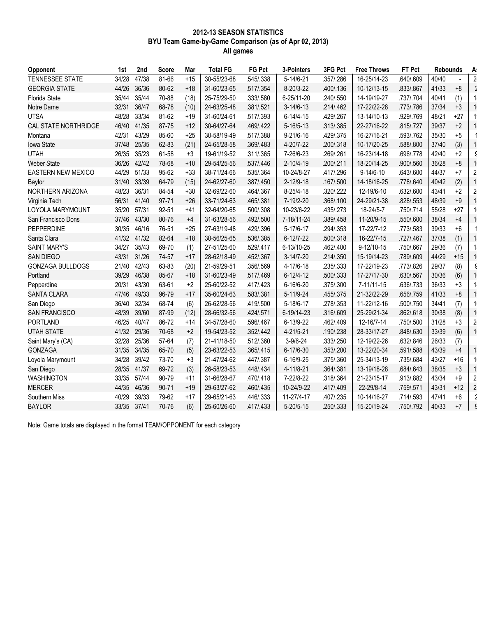#### 2012-13 SEASON STATISTICS BYU Team Game-by-Game Comparison (as of Apr 02, 2013) All games

| Opponent                    | 1st         | 2nd   | <b>Score</b> | Mar   | <b>Total FG</b> | <b>FG Pct</b> | 3-Pointers      | 3FG Pct   | <b>Free Throws</b> | FT Pct    | <b>Rebounds</b> |       | A.             |
|-----------------------------|-------------|-------|--------------|-------|-----------------|---------------|-----------------|-----------|--------------------|-----------|-----------------|-------|----------------|
| <b>TENNESSEE STATE</b>      | 34/28       | 47/38 | 81-66        | $+15$ | 30-55/23-68     | .545/.338     | 5-14/6-21       | .357/.286 | 16-25/14-23        | .640/.609 | 40/40           |       | $\overline{c}$ |
| <b>GEORGIA STATE</b>        | 44/26       | 36/36 | 80-62        | $+18$ | 31-60/23-65     | .517/.354     | 8-20/3-22       | .400/.136 | 10-12/13-15        | .833/.867 | 41/33           | $+8$  |                |
| <b>Florida State</b>        | 35/44       | 35/44 | 70-88        | (18)  | 25-75/29-50     | .333/.580     | 6-25/11-20      | .240/.550 | 14-19/19-27        | .737/.704 | 40/41           | (1)   | 1              |
| Notre Dame                  | 32/31       | 36/47 | 68-78        | (10)  | 24-63/25-48     | .381/.521     | $3-14/6-13$     | .214/.462 | 17-22/22-28        | .773/.786 | 37/34           | $+3$  | 1              |
| <b>UTSA</b>                 | 48/28       | 33/34 | 81-62        | $+19$ | 31-60/24-61     | .517/.393     | $6 - 14/4 - 15$ | .429/.267 | 13-14/10-13        | .929/.769 | 48/21           | $+27$ | $\mathbf{1}$   |
| <b>CAL STATE NORTHRIDGE</b> | 46/40       | 41/35 | 87-75        | $+12$ | 30-64/27-64     | .469/.422     | $5 - 16/5 - 13$ | .313/.385 | 22-27/16-22        | .815/.727 | 39/37           | $+2$  |                |
| Montana                     | 42/31       | 43/29 | 85-60        | $+25$ | 30-58/19-49     | .517/.388     | $9 - 21/6 - 16$ | .429/.375 | 16-27/16-21        | .593/.762 | 35/30           | $+5$  |                |
| <b>lowa State</b>           | 37/48       | 25/35 | 62-83        | (21)  | 24-65/28-58     | .369/.483     | 4-20/7-22       | .200/.318 | 10-17/20-25        | .588/.800 | 37/40           | (3)   | 1              |
| <b>UTAH</b>                 | 26/35       | 35/23 | 61-58        | $+3$  | 19-61/19-52     | .311/.365     | 7-26/6-23       | .269/.261 | 16-23/14-18        | .696/.778 | 42/40           | $+2$  |                |
| <b>Weber State</b>          | 36/26       | 42/42 | 78-68        | $+10$ | 29-54/25-56     | .537/.446     | $2 - 10/4 - 19$ | .200/.211 | 18-20/14-25        | .900/.560 | 36/28           | $+8$  | 1              |
| <b>EASTERN NEW MEXICO</b>   | 44/29       | 51/33 | 95-62        | $+33$ | 38-71/24-66     | .535/.364     | 10-24/8-27      | .417/.296 | $9 - 14/6 - 10$    | .643/.600 | 44/37           | $+7$  | $\overline{a}$ |
| Baylor                      | 31/40       | 33/39 | 64-79        | (15)  | 24-62/27-60     | .387/.450     | $2 - 12/9 - 18$ | .167/.500 | 14-18/16-25        | .778/.640 | 40/42           | (2)   | $\mathbf{1}$   |
| NORTHERN ARIZONA            | 48/23       | 36/31 | 84-54        | $+30$ | 32-69/22-60     | .464/.367     | 8-25/4-18       | .320/.222 | 12-19/6-10         | .632/.600 | 43/41           | $+2$  | $\overline{c}$ |
| Virginia Tech               | 56/31       | 41/40 | 97-71        | $+26$ | 33-71/24-63     | .465/.381     | 7-19/2-20       | .368/.100 | 24-29/21-38        | .828/.553 | 48/39           | $+9$  |                |
| LOYOLA MARYMOUNT            | 35/20       | 57/31 | 92-51        | $+41$ | 32-64/20-65     | .500/.308     | 10-23/6-22      | .435/.273 | 18-24/5-7          | .750/.714 | 55/28           | $+27$ | 1              |
| San Francisco Dons          | 37/46       | 43/30 | 80-76        | $+4$  | 31-63/28-56     | .492/.500     | 7-18/11-24      | .389/.458 | 11-20/9-15         | .550/.600 | 38/34           | $+4$  |                |
| PEPPERDINE                  | 30/35       | 46/16 | 76-51        | $+25$ | 27-63/19-48     | .429/.396     | 5-17/6-17       | .294/.353 | 17-22/7-12         | .773/.583 | 39/33           | $+6$  |                |
| Santa Clara                 | 41/32 41/32 |       | 82-64        | $+18$ | 30-56/25-65     | .536/.385     | $6 - 12/7 - 22$ | .500/.318 | 16-22/7-15         | .727/.467 | 37/38           | (1)   | $\mathbf{1}$   |
| <b>SAINT MARY'S</b>         | 34/27       | 35/43 | 69-70        | (1)   | 27-51/25-60     | .529/.417     | 6-13/10-25      | .462/.400 | $9-12/10-15$       | .750/.667 | 29/36           | (7)   |                |
| <b>SAN DIEGO</b>            | 43/31       | 31/26 | 74-57        | $+17$ | 28-62/18-49     | .452/.367     | $3-14/7-20$     | .214/.350 | 15-19/14-23        | .789/.609 | 44/29           | $+15$ |                |
| <b>GONZAGA BULLDOGS</b>     | 21/40       | 42/43 | 63-83        | (20)  | 21-59/29-51     | .356/.569     | 4-17/6-18       | .235/.333 | 17-22/19-23        | .773/.826 | 29/37           | (8)   |                |
| Portland                    | 39/29       | 46/38 | 85-67        | $+18$ | 31-60/23-49     | .517/.469     | $6 - 12/4 - 12$ | .500/.333 | 17-27/17-30        | .630/.567 | 30/36           | (6)   | 1              |
| Pepperdine                  | 20/31       | 43/30 | 63-61        | $+2$  | 25-60/22-52     | .417/.423     | 6-16/6-20       | .375/.300 | 7-11/11-15         | .636/.733 | 36/33           | $+3$  | $\mathbf 1$    |
| <b>SANTA CLARA</b>          | 47/46       | 49/33 | 96-79        | $+17$ | 35-60/24-63     | .583/.381     | $5 - 11/9 - 24$ | .455/.375 | 21-32/22-29        | .656/.759 | 41/33           | $+8$  | $\mathbf{1}$   |
| San Diego                   | 36/40       | 32/34 | 68-74        | (6)   | 26-62/28-56     | .419/.500     | 5-18/6-17       | .278/.353 | 11-22/12-16        | .500/.750 | 34/41           | (7)   | $\mathbf{1}$   |
| <b>SAN FRANCISCO</b>        | 48/39       | 39/60 | 87-99        | (12)  | 28-66/32-56     | .424/.571     | 6-19/14-23      | .316/.609 | 25-29/21-34        | .862/.618 | 30/38           | (8)   | $\mathbf{1}$   |
| <b>PORTLAND</b>             | 46/25       | 40/47 | 86-72        | $+14$ | 34-57/28-60     | .596/.467     | 6-13/9-22       | .462/.409 | 12-16/7-14         | .750/.500 | 31/28           | $+3$  | $\overline{c}$ |
| <b>UTAH STATE</b>           | 41/32       | 29/36 | 70-68        | $+2$  | 19-54/23-52     | .352/.442     | 4-21/5-21       | .190/.238 | 28-33/17-27        | .848/.630 | 33/39           | (6)   | $\mathbf{1}$   |
| Saint Mary's (CA)           | 32/28       | 25/36 | 57-64        | (7)   | 21-41/18-50     | .512/.360     | $3-9/6-24$      | .333/.250 | 12-19/22-26        | .632/.846 | 26/33           | (7)   |                |
| <b>GONZAGA</b>              | 31/35       | 34/35 | 65-70        | (5)   | 23-63/22-53     | .365/.415     | 6-17/6-30       | .353/.200 | 13-22/20-34        | .591/.588 | 43/39           | $+4$  | 1              |
| Loyola Marymount            | 34/28       | 39/42 | 73-70        | $+3$  | 21-47/24-62     | .447/.387     | 6-16/9-25       | .375/.360 | 25-34/13-19        | .735/.684 | 43/27           | $+16$ | $\mathbf 1$    |
| San Diego                   | 28/35       | 41/37 | 69-72        | (3)   | 26-58/23-53     | .448/.434     | 4-11/8-21       | .364/.381 | 13-19/18-28        | .684/.643 | 38/35           | $+3$  | 1              |
| <b>WASHINGTON</b>           | 33/35       | 57/44 | 90-79        | $+11$ | 31-66/28-67     | .470/.418     | 7-22/8-22       | .318/.364 | 21-23/15-17        | .913/.882 | 43/34           | $+9$  | $\overline{c}$ |
| <b>MERCER</b>               |             |       | $90 - 71$    | $+19$ | 29-63/27-62     | .460/.435     | 10-24/9-22      | .417/.409 | 22-29/8-14         | .759/.571 | 43/31           | $+12$ | $\overline{c}$ |
|                             | 44/35       | 46/36 |              |       |                 |               |                 |           |                    |           |                 |       |                |
| Southern Miss               | 40/29       | 39/33 | 79-62        | $+17$ | 29-65/21-63     | .446/.333     | 11-27/4-17      | .407/.235 | 10-14/16-27        | .714/.593 | 47/41           | $+6$  |                |

Note: Game totals are displayed in the format TEAM/OPPONENT for each category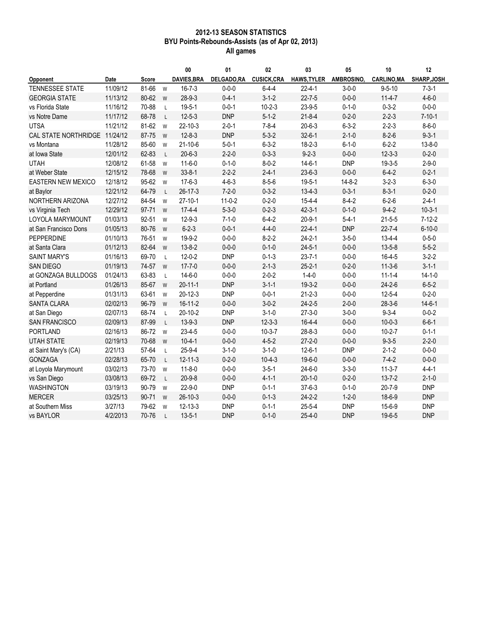### 2012-13 SEASON STATISTICS BYU Points-Rebounds-Assists (as of Apr 02, 2013) All games

|                               |             |              |              | 00                 | 01          | 02                | 03                 | 05           | 10                 | 12           |
|-------------------------------|-------------|--------------|--------------|--------------------|-------------|-------------------|--------------------|--------------|--------------------|--------------|
| Opponent                      | <b>Date</b> | <b>Score</b> |              | <b>DAVIES, BRA</b> | DELGADO,RA  | <b>CUSICK,CRA</b> | <b>HAWS, TYLER</b> | AMBROSINO,   | <b>CARLINO, MA</b> | SHARP, JOSH  |
| TENNESSEE STATE               | 11/09/12    | 81-66        | W            | $16 - 7 - 3$       | $0 - 0 - 0$ | $6 - 4 - 4$       | $22 - 4 - 1$       | $3 - 0 - 0$  | $9 - 5 - 10$       | $7 - 3 - 1$  |
| <b>GEORGIA STATE</b>          | 11/13/12    | 80-62        | W            | $28-9-3$           | $0 - 4 - 1$ | $3 - 1 - 2$       | $22 - 7 - 5$       | $0 - 0 - 0$  | $11-4-7$           | $4 - 6 - 0$  |
| vs Florida State              | 11/16/12    | 70-88        | $\mathsf L$  | $19 - 5 - 1$       | $0 - 0 - 1$ | $10 - 2 - 3$      | $23 - 9 - 5$       | $0 - 1 - 0$  | $0 - 3 - 2$        | $0 - 0 - 0$  |
| vs Notre Dame                 | 11/17/12    | 68-78        | $\mathsf{L}$ | $12 - 5 - 3$       | <b>DNP</b>  | $5 - 1 - 2$       | $21 - 8 - 4$       | $0 - 2 - 0$  | $2 - 2 - 3$        | $7 - 10 - 1$ |
| <b>UTSA</b>                   | 11/21/12    | 81-62        | W            | $22 - 10 - 3$      | $2 - 0 - 1$ | $7 - 8 - 4$       | $20 - 6 - 3$       | $6 - 3 - 2$  | $2 - 2 - 3$        | $8 - 6 - 0$  |
| CAL STATE NORTHRIDGE 11/24/12 |             | 87-75        | W            | $12 - 8 - 3$       | <b>DNP</b>  | $5 - 3 - 2$       | $32 - 6 - 1$       | $2 - 1 - 0$  | $8 - 2 - 6$        | $9 - 3 - 1$  |
| vs Montana                    | 11/28/12    | 85-60        | W            | $21 - 10 - 6$      | $5 - 0 - 1$ | $6 - 3 - 2$       | $18 - 2 - 3$       | $6 - 1 - 0$  | $6 - 2 - 2$        | $13 - 8 - 0$ |
| at Iowa State                 | 12/01/12    | 62-83        | $\mathsf{L}$ | $20 - 6 - 3$       | $2 - 2 - 0$ | $0 - 3 - 3$       | $9 - 2 - 3$        | $0 - 0 - 0$  | $12 - 3 - 3$       | $0 - 2 - 0$  |
| <b>UTAH</b>                   | 12/08/12    | 61-58        | W            | $11-6-0$           | $0 - 1 - 0$ | $8 - 0 - 2$       | $14 - 6 - 1$       | <b>DNP</b>   | $19 - 3 - 5$       | $2 - 9 - 0$  |
| at Weber State                | 12/15/12    | 78-68        | W            | $33 - 8 - 1$       | $2 - 2 - 2$ | $2 - 4 - 1$       | $23 - 6 - 3$       | $0 - 0 - 0$  | $6 - 4 - 2$        | $0 - 2 - 1$  |
| <b>EASTERN NEW MEXICO</b>     | 12/18/12    | 95-62        | W            | $17 - 6 - 3$       | $4 - 6 - 3$ | $8 - 5 - 6$       | $19 - 5 - 1$       | $14 - 8 - 2$ | $3 - 2 - 3$        | $6 - 3 - 0$  |
| at Baylor                     | 12/21/12    | 64-79        | $\mathsf{L}$ | $26 - 17 - 3$      | $7 - 2 - 0$ | $0 - 3 - 2$       | $13 - 4 - 3$       | $0 - 3 - 1$  | $8 - 3 - 1$        | $0 - 2 - 0$  |
| NORTHERN ARIZONA              | 12/27/12    | 84-54        | W            | $27 - 10 - 1$      | $11-0-2$    | $0 - 2 - 0$       | $15 - 4 - 4$       | $8-4-2$      | $6 - 2 - 6$        | $2 - 4 - 1$  |
| vs Virginia Tech              | 12/29/12    | $97 - 71$    | W            | $17 - 4 - 4$       | $5 - 3 - 0$ | $0 - 2 - 3$       | $42 - 3 - 1$       | $0 - 1 - 0$  | $9 - 4 - 2$        | $10-3-1$     |
| <b>LOYOLA MARYMOUNT</b>       | 01/03/13    | 92-51        | W            | $12 - 9 - 3$       | $7 - 1 - 0$ | $6 - 4 - 2$       | $20 - 9 - 1$       | $5 - 4 - 1$  | $21 - 5 - 5$       | $7-12-2$     |
| at San Francisco Dons         | 01/05/13    | 80-76        | W            | $6 - 2 - 3$        | $0 - 0 - 1$ | $4 - 4 - 0$       | $22 - 4 - 1$       | <b>DNP</b>   | $22 - 7 - 4$       | $6 - 10 - 0$ |
| <b>PEPPERDINE</b>             | 01/10/13    | 76-51        | W            | 19-9-2             | $0 - 0 - 0$ | $8-2-2$           | $24 - 2 - 1$       | $3 - 5 - 0$  | $13 - 4 - 4$       | $0 - 5 - 0$  |
| at Santa Clara                | 01/12/13    | 82-64        | W            | $13 - 8 - 2$       | $0 - 0 - 0$ | $0 - 1 - 0$       | $24 - 5 - 1$       | $0 - 0 - 0$  | $13 - 5 - 8$       | $5 - 5 - 2$  |
| <b>SAINT MARY'S</b>           | 01/16/13    | 69-70        | $\mathsf{L}$ | $12 - 0 - 2$       | <b>DNP</b>  | $0 - 1 - 3$       | $23 - 7 - 1$       | $0 - 0 - 0$  | $16 - 4 - 5$       | $3-2-2$      |
| <b>SAN DIEGO</b>              | 01/19/13    | 74-57        | W            | $17 - 7 - 0$       | $0 - 0 - 0$ | $2 - 1 - 3$       | $25 - 2 - 1$       | $0 - 2 - 0$  | $11 - 3 - 6$       | $3 - 1 - 1$  |
| at GONZAGA BULLDOGS           | 01/24/13    | 63-83        | $\mathsf{L}$ | $14 - 6 - 0$       | $0 - 0 - 0$ | $2 - 0 - 2$       | $1 - 4 - 0$        | $0 - 0 - 0$  | $11 - 1 - 4$       | $14 - 1 - 0$ |
| at Portland                   | 01/26/13    | 85-67        | W            | $20 - 11 - 1$      | <b>DNP</b>  | $3 - 1 - 1$       | $19-3-2$           | $0 - 0 - 0$  | $24 - 2 - 6$       | $6 - 5 - 2$  |
| at Pepperdine                 | 01/31/13    | 63-61        | W            | $20 - 12 - 3$      | <b>DNP</b>  | $0 - 0 - 1$       | $21 - 2 - 3$       | $0 - 0 - 0$  | $12 - 5 - 4$       | $0 - 2 - 0$  |
| <b>SANTA CLARA</b>            | 02/02/13    | 96-79        | W            | $16 - 11 - 2$      | $0 - 0 - 0$ | $3 - 0 - 2$       | $24 - 2 - 5$       | $2 - 0 - 0$  | $28 - 3 - 6$       | $14 - 6 - 1$ |
| at San Diego                  | 02/07/13    | 68-74        | L            | $20 - 10 - 2$      | <b>DNP</b>  | $3 - 1 - 0$       | $27 - 3 - 0$       | $3 - 0 - 0$  | $9 - 3 - 4$        | $0 - 0 - 2$  |
| <b>SAN FRANCISCO</b>          | 02/09/13    | 87-99        | L            | $13 - 9 - 3$       | <b>DNP</b>  | $12 - 3 - 3$      | $16 - 4 - 4$       | $0 - 0 - 0$  | $10 - 0 - 3$       | $6 - 6 - 1$  |
| <b>PORTLAND</b>               | 02/16/13    | 86-72        | W            | $23 - 4 - 5$       | $0 - 0 - 0$ | $10-3-7$          | $28 - 8 - 3$       | $0 - 0 - 0$  | $10 - 2 - 7$       | $0 - 1 - 1$  |
| <b>UTAH STATE</b>             | 02/19/13    | 70-68        | W            | $10 - 4 - 1$       | $0 - 0 - 0$ | $4 - 5 - 2$       | $27 - 2 - 0$       | $0 - 0 - 0$  | $9 - 3 - 5$        | $2 - 2 - 0$  |
| at Saint Mary's (CA)          | 2/21/13     | 57-64        | $\mathsf{L}$ | $25 - 9 - 4$       | $3 - 1 - 0$ | $3 - 1 - 0$       | $12 - 6 - 1$       | <b>DNP</b>   | $2 - 1 - 2$        | $0 - 0 - 0$  |
| <b>GONZAGA</b>                | 02/28/13    | 65-70        | L            | $12 - 11 - 3$      | $0 - 2 - 0$ | $10-4-3$          | $19 - 6 - 0$       | $0 - 0 - 0$  | $7-4-2$            | $0 - 0 - 0$  |
| at Loyola Marymount           | 03/02/13    | 73-70        | W            | $11 - 8 - 0$       | $0 - 0 - 0$ | $3 - 5 - 1$       | $24 - 6 - 0$       | $3 - 3 - 0$  | $11-3-7$           | $4 - 4 - 1$  |
| vs San Diego                  | 03/08/13    | 69-72        | $\mathsf{L}$ | $20 - 9 - 8$       | $0 - 0 - 0$ | $4 - 1 - 1$       | $20 - 1 - 0$       | $0 - 2 - 0$  | $13 - 7 - 2$       | $2 - 1 - 0$  |
| <b>WASHINGTON</b>             | 03/19/13    | 90-79        | W            | $22 - 9 - 0$       | <b>DNP</b>  | $0 - 1 - 1$       | $37 - 6 - 3$       | $0 - 1 - 0$  | $20 - 7 - 9$       | <b>DNP</b>   |
| <b>MERCER</b>                 | 03/25/13    | $90 - 71$    | W            | $26 - 10 - 3$      | $0 - 0 - 0$ | $0 - 1 - 3$       | $24 - 2 - 2$       | $1 - 2 - 0$  | $18-6-9$           | <b>DNP</b>   |
| at Southern Miss              | 3/27/13     | 79-62        | W            | $12 - 13 - 3$      | <b>DNP</b>  | $0 - 1 - 1$       | $25 - 5 - 4$       | <b>DNP</b>   | $15 - 6 - 9$       | <b>DNP</b>   |
| vs BAYLOR                     | 4/2/2013    | 70-76        | $\mathbf{I}$ | $13 - 5 - 1$       | <b>DNP</b>  | $0 - 1 - 0$       | $25 - 4 - 0$       | <b>DNP</b>   | $19-6-5$           | <b>DNP</b>   |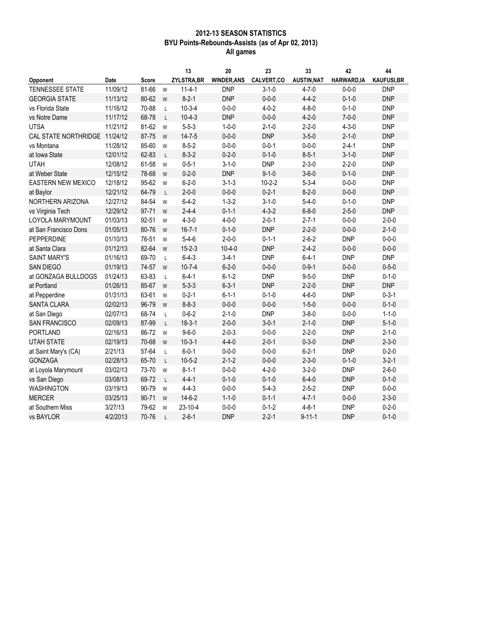## 2012-13 SEASON STATISTICS BYU Points-Rebounds-Assists (as of Apr 02, 2013) All games

|                               |          |           |              | 13                | 20                 | 23           | 33                 | 42                 | 44                |
|-------------------------------|----------|-----------|--------------|-------------------|--------------------|--------------|--------------------|--------------------|-------------------|
| Opponent                      | Date     | Score     |              | <b>ZYLSTRA,BR</b> | <b>WINDER, ANS</b> | CALVERT,CO   | <b>AUSTIN, NAT</b> | <b>HARWARD, IA</b> | <b>KAUFUSI,BR</b> |
| TENNESSEE STATE               | 11/09/12 | 81-66     | W            | $11 - 4 - 1$      | <b>DNP</b>         | $3 - 1 - 0$  | $4 - 7 - 0$        | $0 - 0 - 0$        | <b>DNP</b>        |
| <b>GEORGIA STATE</b>          | 11/13/12 | 80-62     | W            | $8 - 2 - 1$       | <b>DNP</b>         | $0 - 0 - 0$  | $4 - 4 - 2$        | $0 - 1 - 0$        | <b>DNP</b>        |
| vs Florida State              | 11/16/12 | 70-88     | L            | $10-3-4$          | $0 - 0 - 0$        | $4 - 0 - 2$  | $4 - 8 - 0$        | $0 - 1 - 0$        | <b>DNP</b>        |
| vs Notre Dame                 | 11/17/12 | 68-78     | $\mathsf{L}$ | $10-4-3$          | <b>DNP</b>         | $0 - 0 - 0$  | $4 - 2 - 0$        | $7 - 0 - 0$        | <b>DNP</b>        |
| <b>UTSA</b>                   | 11/21/12 | 81-62     | W            | $5 - 5 - 3$       | $1 - 0 - 0$        | $2 - 1 - 0$  | $2 - 2 - 0$        | $4 - 3 - 0$        | <b>DNP</b>        |
| CAL STATE NORTHRIDGE 11/24/12 |          | 87-75     | W            | $14 - 7 - 5$      | $0 - 0 - 0$        | <b>DNP</b>   | $3 - 5 - 0$        | $2 - 1 - 0$        | <b>DNP</b>        |
| vs Montana                    | 11/28/12 | 85-60     | W            | $8 - 5 - 2$       | $0 - 0 - 0$        | $0 - 0 - 1$  | $0 - 0 - 0$        | $2 - 4 - 1$        | <b>DNP</b>        |
| at Iowa State                 | 12/01/12 | 62-83     | $\mathsf{L}$ | $8-3-2$           | $0 - 2 - 0$        | $0 - 1 - 0$  | $8 - 5 - 1$        | $3 - 1 - 0$        | <b>DNP</b>        |
| <b>UTAH</b>                   | 12/08/12 | 61-58     | W            | $0 - 5 - 1$       | $3 - 1 - 0$        | <b>DNP</b>   | $2 - 3 - 0$        | $2 - 2 - 0$        | <b>DNP</b>        |
| at Weber State                | 12/15/12 | 78-68     | W            | $0 - 2 - 0$       | <b>DNP</b>         | $9 - 1 - 0$  | $3 - 6 - 0$        | $0 - 1 - 0$        | <b>DNP</b>        |
| EASTERN NEW MEXICO            | 12/18/12 | 95-62     | W            | $6 - 2 - 0$       | $3 - 1 - 3$        | $10 - 2 - 2$ | $5 - 3 - 4$        | $0 - 0 - 0$        | <b>DNP</b>        |
| at Baylor                     | 12/21/12 | 64-79     | L            | $2 - 0 - 0$       | $0 - 0 - 0$        | $0 - 2 - 1$  | $8 - 2 - 0$        | $0 - 0 - 0$        | <b>DNP</b>        |
| NORTHERN ARIZONA              | 12/27/12 | 84-54     | W            | $6 - 4 - 2$       | $1 - 3 - 2$        | $3 - 1 - 0$  | $5-4-0$            | $0 - 1 - 0$        | <b>DNP</b>        |
| vs Virginia Tech              | 12/29/12 | 97-71     | W            | $2 - 4 - 4$       | $0 - 1 - 1$        | $4 - 3 - 2$  | $6 - 8 - 0$        | $2 - 5 - 0$        | <b>DNP</b>        |
| LOYOLA MARYMOUNT              | 01/03/13 | 92-51     | W            | $4 - 3 - 0$       | $4 - 0 - 0$        | $2 - 0 - 1$  | $2 - 7 - 1$        | $0 - 0 - 0$        | $2 - 0 - 0$       |
| at San Francisco Dons         | 01/05/13 | 80-76     | W            | $16 - 7 - 1$      | $0 - 1 - 0$        | <b>DNP</b>   | $2 - 2 - 0$        | $0 - 0 - 0$        | $2 - 1 - 0$       |
| <b>PEPPERDINE</b>             | 01/10/13 | 76-51     | W            | $5-4-6$           | $2 - 0 - 0$        | $0 - 1 - 1$  | $2 - 6 - 2$        | <b>DNP</b>         | $0 - 0 - 0$       |
| at Santa Clara                | 01/12/13 | 82-64     | W            | $15 - 2 - 3$      | $10 - 4 - 0$       | <b>DNP</b>   | $2 - 4 - 2$        | $0 - 0 - 0$        | $0 - 0 - 0$       |
| <b>SAINT MARY'S</b>           | 01/16/13 | 69-70     | L            | $6 - 4 - 3$       | $3-4-1$            | <b>DNP</b>   | $6 - 4 - 1$        | <b>DNP</b>         | <b>DNP</b>        |
| <b>SAN DIEGO</b>              | 01/19/13 | 74-57     | W            | $10 - 7 - 4$      | $6 - 2 - 0$        | $0 - 0 - 0$  | $0 - 9 - 1$        | $0 - 0 - 0$        | $0 - 5 - 0$       |
| at GONZAGA BULLDOGS           | 01/24/13 | 63-83     | L            | $6 - 4 - 1$       | $6 - 1 - 2$        | <b>DNP</b>   | $9 - 5 - 0$        | <b>DNP</b>         | $0 - 1 - 0$       |
| at Portland                   | 01/26/13 | 85-67     | W            | $5 - 3 - 3$       | $6 - 3 - 1$        | <b>DNP</b>   | $2 - 2 - 0$        | <b>DNP</b>         | <b>DNP</b>        |
| at Pepperdine                 | 01/31/13 | 63-61     | W            | $0 - 2 - 1$       | $6 - 1 - 1$        | $0 - 1 - 0$  | $4 - 6 - 0$        | <b>DNP</b>         | $0 - 3 - 1$       |
| <b>SANTA CLARA</b>            | 02/02/13 | 96-79     | W            | $8 - 8 - 3$       | $0 - 0 - 0$        | $0 - 0 - 0$  | $1 - 5 - 0$        | $0 - 0 - 0$        | $0 - 1 - 0$       |
| at San Diego                  | 02/07/13 | 68-74     | L            | $0 - 6 - 2$       | $2 - 1 - 0$        | <b>DNP</b>   | $3 - 8 - 0$        | $0 - 0 - 0$        | $1 - 1 - 0$       |
| <b>SAN FRANCISCO</b>          | 02/09/13 | 87-99     | L            | $18 - 3 - 1$      | $2 - 0 - 0$        | $3 - 0 - 1$  | $2 - 1 - 0$        | <b>DNP</b>         | $5 - 1 - 0$       |
| <b>PORTLAND</b>               | 02/16/13 | 86-72     | W            | $9 - 6 - 0$       | $2 - 0 - 3$        | $0 - 0 - 0$  | $2 - 2 - 0$        | <b>DNP</b>         | $2 - 1 - 0$       |
| <b>UTAH STATE</b>             | 02/19/13 | 70-68     | W            | $10-3-1$          | $4 - 4 - 0$        | $2 - 0 - 1$  | $0 - 3 - 0$        | <b>DNP</b>         | $2 - 3 - 0$       |
| at Saint Mary's (CA)          | 2/21/13  | 57-64     | L            | $6 - 0 - 1$       | $0 - 0 - 0$        | $0 - 0 - 0$  | $6 - 2 - 1$        | <b>DNP</b>         | $0 - 2 - 0$       |
| <b>GONZAGA</b>                | 02/28/13 | 65-70     | L            | $10 - 5 - 2$      | $2 - 1 - 2$        | $0 - 0 - 0$  | $2 - 3 - 0$        | $0 - 1 - 0$        | $3 - 2 - 1$       |
| at Loyola Marymount           | 03/02/13 | 73-70     | W            | $8 - 1 - 1$       | $0 - 0 - 0$        | $4 - 2 - 0$  | $3 - 2 - 0$        | <b>DNP</b>         | $2 - 6 - 0$       |
| vs San Diego                  | 03/08/13 | 69-72     | L            | $4 - 4 - 1$       | $0 - 1 - 0$        | $0 - 1 - 0$  | $6 - 4 - 0$        | <b>DNP</b>         | $0 - 1 - 0$       |
| WASHINGTON                    | 03/19/13 | 90-79     | W            | $4 - 4 - 3$       | $0 - 0 - 0$        | $5-4-3$      | $2 - 5 - 2$        | <b>DNP</b>         | $0 - 0 - 0$       |
| <b>MERCER</b>                 | 03/25/13 | $90 - 71$ | W            | $14-6-2$          | $1 - 1 - 0$        | $0 - 1 - 1$  | $4 - 7 - 1$        | $0 - 0 - 0$        | $2 - 3 - 0$       |
| at Southern Miss              | 3/27/13  | 79-62     | W            | 23-10-4           | $0 - 0 - 0$        | $0 - 1 - 2$  | $4 - 8 - 1$        | <b>DNP</b>         | $0 - 2 - 0$       |
| vs BAYLOR                     | 4/2/2013 | 70-76     | $\mathbf{I}$ | $2 - 6 - 1$       | <b>DNP</b>         | $2 - 2 - 1$  | $9 - 11 - 1$       | <b>DNP</b>         | $0 - 1 - 0$       |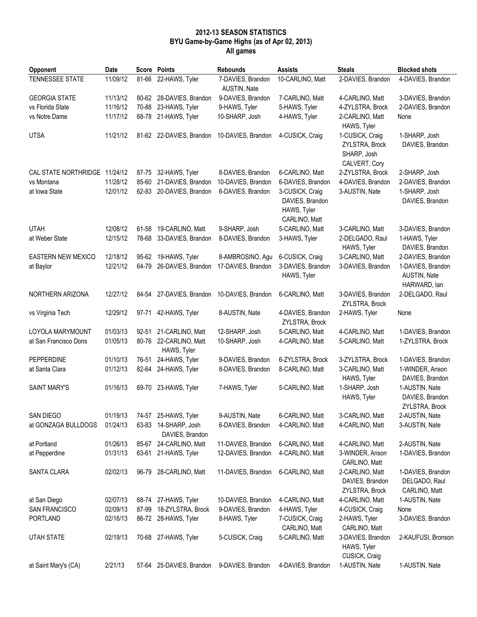## 2012-13 SEASON STATISTICS BYU Game-by-Game Highs (as of Apr 02, 2013) All games

| Opponent                      | Date     |       | <b>Score Points</b>                     | <b>Rebounds</b>                   | <b>Assists</b>                                                     | <b>Steals</b>                                                     | <b>Blocked shots</b>                                |
|-------------------------------|----------|-------|-----------------------------------------|-----------------------------------|--------------------------------------------------------------------|-------------------------------------------------------------------|-----------------------------------------------------|
| TENNESSEE STATE               | 11/09/12 | 81-66 | 22-HAWS, Tyler                          | 7-DAVIES, Brandon<br>AUSTIN, Nate | 10-CARLINO, Matt                                                   | 2-DAVIES, Brandon                                                 | 4-DAVIES, Brandon                                   |
| <b>GEORGIA STATE</b>          | 11/13/12 | 80-62 | 28-DAVIES, Brandon                      | 9-DAVIES, Brandon                 | 7-CARLINO, Matt                                                    | 4-CARLINO, Matt                                                   | 3-DAVIES, Brandon                                   |
| vs Florida State              | 11/16/12 | 70-88 | 23-HAWS, Tyler                          | 9-HAWS, Tyler                     | 5-HAWS, Tyler                                                      | 4-ZYLSTRA, Brock                                                  | 2-DAVIES, Brandon                                   |
| vs Notre Dame                 | 11/17/12 | 68-78 | 21-HAWS, Tyler                          | 10-SHARP, Josh                    | 4-HAWS, Tyler                                                      | 2-CARLINO, Matt<br>HAWS, Tyler                                    | None                                                |
| <b>UTSA</b>                   | 11/21/12 |       | 81-62 22-DAVIES, Brandon                | 10-DAVIES, Brandon                | 4-CUSICK, Craig                                                    | 1-CUSICK, Craig<br>ZYLSTRA, Brock<br>SHARP, Josh<br>CALVERT, Cory | 1-SHARP, Josh<br>DAVIES, Brandon                    |
| CAL STATE NORTHRIDGE 11/24/12 |          | 87-75 | 32-HAWS, Tyler                          | 8-DAVIES, Brandon                 | 6-CARLINO, Matt                                                    | 2-ZYLSTRA, Brock                                                  | 2-SHARP, Josh                                       |
| vs Montana                    | 11/28/12 | 85-60 | 21-DAVIES, Brandon                      | 10-DAVIES, Brandon                | 6-DAVIES, Brandon                                                  | 4-DAVIES, Brandon                                                 | 2-DAVIES, Brandon                                   |
| at Iowa State                 | 12/01/12 | 62-83 | 20-DAVIES, Brandon                      | 6-DAVIES, Brandon                 | 3-CUSICK, Craig<br>DAVIES, Brandon<br>HAWS, Tyler<br>CARLINO, Matt | 3-AUSTIN, Nate                                                    | 1-SHARP, Josh<br>DAVIES, Brandon                    |
| <b>UTAH</b>                   | 12/08/12 | 61-58 | 19-CARLINO, Matt                        | 9-SHARP, Josh                     | 5-CARLINO, Matt                                                    | 3-CARLINO, Matt                                                   | 3-DAVIES, Brandon                                   |
| at Weber State                | 12/15/12 | 78-68 | 33-DAVIES, Brandon                      | 8-DAVIES, Brandon                 | 3-HAWS, Tyler                                                      | 2-DELGADO, Raul<br>HAWS, Tyler                                    | 1-HAWS, Tyler<br>DAVIES, Brandon                    |
| <b>EASTERN NEW MEXICO</b>     | 12/18/12 | 95-62 | 19-HAWS, Tyler                          | 8-AMBROSINO, Agu                  | 6-CUSICK, Craig                                                    | 3-CARLINO, Matt                                                   | 2-DAVIES, Brandon                                   |
| at Baylor                     | 12/21/12 | 64-79 | 26-DAVIES, Brandon                      | 17-DAVIES, Brandon                | 3-DAVIES, Brandon<br>HAWS, Tyler                                   | 3-DAVIES, Brandon                                                 | 1-DAVIES, Brandon<br>AUSTIN, Nate<br>HARWARD, lan   |
| NORTHERN ARIZONA              | 12/27/12 | 84-54 | 27-DAVIES, Brandon                      | 10-DAVIES, Brandon                | 6-CARLINO, Matt                                                    | 3-DAVIES, Brandon<br>ZYLSTRA, Brock                               | 2-DELGADO, Raul                                     |
| vs Virginia Tech              | 12/29/12 | 97-71 | 42-HAWS, Tyler                          | 8-AUSTIN, Nate                    | 4-DAVIES, Brandon<br>ZYLSTRA, Brock                                | 2-HAWS, Tyler                                                     | None                                                |
| <b>LOYOLA MARYMOUNT</b>       | 01/03/13 | 92-51 | 21-CARLINO, Matt                        | 12-SHARP, Josh                    | 5-CARLINO, Matt                                                    | 4-CARLINO, Matt                                                   | 1-DAVIES, Brandon                                   |
| at San Francisco Dons         | 01/05/13 | 80-76 | 22-CARLINO, Matt<br>HAWS, Tyler         | 10-SHARP, Josh                    | 4-CARLINO, Matt                                                    | 5-CARLINO, Matt                                                   | 1-ZYLSTRA, Brock                                    |
| <b>PEPPERDINE</b>             | 01/10/13 | 76-51 | 24-HAWS, Tyler                          | 9-DAVIES, Brandon                 | 6-ZYLSTRA, Brock                                                   | 3-ZYLSTRA, Brock                                                  | 1-DAVIES, Brandon                                   |
| at Santa Clara                | 01/12/13 | 82-64 | 24-HAWS, Tyler                          | 8-DAVIES, Brandon                 | 8-CARLINO, Matt                                                    | 3-CARLINO, Matt<br>HAWS, Tyler                                    | 1-WINDER, Anson<br>DAVIES, Brandon                  |
| <b>SAINT MARY'S</b>           | 01/16/13 | 69-70 | 23-HAWS, Tyler                          | 7-HAWS, Tyler                     | 5-CARLINO, Matt                                                    | 1-SHARP, Josh<br>HAWS, Tyler                                      | 1-AUSTIN, Nate<br>DAVIES, Brandon<br>ZYLSTRA, Brock |
| SAN DIEGO                     | 01/19/13 |       | 74-57 25-HAWS, Tyler                    | 9-AUSTIN, Nate                    | 6-CARLINO, Matt                                                    | 3-CARLINO, Matt                                                   | 2-AUSTIN, Nate                                      |
| at GONZAGA BULLDOGS           | 01/24/13 |       | 63-83 14-SHARP, Josh<br>DAVIES, Brandon | 6-DAVIES, Brandon                 | 4-CARLINO, Matt                                                    | 4-CARLINO, Matt                                                   | 3-AUSTIN, Nate                                      |
| at Portland                   | 01/26/13 | 85-67 | 24-CARLINO, Matt                        | 11-DAVIES, Brandon                | 6-CARLINO, Matt                                                    | 4-CARLINO, Matt                                                   | 2-AUSTIN, Nate                                      |
| at Pepperdine                 | 01/31/13 | 63-61 | 21-HAWS, Tyler                          | 12-DAVIES, Brandon                | 4-CARLINO, Matt                                                    | 3-WINDER, Anson<br>CARLINO, Matt                                  | 1-DAVIES, Brandon                                   |
| SANTA CLARA                   | 02/02/13 | 96-79 | 28-CARLINO, Matt                        | 11-DAVIES, Brandon                | 6-CARLINO, Matt                                                    | 2-CARLINO, Matt<br>DAVIES, Brandon<br>ZYLSTRA, Brock              | 1-DAVIES, Brandon<br>DELGADO, Raul<br>CARLINO, Matt |
| at San Diego                  | 02/07/13 | 68-74 | 27-HAWS, Tyler                          | 10-DAVIES, Brandon                | 4-CARLINO, Matt                                                    | 4-CARLINO, Matt                                                   | 1-AUSTIN, Nate                                      |
| SAN FRANCISCO                 | 02/09/13 | 87-99 | 18-ZYLSTRA, Brock                       | 9-DAVIES, Brandon                 | 4-HAWS, Tyler                                                      | 4-CUSICK, Craig                                                   | None                                                |
| PORTLAND                      | 02/16/13 |       | 86-72 28-HAWS, Tyler                    | 8-HAWS, Tyler                     | 7-CUSICK, Craig<br>CARLINO, Matt                                   | 2-HAWS, Tyler<br>CARLINO, Matt                                    | 3-DAVIES, Brandon                                   |
| UTAH STATE                    | 02/19/13 |       | 70-68 27-HAWS, Tyler                    | 5-CUSICK, Craig                   | 5-CARLINO, Matt                                                    | 3-DAVIES, Brandon<br>HAWS, Tyler<br>CUSICK, Craig                 | 2-KAUFUSI, Bronson                                  |
| at Saint Mary's (CA)          | 2/21/13  | 57-64 | 25-DAVIES, Brandon                      | 9-DAVIES, Brandon                 | 4-DAVIES, Brandon                                                  | 1-AUSTIN, Nate                                                    | 1-AUSTIN, Nate                                      |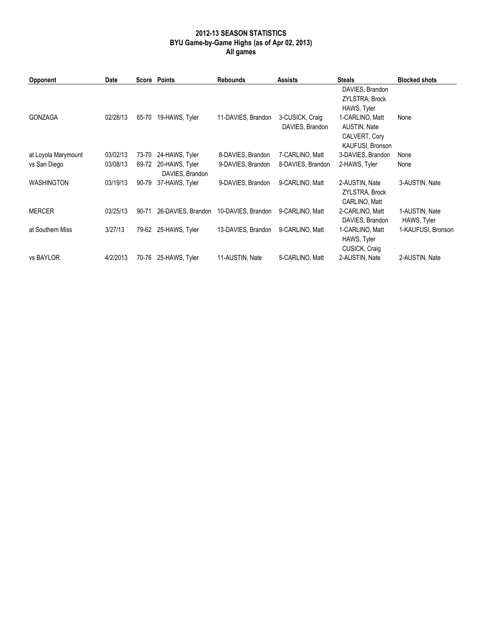## 2012-13 SEASON STATISTICS BYU Game-by-Game Highs (as of Apr 02, 2013) All games

| Opponent            | Date     |       | Score Points                      | <b>Rebounds</b>    | <b>Assists</b>                     | <b>Steals</b>                                                        | <b>Blocked shots</b>          |
|---------------------|----------|-------|-----------------------------------|--------------------|------------------------------------|----------------------------------------------------------------------|-------------------------------|
|                     |          |       |                                   |                    |                                    | DAVIES, Brandon<br>ZYLSTRA, Brock<br>HAWS, Tyler                     |                               |
| <b>GONZAGA</b>      | 02/28/13 | 65-70 | 19-HAWS, Tyler                    | 11-DAVIES, Brandon | 3-CUSICK, Craig<br>DAVIES, Brandon | 1-CARLINO, Matt<br>AUSTIN, Nate<br>CALVERT, Cory<br>KAUFUSI, Bronson | None                          |
| at Loyola Marymount | 03/02/13 | 73-70 | 24-HAWS, Tyler                    | 8-DAVIES, Brandon  | 7-CARLINO, Matt                    | 3-DAVIES, Brandon                                                    | None                          |
| vs San Diego        | 03/08/13 | 69-72 | 20-HAWS, Tyler<br>DAVIES, Brandon | 9-DAVIES, Brandon  | 8-DAVIES, Brandon                  | 2-HAWS, Tyler                                                        | None                          |
| WASHINGTON          | 03/19/13 | 90-79 | 37-HAWS, Tyler                    | 9-DAVIES, Brandon  | 9-CARLINO, Matt                    | 2-AUSTIN, Nate<br>ZYLSTRA, Brock<br>CARLINO, Matt                    | 3-AUSTIN, Nate                |
| <b>MERCER</b>       | 03/25/13 | 90-71 | 26-DAVIES, Brandon                | 10-DAVIES, Brandon | 9-CARLINO, Matt                    | 2-CARLINO, Matt<br>DAVIES, Brandon                                   | 1-AUSTIN, Nate<br>HAWS, Tyler |
| at Southern Miss    | 3/27/13  | 79-62 | 25-HAWS, Tyler                    | 13-DAVIES, Brandon | 9-CARLINO, Matt                    | 1-CARLINO, Matt<br>HAWS, Tyler<br>CUSICK, Craig                      | 1-KAUFUSI, Bronson            |
| vs BAYLOR           | 4/2/2013 | 70-76 | 25-HAWS, Tyler                    | 11-AUSTIN, Nate    | 5-CARLINO, Matt                    | 2-AUSTIN, Nate                                                       | 2-AUSTIN, Nate                |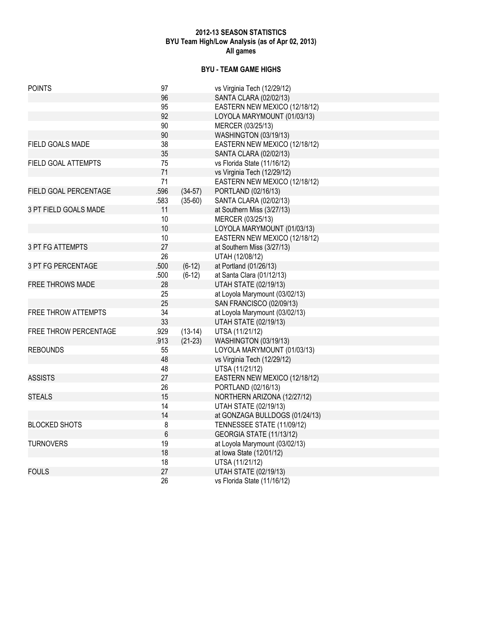## 2012-13 SEASON STATISTICS BYU Team High/Low Analysis (as of Apr 02, 2013) All games

# BYU - TEAM GAME HIGHS

| <b>POINTS</b>              | 97    |           | vs Virginia Tech (12/29/12)    |
|----------------------------|-------|-----------|--------------------------------|
|                            | 96    |           | SANTA CLARA (02/02/13)         |
|                            | 95    |           | EASTERN NEW MEXICO (12/18/12)  |
|                            | 92    |           | LOYOLA MARYMOUNT (01/03/13)    |
|                            | 90    |           | MERCER (03/25/13)              |
|                            | 90    |           | <b>WASHINGTON (03/19/13)</b>   |
| FIELD GOALS MADE           | 38    |           | EASTERN NEW MEXICO (12/18/12)  |
|                            | 35    |           | SANTA CLARA (02/02/13)         |
| FIELD GOAL ATTEMPTS        | 75    |           | vs Florida State (11/16/12)    |
|                            | 71    |           | vs Virginia Tech (12/29/12)    |
|                            | 71    |           | EASTERN NEW MEXICO (12/18/12)  |
| FIELD GOAL PERCENTAGE      | .596  | $(34-57)$ | PORTLAND (02/16/13)            |
|                            | .583  | $(35-60)$ | SANTA CLARA (02/02/13)         |
| 3 PT FIELD GOALS MADE      | 11    |           | at Southern Miss (3/27/13)     |
|                            | 10    |           | MERCER (03/25/13)              |
|                            | 10    |           | LOYOLA MARYMOUNT (01/03/13)    |
|                            | 10    |           | EASTERN NEW MEXICO (12/18/12)  |
| 3 PT FG ATTEMPTS           | 27    |           | at Southern Miss (3/27/13)     |
|                            | 26    |           | UTAH (12/08/12)                |
| 3 PT FG PERCENTAGE         | .500  | $(6-12)$  | at Portland (01/26/13)         |
|                            | .500  | $(6-12)$  | at Santa Clara (01/12/13)      |
| <b>FREE THROWS MADE</b>    | 28    |           | <b>UTAH STATE (02/19/13)</b>   |
|                            | 25    |           | at Loyola Marymount (03/02/13) |
|                            | 25    |           | SAN FRANCISCO (02/09/13)       |
| <b>FREE THROW ATTEMPTS</b> | 34    |           | at Loyola Marymount (03/02/13) |
|                            | 33    |           | <b>UTAH STATE (02/19/13)</b>   |
| FREE THROW PERCENTAGE      | .929  | $(13-14)$ | UTSA (11/21/12)                |
|                            | .913  | $(21-23)$ | <b>WASHINGTON (03/19/13)</b>   |
| <b>REBOUNDS</b>            | 55    |           | LOYOLA MARYMOUNT (01/03/13)    |
|                            | 48    |           | vs Virginia Tech (12/29/12)    |
|                            | 48    |           | UTSA (11/21/12)                |
| <b>ASSISTS</b>             | 27    |           | EASTERN NEW MEXICO (12/18/12)  |
|                            | 26    |           | PORTLAND (02/16/13)            |
| <b>STEALS</b>              | 15    |           | NORTHERN ARIZONA (12/27/12)    |
|                            | 14    |           | <b>UTAH STATE (02/19/13)</b>   |
|                            | 14    |           | at GONZAGA BULLDOGS (01/24/13) |
| <b>BLOCKED SHOTS</b>       | 8     |           | TENNESSEE STATE (11/09/12)     |
|                            | $6\,$ |           | GEORGIA STATE (11/13/12)       |
| <b>TURNOVERS</b>           | 19    |           | at Loyola Marymount (03/02/13) |
|                            | 18    |           | at Iowa State (12/01/12)       |
|                            | 18    |           | UTSA (11/21/12)                |
| <b>FOULS</b>               | 27    |           | <b>UTAH STATE (02/19/13)</b>   |
|                            | 26    |           | vs Florida State (11/16/12)    |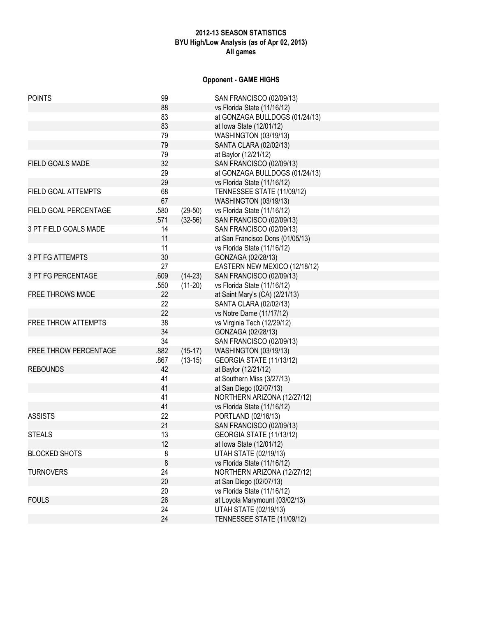# 2012-13 SEASON STATISTICS BYU High/Low Analysis (as of Apr 02, 2013) All games

# Opponent - GAME HIGHS

| <b>POINTS</b>           | 99      |           | SAN FRANCISCO (02/09/13)         |
|-------------------------|---------|-----------|----------------------------------|
|                         | 88      |           | vs Florida State (11/16/12)      |
|                         | 83      |           | at GONZAGA BULLDOGS (01/24/13)   |
|                         | 83      |           | at Iowa State (12/01/12)         |
|                         | 79      |           | <b>WASHINGTON (03/19/13)</b>     |
|                         | 79      |           | SANTA CLARA (02/02/13)           |
|                         | 79      |           | at Baylor (12/21/12)             |
| FIELD GOALS MADE        | 32      |           | SAN FRANCISCO (02/09/13)         |
|                         | 29      |           | at GONZAGA BULLDOGS (01/24/13)   |
|                         | 29      |           | vs Florida State (11/16/12)      |
| FIELD GOAL ATTEMPTS     | 68      |           | TENNESSEE STATE (11/09/12)       |
|                         | 67      |           | WASHINGTON (03/19/13)            |
| FIELD GOAL PERCENTAGE   | .580    | $(29-50)$ | vs Florida State (11/16/12)      |
|                         | .571    | $(32-56)$ | SAN FRANCISCO (02/09/13)         |
| 3 PT FIELD GOALS MADE   | 14      |           | SAN FRANCISCO (02/09/13)         |
|                         | 11      |           | at San Francisco Dons (01/05/13) |
|                         | 11      |           | vs Florida State (11/16/12)      |
| <b>3 PT FG ATTEMPTS</b> | 30      |           | GONZAGA (02/28/13)               |
|                         | 27      |           | EASTERN NEW MEXICO (12/18/12)    |
| 3 PT FG PERCENTAGE      | .609    | $(14-23)$ | SAN FRANCISCO (02/09/13)         |
|                         | .550    | $(11-20)$ | vs Florida State (11/16/12)      |
| <b>FREE THROWS MADE</b> | 22      |           | at Saint Mary's (CA) (2/21/13)   |
|                         | 22      |           | SANTA CLARA (02/02/13)           |
|                         | 22      |           | vs Notre Dame (11/17/12)         |
| FREE THROW ATTEMPTS     | 38      |           | vs Virginia Tech (12/29/12)      |
|                         | 34      |           | GONZAGA (02/28/13)               |
|                         | 34      |           | SAN FRANCISCO (02/09/13)         |
| FREE THROW PERCENTAGE   | .882    | $(15-17)$ | <b>WASHINGTON (03/19/13)</b>     |
|                         | .867    | $(13-15)$ | GEORGIA STATE (11/13/12)         |
| <b>REBOUNDS</b>         | 42      |           | at Baylor (12/21/12)             |
|                         | 41      |           | at Southern Miss (3/27/13)       |
|                         | 41      |           | at San Diego (02/07/13)          |
|                         | 41      |           | NORTHERN ARIZONA (12/27/12)      |
|                         | 41      |           | vs Florida State (11/16/12)      |
| <b>ASSISTS</b>          | 22      |           | PORTLAND (02/16/13)              |
|                         | 21      |           | SAN FRANCISCO (02/09/13)         |
| <b>STEALS</b>           | 13      |           | GEORGIA STATE (11/13/12)         |
|                         | 12      |           | at Iowa State (12/01/12)         |
| <b>BLOCKED SHOTS</b>    | 8       |           | <b>UTAH STATE (02/19/13)</b>     |
|                         | $\bf 8$ |           | vs Florida State (11/16/12)      |
| <b>TURNOVERS</b>        | 24      |           | NORTHERN ARIZONA (12/27/12)      |
|                         | 20      |           | at San Diego (02/07/13)          |
|                         | 20      |           | vs Florida State (11/16/12)      |
| <b>FOULS</b>            | 26      |           | at Loyola Marymount (03/02/13)   |
|                         | 24      |           | <b>UTAH STATE (02/19/13)</b>     |
|                         | 24      |           | TENNESSEE STATE (11/09/12)       |
|                         |         |           |                                  |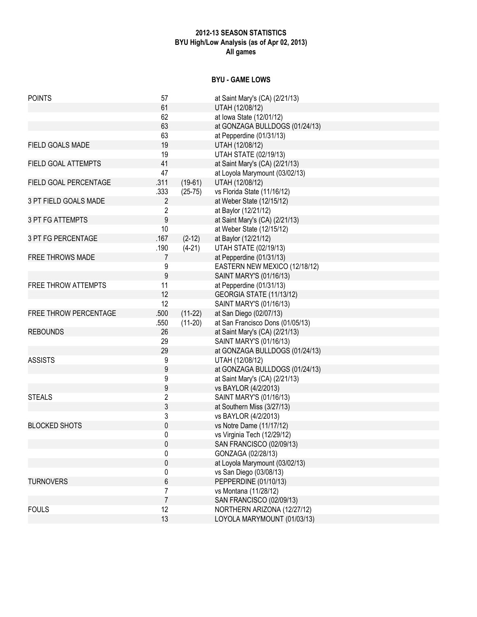# 2012-13 SEASON STATISTICS BYU High/Low Analysis (as of Apr 02, 2013) All games

#### BYU - GAME LOWS

| <b>POINTS</b>           | 57                      |           | at Saint Mary's (CA) (2/21/13)   |
|-------------------------|-------------------------|-----------|----------------------------------|
|                         | 61                      |           | UTAH (12/08/12)                  |
|                         | 62                      |           | at Iowa State (12/01/12)         |
|                         | 63                      |           | at GONZAGA BULLDOGS (01/24/13)   |
|                         | 63                      |           | at Pepperdine (01/31/13)         |
| FIELD GOALS MADE        | 19                      |           | UTAH (12/08/12)                  |
|                         | 19                      |           | <b>UTAH STATE (02/19/13)</b>     |
| FIELD GOAL ATTEMPTS     | 41                      |           | at Saint Mary's (CA) (2/21/13)   |
|                         | 47                      |           | at Loyola Marymount (03/02/13)   |
| FIELD GOAL PERCENTAGE   | .311                    | $(19-61)$ | UTAH (12/08/12)                  |
|                         | .333                    | $(25-75)$ | vs Florida State (11/16/12)      |
| 3 PT FIELD GOALS MADE   | $\overline{2}$          |           | at Weber State (12/15/12)        |
|                         | $\overline{\mathbf{c}}$ |           | at Baylor (12/21/12)             |
| <b>3 PT FG ATTEMPTS</b> | $\boldsymbol{9}$        |           | at Saint Mary's (CA) (2/21/13)   |
|                         | 10                      |           | at Weber State (12/15/12)        |
| 3 PT FG PERCENTAGE      | .167                    | $(2-12)$  | at Baylor (12/21/12)             |
|                         | .190                    | $(4-21)$  | <b>UTAH STATE (02/19/13)</b>     |
| <b>FREE THROWS MADE</b> | 7                       |           | at Pepperdine (01/31/13)         |
|                         | 9                       |           | EASTERN NEW MEXICO (12/18/12)    |
|                         | 9                       |           | SAINT MARY'S (01/16/13)          |
| FREE THROW ATTEMPTS     | 11                      |           | at Pepperdine (01/31/13)         |
|                         | 12                      |           | GEORGIA STATE (11/13/12)         |
|                         | 12                      |           | SAINT MARY'S (01/16/13)          |
| FREE THROW PERCENTAGE   | .500                    | $(11-22)$ | at San Diego (02/07/13)          |
|                         | .550                    | $(11-20)$ | at San Francisco Dons (01/05/13) |
| <b>REBOUNDS</b>         | 26                      |           | at Saint Mary's (CA) (2/21/13)   |
|                         | 29                      |           | SAINT MARY'S (01/16/13)          |
|                         | 29                      |           | at GONZAGA BULLDOGS (01/24/13)   |
| <b>ASSISTS</b>          | 9                       |           | UTAH (12/08/12)                  |
|                         | 9                       |           | at GONZAGA BULLDOGS (01/24/13)   |
|                         | 9                       |           | at Saint Mary's (CA) (2/21/13)   |
|                         | 9                       |           | vs BAYLOR (4/2/2013)             |
| <b>STEALS</b>           | $\overline{\mathbf{c}}$ |           | SAINT MARY'S (01/16/13)          |
|                         | 3                       |           | at Southern Miss (3/27/13)       |
|                         | 3                       |           | vs BAYLOR (4/2/2013)             |
| <b>BLOCKED SHOTS</b>    | $\boldsymbol{0}$        |           | vs Notre Dame (11/17/12)         |
|                         | 0                       |           | vs Virginia Tech (12/29/12)      |
|                         | 0                       |           | SAN FRANCISCO (02/09/13)         |
|                         | 0                       |           | GONZAGA (02/28/13)               |
|                         | 0                       |           | at Loyola Marymount (03/02/13)   |
|                         | 0                       |           | vs San Diego (03/08/13)          |
| <b>TURNOVERS</b>        | 6                       |           | PEPPERDINE (01/10/13)            |
|                         | 7                       |           | vs Montana (11/28/12)            |
|                         | $\overline{7}$          |           | SAN FRANCISCO (02/09/13)         |
| <b>FOULS</b>            | 12                      |           | NORTHERN ARIZONA (12/27/12)      |
|                         | 13                      |           | LOYOLA MARYMOUNT (01/03/13)      |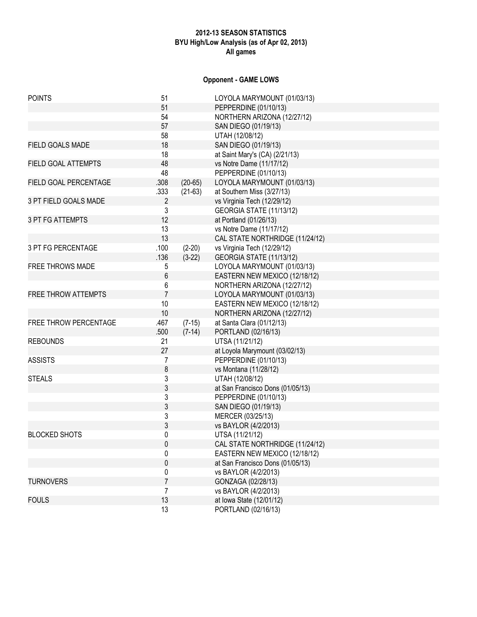# 2012-13 SEASON STATISTICS BYU High/Low Analysis (as of Apr 02, 2013) All games

# Opponent - GAME LOWS

| <b>POINTS</b>              | 51             |           | LOYOLA MARYMOUNT (01/03/13)      |
|----------------------------|----------------|-----------|----------------------------------|
|                            | 51             |           | PEPPERDINE (01/10/13)            |
|                            | 54             |           | NORTHERN ARIZONA (12/27/12)      |
|                            | 57             |           | SAN DIEGO (01/19/13)             |
|                            | 58             |           | UTAH (12/08/12)                  |
| FIELD GOALS MADE           | 18             |           | SAN DIEGO (01/19/13)             |
|                            | 18             |           | at Saint Mary's (CA) (2/21/13)   |
| FIELD GOAL ATTEMPTS        | 48             |           | vs Notre Dame (11/17/12)         |
|                            | 48             |           | PEPPERDINE (01/10/13)            |
| FIELD GOAL PERCENTAGE      | .308           | $(20-65)$ | LOYOLA MARYMOUNT (01/03/13)      |
|                            | .333           | $(21-63)$ | at Southern Miss (3/27/13)       |
| 3 PT FIELD GOALS MADE      | $\overline{2}$ |           | vs Virginia Tech (12/29/12)      |
|                            | 3              |           | GEORGIA STATE (11/13/12)         |
| <b>3 PT FG ATTEMPTS</b>    | 12             |           | at Portland (01/26/13)           |
|                            | 13             |           | vs Notre Dame (11/17/12)         |
|                            | 13             |           | CAL STATE NORTHRIDGE (11/24/12)  |
| 3 PT FG PERCENTAGE         | .100           | $(2-20)$  | vs Virginia Tech (12/29/12)      |
|                            | .136           | $(3-22)$  | GEORGIA STATE (11/13/12)         |
| FREE THROWS MADE           | 5              |           | LOYOLA MARYMOUNT (01/03/13)      |
|                            | 6              |           | EASTERN NEW MEXICO (12/18/12)    |
|                            | 6              |           | NORTHERN ARIZONA (12/27/12)      |
| <b>FREE THROW ATTEMPTS</b> | $\overline{7}$ |           | LOYOLA MARYMOUNT (01/03/13)      |
|                            | 10             |           | EASTERN NEW MEXICO (12/18/12)    |
|                            | 10             |           | NORTHERN ARIZONA (12/27/12)      |
| FREE THROW PERCENTAGE      | .467           | $(7-15)$  | at Santa Clara (01/12/13)        |
|                            | .500           | $(7-14)$  | PORTLAND (02/16/13)              |
| <b>REBOUNDS</b>            | 21             |           | UTSA (11/21/12)                  |
|                            | 27             |           | at Loyola Marymount (03/02/13)   |
| <b>ASSISTS</b>             | 7              |           | PEPPERDINE (01/10/13)            |
|                            | 8              |           | vs Montana (11/28/12)            |
| <b>STEALS</b>              | 3              |           | UTAH (12/08/12)                  |
|                            | 3              |           | at San Francisco Dons (01/05/13) |
|                            | 3              |           | PEPPERDINE (01/10/13)            |
|                            | 3              |           | SAN DIEGO (01/19/13)             |
|                            | 3              |           | MERCER (03/25/13)                |
|                            | 3              |           | vs BAYLOR (4/2/2013)             |
| <b>BLOCKED SHOTS</b>       | 0              |           | UTSA (11/21/12)                  |
|                            | 0              |           | CAL STATE NORTHRIDGE (11/24/12)  |
|                            | 0              |           | EASTERN NEW MEXICO (12/18/12)    |
|                            | 0              |           | at San Francisco Dons (01/05/13) |
|                            | 0              |           | vs BAYLOR (4/2/2013)             |
| <b>TURNOVERS</b>           | $\overline{7}$ |           | GONZAGA (02/28/13)               |
|                            | 7              |           | vs BAYLOR (4/2/2013)             |
| <b>FOULS</b>               | 13             |           | at Iowa State (12/01/12)         |
|                            | 13             |           | PORTLAND (02/16/13)              |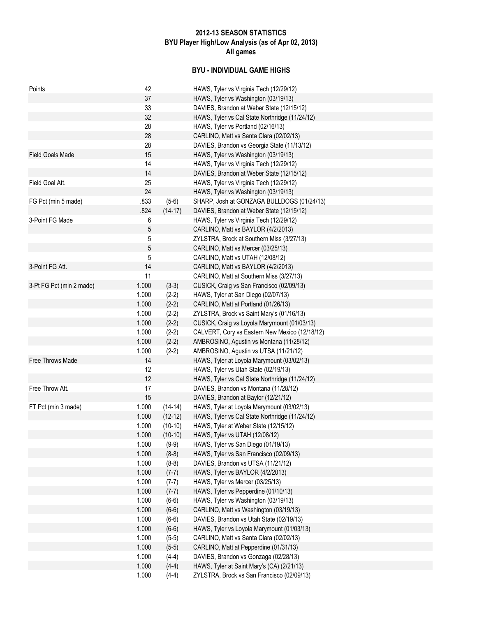# 2012-13 SEASON STATISTICS BYU Player High/Low Analysis (as of Apr 02, 2013) All games

# BYU - INDIVIDUAL GAME HIGHS

| 37<br>HAWS, Tyler vs Washington (03/19/13)<br>33<br>DAVIES, Brandon at Weber State (12/15/12)<br>32<br>HAWS, Tyler vs Cal State Northridge (11/24/12)<br>28<br>HAWS, Tyler vs Portland (02/16/13)<br>28<br>CARLINO, Matt vs Santa Clara (02/02/13)<br>28<br>DAVIES, Brandon vs Georgia State (11/13/12)<br><b>Field Goals Made</b><br>15<br>HAWS, Tyler vs Washington (03/19/13)<br>14<br>HAWS, Tyler vs Virginia Tech (12/29/12)<br>14<br>DAVIES, Brandon at Weber State (12/15/12)<br>Field Goal Att.<br>25<br>HAWS, Tyler vs Virginia Tech (12/29/12)<br>24<br>HAWS, Tyler vs Washington (03/19/13)<br>.833<br>SHARP, Josh at GONZAGA BULLDOGS (01/24/13)<br>FG Pct (min 5 made)<br>$(5-6)$<br>.824<br>$(14-17)$<br>DAVIES, Brandon at Weber State (12/15/12)<br>3-Point FG Made<br>6<br>HAWS, Tyler vs Virginia Tech (12/29/12)<br>5<br>CARLINO, Matt vs BAYLOR (4/2/2013)<br>5<br>ZYLSTRA, Brock at Southern Miss (3/27/13)<br>5<br>CARLINO, Matt vs Mercer (03/25/13)<br>5<br>CARLINO, Matt vs UTAH (12/08/12)<br>3-Point FG Att.<br>14<br>CARLINO, Matt vs BAYLOR (4/2/2013) |  |
|-------------------------------------------------------------------------------------------------------------------------------------------------------------------------------------------------------------------------------------------------------------------------------------------------------------------------------------------------------------------------------------------------------------------------------------------------------------------------------------------------------------------------------------------------------------------------------------------------------------------------------------------------------------------------------------------------------------------------------------------------------------------------------------------------------------------------------------------------------------------------------------------------------------------------------------------------------------------------------------------------------------------------------------------------------------------------------------|--|
|                                                                                                                                                                                                                                                                                                                                                                                                                                                                                                                                                                                                                                                                                                                                                                                                                                                                                                                                                                                                                                                                                     |  |
|                                                                                                                                                                                                                                                                                                                                                                                                                                                                                                                                                                                                                                                                                                                                                                                                                                                                                                                                                                                                                                                                                     |  |
|                                                                                                                                                                                                                                                                                                                                                                                                                                                                                                                                                                                                                                                                                                                                                                                                                                                                                                                                                                                                                                                                                     |  |
|                                                                                                                                                                                                                                                                                                                                                                                                                                                                                                                                                                                                                                                                                                                                                                                                                                                                                                                                                                                                                                                                                     |  |
|                                                                                                                                                                                                                                                                                                                                                                                                                                                                                                                                                                                                                                                                                                                                                                                                                                                                                                                                                                                                                                                                                     |  |
|                                                                                                                                                                                                                                                                                                                                                                                                                                                                                                                                                                                                                                                                                                                                                                                                                                                                                                                                                                                                                                                                                     |  |
|                                                                                                                                                                                                                                                                                                                                                                                                                                                                                                                                                                                                                                                                                                                                                                                                                                                                                                                                                                                                                                                                                     |  |
|                                                                                                                                                                                                                                                                                                                                                                                                                                                                                                                                                                                                                                                                                                                                                                                                                                                                                                                                                                                                                                                                                     |  |
|                                                                                                                                                                                                                                                                                                                                                                                                                                                                                                                                                                                                                                                                                                                                                                                                                                                                                                                                                                                                                                                                                     |  |
|                                                                                                                                                                                                                                                                                                                                                                                                                                                                                                                                                                                                                                                                                                                                                                                                                                                                                                                                                                                                                                                                                     |  |
|                                                                                                                                                                                                                                                                                                                                                                                                                                                                                                                                                                                                                                                                                                                                                                                                                                                                                                                                                                                                                                                                                     |  |
|                                                                                                                                                                                                                                                                                                                                                                                                                                                                                                                                                                                                                                                                                                                                                                                                                                                                                                                                                                                                                                                                                     |  |
|                                                                                                                                                                                                                                                                                                                                                                                                                                                                                                                                                                                                                                                                                                                                                                                                                                                                                                                                                                                                                                                                                     |  |
|                                                                                                                                                                                                                                                                                                                                                                                                                                                                                                                                                                                                                                                                                                                                                                                                                                                                                                                                                                                                                                                                                     |  |
|                                                                                                                                                                                                                                                                                                                                                                                                                                                                                                                                                                                                                                                                                                                                                                                                                                                                                                                                                                                                                                                                                     |  |
|                                                                                                                                                                                                                                                                                                                                                                                                                                                                                                                                                                                                                                                                                                                                                                                                                                                                                                                                                                                                                                                                                     |  |
|                                                                                                                                                                                                                                                                                                                                                                                                                                                                                                                                                                                                                                                                                                                                                                                                                                                                                                                                                                                                                                                                                     |  |
|                                                                                                                                                                                                                                                                                                                                                                                                                                                                                                                                                                                                                                                                                                                                                                                                                                                                                                                                                                                                                                                                                     |  |
|                                                                                                                                                                                                                                                                                                                                                                                                                                                                                                                                                                                                                                                                                                                                                                                                                                                                                                                                                                                                                                                                                     |  |
| 11<br>CARLINO, Matt at Southern Miss (3/27/13)                                                                                                                                                                                                                                                                                                                                                                                                                                                                                                                                                                                                                                                                                                                                                                                                                                                                                                                                                                                                                                      |  |
| 1.000<br>3-Pt FG Pct (min 2 made)<br>$(3-3)$<br>CUSICK, Craig vs San Francisco (02/09/13)                                                                                                                                                                                                                                                                                                                                                                                                                                                                                                                                                                                                                                                                                                                                                                                                                                                                                                                                                                                           |  |
| 1.000<br>HAWS, Tyler at San Diego (02/07/13)<br>$(2-2)$                                                                                                                                                                                                                                                                                                                                                                                                                                                                                                                                                                                                                                                                                                                                                                                                                                                                                                                                                                                                                             |  |
| 1.000<br>CARLINO, Matt at Portland (01/26/13)<br>$(2-2)$                                                                                                                                                                                                                                                                                                                                                                                                                                                                                                                                                                                                                                                                                                                                                                                                                                                                                                                                                                                                                            |  |
| 1.000<br>$(2-2)$<br>ZYLSTRA, Brock vs Saint Mary's (01/16/13)                                                                                                                                                                                                                                                                                                                                                                                                                                                                                                                                                                                                                                                                                                                                                                                                                                                                                                                                                                                                                       |  |
| 1.000<br>CUSICK, Craig vs Loyola Marymount (01/03/13)<br>$(2-2)$                                                                                                                                                                                                                                                                                                                                                                                                                                                                                                                                                                                                                                                                                                                                                                                                                                                                                                                                                                                                                    |  |
| 1.000<br>$(2-2)$<br>CALVERT, Cory vs Eastern New Mexico (12/18/12)                                                                                                                                                                                                                                                                                                                                                                                                                                                                                                                                                                                                                                                                                                                                                                                                                                                                                                                                                                                                                  |  |
| 1.000<br>AMBROSINO, Agustin vs Montana (11/28/12)<br>$(2-2)$                                                                                                                                                                                                                                                                                                                                                                                                                                                                                                                                                                                                                                                                                                                                                                                                                                                                                                                                                                                                                        |  |
| 1.000<br>$(2-2)$<br>AMBROSINO, Agustin vs UTSA (11/21/12)                                                                                                                                                                                                                                                                                                                                                                                                                                                                                                                                                                                                                                                                                                                                                                                                                                                                                                                                                                                                                           |  |
| Free Throws Made<br>14<br>HAWS, Tyler at Loyola Marymount (03/02/13)                                                                                                                                                                                                                                                                                                                                                                                                                                                                                                                                                                                                                                                                                                                                                                                                                                                                                                                                                                                                                |  |
| 12<br>HAWS, Tyler vs Utah State (02/19/13)                                                                                                                                                                                                                                                                                                                                                                                                                                                                                                                                                                                                                                                                                                                                                                                                                                                                                                                                                                                                                                          |  |
| 12<br>HAWS, Tyler vs Cal State Northridge (11/24/12)                                                                                                                                                                                                                                                                                                                                                                                                                                                                                                                                                                                                                                                                                                                                                                                                                                                                                                                                                                                                                                |  |
| Free Throw Att.<br>17<br>DAVIES, Brandon vs Montana (11/28/12)                                                                                                                                                                                                                                                                                                                                                                                                                                                                                                                                                                                                                                                                                                                                                                                                                                                                                                                                                                                                                      |  |
| 15<br>DAVIES, Brandon at Baylor (12/21/12)                                                                                                                                                                                                                                                                                                                                                                                                                                                                                                                                                                                                                                                                                                                                                                                                                                                                                                                                                                                                                                          |  |
| FT Pct (min 3 made)<br>1.000<br>HAWS, Tyler at Loyola Marymount (03/02/13)<br>$(14-14)$                                                                                                                                                                                                                                                                                                                                                                                                                                                                                                                                                                                                                                                                                                                                                                                                                                                                                                                                                                                             |  |
| 1.000<br>HAWS, Tyler vs Cal State Northridge (11/24/12)<br>$(12-12)$                                                                                                                                                                                                                                                                                                                                                                                                                                                                                                                                                                                                                                                                                                                                                                                                                                                                                                                                                                                                                |  |
| 1.000<br>$(10-10)$<br>HAWS, Tyler at Weber State (12/15/12)                                                                                                                                                                                                                                                                                                                                                                                                                                                                                                                                                                                                                                                                                                                                                                                                                                                                                                                                                                                                                         |  |
| 1.000<br>$(10-10)$<br>HAWS, Tyler vs UTAH (12/08/12)                                                                                                                                                                                                                                                                                                                                                                                                                                                                                                                                                                                                                                                                                                                                                                                                                                                                                                                                                                                                                                |  |
| 1.000<br>$(9-9)$<br>HAWS, Tyler vs San Diego (01/19/13)                                                                                                                                                                                                                                                                                                                                                                                                                                                                                                                                                                                                                                                                                                                                                                                                                                                                                                                                                                                                                             |  |
| 1.000<br>$(8-8)$<br>HAWS, Tyler vs San Francisco (02/09/13)                                                                                                                                                                                                                                                                                                                                                                                                                                                                                                                                                                                                                                                                                                                                                                                                                                                                                                                                                                                                                         |  |
| 1.000<br>$(8-8)$<br>DAVIES, Brandon vs UTSA (11/21/12)                                                                                                                                                                                                                                                                                                                                                                                                                                                                                                                                                                                                                                                                                                                                                                                                                                                                                                                                                                                                                              |  |
| 1.000<br>HAWS, Tyler vs BAYLOR (4/2/2013)<br>$(7-7)$                                                                                                                                                                                                                                                                                                                                                                                                                                                                                                                                                                                                                                                                                                                                                                                                                                                                                                                                                                                                                                |  |
| 1.000<br>HAWS, Tyler vs Mercer (03/25/13)<br>$(7-7)$                                                                                                                                                                                                                                                                                                                                                                                                                                                                                                                                                                                                                                                                                                                                                                                                                                                                                                                                                                                                                                |  |
| 1.000<br>HAWS, Tyler vs Pepperdine (01/10/13)<br>$(7-7)$                                                                                                                                                                                                                                                                                                                                                                                                                                                                                                                                                                                                                                                                                                                                                                                                                                                                                                                                                                                                                            |  |
| HAWS, Tyler vs Washington (03/19/13)<br>1.000<br>$(6-6)$                                                                                                                                                                                                                                                                                                                                                                                                                                                                                                                                                                                                                                                                                                                                                                                                                                                                                                                                                                                                                            |  |
| 1.000<br>CARLINO, Matt vs Washington (03/19/13)<br>$(6-6)$                                                                                                                                                                                                                                                                                                                                                                                                                                                                                                                                                                                                                                                                                                                                                                                                                                                                                                                                                                                                                          |  |
| 1.000<br>$(6-6)$<br>DAVIES, Brandon vs Utah State (02/19/13)                                                                                                                                                                                                                                                                                                                                                                                                                                                                                                                                                                                                                                                                                                                                                                                                                                                                                                                                                                                                                        |  |
|                                                                                                                                                                                                                                                                                                                                                                                                                                                                                                                                                                                                                                                                                                                                                                                                                                                                                                                                                                                                                                                                                     |  |
|                                                                                                                                                                                                                                                                                                                                                                                                                                                                                                                                                                                                                                                                                                                                                                                                                                                                                                                                                                                                                                                                                     |  |
| 1.000<br>HAWS, Tyler vs Loyola Marymount (01/03/13)<br>$(6-6)$                                                                                                                                                                                                                                                                                                                                                                                                                                                                                                                                                                                                                                                                                                                                                                                                                                                                                                                                                                                                                      |  |
| 1.000<br>$(5-5)$<br>CARLINO, Matt vs Santa Clara (02/02/13)                                                                                                                                                                                                                                                                                                                                                                                                                                                                                                                                                                                                                                                                                                                                                                                                                                                                                                                                                                                                                         |  |
| 1.000<br>CARLINO, Matt at Pepperdine (01/31/13)<br>$(5-5)$                                                                                                                                                                                                                                                                                                                                                                                                                                                                                                                                                                                                                                                                                                                                                                                                                                                                                                                                                                                                                          |  |
| DAVIES, Brandon vs Gonzaga (02/28/13)<br>1.000<br>$(4-4)$<br>1.000<br>$(4-4)$<br>HAWS, Tyler at Saint Mary's (CA) (2/21/13)                                                                                                                                                                                                                                                                                                                                                                                                                                                                                                                                                                                                                                                                                                                                                                                                                                                                                                                                                         |  |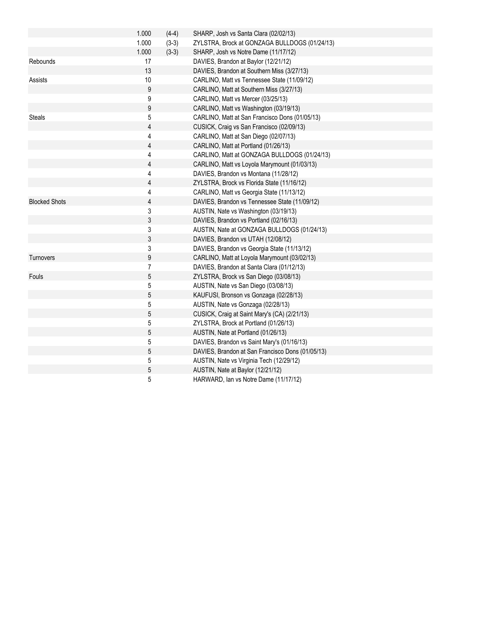|                      | 1.000          | $(4-4)$ | SHARP, Josh vs Santa Clara (02/02/13)            |
|----------------------|----------------|---------|--------------------------------------------------|
|                      | 1.000          | $(3-3)$ | ZYLSTRA, Brock at GONZAGA BULLDOGS (01/24/13)    |
|                      | 1.000          | $(3-3)$ | SHARP, Josh vs Notre Dame (11/17/12)             |
| Rebounds             | 17             |         | DAVIES, Brandon at Baylor (12/21/12)             |
|                      | 13             |         | DAVIES, Brandon at Southern Miss (3/27/13)       |
| Assists              | 10             |         | CARLINO, Matt vs Tennessee State (11/09/12)      |
|                      | 9              |         | CARLINO, Matt at Southern Miss (3/27/13)         |
|                      | 9              |         | CARLINO, Matt vs Mercer (03/25/13)               |
|                      | 9              |         | CARLINO, Matt vs Washington (03/19/13)           |
| <b>Steals</b>        | 5              |         | CARLINO, Matt at San Francisco Dons (01/05/13)   |
|                      | 4              |         | CUSICK, Craig vs San Francisco (02/09/13)        |
|                      | 4              |         | CARLINO, Matt at San Diego (02/07/13)            |
|                      | 4              |         | CARLINO, Matt at Portland (01/26/13)             |
|                      | 4              |         | CARLINO, Matt at GONZAGA BULLDOGS (01/24/13)     |
|                      | 4              |         | CARLINO, Matt vs Loyola Marymount (01/03/13)     |
|                      | 4              |         | DAVIES, Brandon vs Montana (11/28/12)            |
|                      | $\overline{4}$ |         | ZYLSTRA, Brock vs Florida State (11/16/12)       |
|                      | 4              |         | CARLINO, Matt vs Georgia State (11/13/12)        |
| <b>Blocked Shots</b> | 4              |         | DAVIES, Brandon vs Tennessee State (11/09/12)    |
|                      | 3              |         | AUSTIN, Nate vs Washington (03/19/13)            |
|                      | $\sqrt{3}$     |         | DAVIES, Brandon vs Portland (02/16/13)           |
|                      | 3              |         | AUSTIN, Nate at GONZAGA BULLDOGS (01/24/13)      |
|                      | 3              |         | DAVIES, Brandon vs UTAH (12/08/12)               |
|                      | 3              |         | DAVIES, Brandon vs Georgia State (11/13/12)      |
| Turnovers            | 9              |         | CARLINO, Matt at Loyola Marymount (03/02/13)     |
|                      | 7              |         | DAVIES, Brandon at Santa Clara (01/12/13)        |
| Fouls                | 5              |         | ZYLSTRA, Brock vs San Diego (03/08/13)           |
|                      | 5              |         | AUSTIN, Nate vs San Diego (03/08/13)             |
|                      | 5              |         | KAUFUSI, Bronson vs Gonzaga (02/28/13)           |
|                      | 5              |         | AUSTIN, Nate vs Gonzaga (02/28/13)               |
|                      | $\sqrt{5}$     |         | CUSICK, Craig at Saint Mary's (CA) (2/21/13)     |
|                      | 5              |         | ZYLSTRA, Brock at Portland (01/26/13)            |
|                      | $\sqrt{5}$     |         | AUSTIN, Nate at Portland (01/26/13)              |
|                      | 5              |         | DAVIES, Brandon vs Saint Mary's (01/16/13)       |
|                      | $\sqrt{5}$     |         | DAVIES, Brandon at San Francisco Dons (01/05/13) |
|                      | $\mathbf 5$    |         | AUSTIN, Nate vs Virginia Tech (12/29/12)         |
|                      | 5              |         | AUSTIN, Nate at Baylor (12/21/12)                |
|                      | 5              |         | HARWARD, Ian vs Notre Dame (11/17/12)            |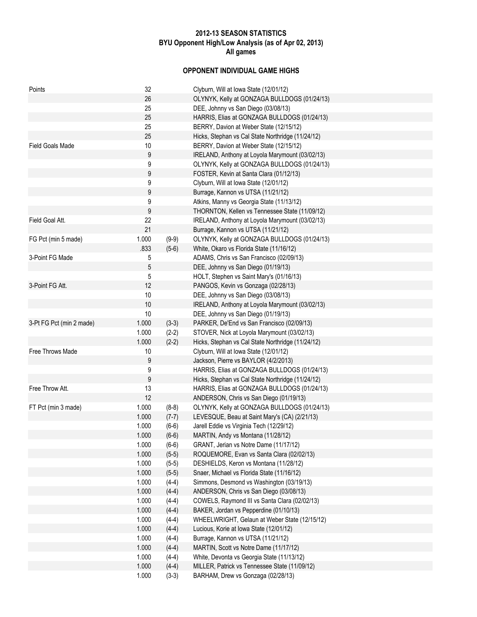# 2012-13 SEASON STATISTICS BYU Opponent High/Low Analysis (as of Apr 02, 2013) All games

# OPPONENT INDIVIDUAL GAME HIGHS

| Points                   | 32    |         | Clyburn, Will at Iowa State (12/01/12)                                                  |
|--------------------------|-------|---------|-----------------------------------------------------------------------------------------|
|                          | 26    |         | OLYNYK, Kelly at GONZAGA BULLDOGS (01/24/13)                                            |
|                          | 25    |         | DEE, Johnny vs San Diego (03/08/13)                                                     |
|                          | 25    |         | HARRIS, Elias at GONZAGA BULLDOGS (01/24/13)                                            |
|                          | 25    |         | BERRY, Davion at Weber State (12/15/12)                                                 |
|                          | 25    |         | Hicks, Stephan vs Cal State Northridge (11/24/12)                                       |
| Field Goals Made         | 10    |         | BERRY, Davion at Weber State (12/15/12)                                                 |
|                          | 9     |         | IRELAND, Anthony at Loyola Marymount (03/02/13)                                         |
|                          | 9     |         | OLYNYK, Kelly at GONZAGA BULLDOGS (01/24/13)                                            |
|                          | 9     |         | FOSTER, Kevin at Santa Clara (01/12/13)                                                 |
|                          | 9     |         | Clyburn, Will at Iowa State (12/01/12)                                                  |
|                          | 9     |         | Burrage, Kannon vs UTSA (11/21/12)                                                      |
|                          | 9     |         | Atkins, Manny vs Georgia State (11/13/12)                                               |
|                          | 9     |         | THORNTON, Kellen vs Tennessee State (11/09/12)                                          |
| Field Goal Att.          | 22    |         | IRELAND, Anthony at Loyola Marymount (03/02/13)                                         |
|                          | 21    |         | Burrage, Kannon vs UTSA (11/21/12)                                                      |
| FG Pct (min 5 made)      | 1.000 | $(9-9)$ | OLYNYK, Kelly at GONZAGA BULLDOGS (01/24/13)                                            |
|                          | .833  | $(5-6)$ | White, Okaro vs Florida State (11/16/12)                                                |
| 3-Point FG Made          | 5     |         | ADAMS, Chris vs San Francisco (02/09/13)                                                |
|                          | 5     |         | DEE, Johnny vs San Diego (01/19/13)                                                     |
|                          | 5     |         | HOLT, Stephen vs Saint Mary's (01/16/13)                                                |
| 3-Point FG Att.          | 12    |         | PANGOS, Kevin vs Gonzaga (02/28/13)                                                     |
|                          | 10    |         | DEE, Johnny vs San Diego (03/08/13)                                                     |
|                          | 10    |         | IRELAND, Anthony at Loyola Marymount (03/02/13)                                         |
|                          | $10$  |         | DEE, Johnny vs San Diego (01/19/13)                                                     |
| 3-Pt FG Pct (min 2 made) | 1.000 | $(3-3)$ | PARKER, De'End vs San Francisco (02/09/13)                                              |
|                          | 1.000 | $(2-2)$ | STOVER, Nick at Loyola Marymount (03/02/13)                                             |
|                          | 1.000 | $(2-2)$ | Hicks, Stephan vs Cal State Northridge (11/24/12)                                       |
| Free Throws Made         | 10    |         | Clyburn, Will at Iowa State (12/01/12)                                                  |
|                          | 9     |         | Jackson, Pierre vs BAYLOR (4/2/2013)                                                    |
|                          | 9     |         | HARRIS, Elias at GONZAGA BULLDOGS (01/24/13)                                            |
|                          |       |         |                                                                                         |
|                          | 9     |         | Hicks, Stephan vs Cal State Northridge (11/24/12)                                       |
| Free Throw Att.          | 13    |         | HARRIS, Elias at GONZAGA BULLDOGS (01/24/13)<br>ANDERSON, Chris vs San Diego (01/19/13) |
| FT Pct (min 3 made)      | 12    |         |                                                                                         |
|                          | 1.000 | $(8-8)$ | OLYNYK, Kelly at GONZAGA BULLDOGS (01/24/13)                                            |
|                          | 1.000 | $(7-7)$ | LEVESQUE, Beau at Saint Mary's (CA) (2/21/13)                                           |
|                          | 1.000 | $(6-6)$ | Jarell Eddie vs Virginia Tech (12/29/12)                                                |
|                          | 1.000 | $(6-6)$ | MARTIN, Andy vs Montana (11/28/12)                                                      |
|                          | 1.000 | $(6-6)$ | GRANT, Jerian vs Notre Dame (11/17/12)                                                  |
|                          | 1.000 | $(5-5)$ | ROQUEMORE, Evan vs Santa Clara (02/02/13)                                               |
|                          | 1.000 | $(5-5)$ | DESHIELDS, Keron vs Montana (11/28/12)                                                  |
|                          | 1.000 | $(5-5)$ | Snaer, Michael vs Florida State (11/16/12)                                              |
|                          | 1.000 | $(4-4)$ | Simmons, Desmond vs Washington (03/19/13)                                               |
|                          | 1.000 | $(4-4)$ | ANDERSON, Chris vs San Diego (03/08/13)                                                 |
|                          | 1.000 | $(4-4)$ | COWELS, Raymond III vs Santa Clara (02/02/13)                                           |
|                          | 1.000 | $(4-4)$ | BAKER, Jordan vs Pepperdine (01/10/13)                                                  |
|                          | 1.000 | $(4-4)$ | WHEELWRIGHT, Gelaun at Weber State (12/15/12)                                           |
|                          | 1.000 | $(4-4)$ | Lucious, Korie at Iowa State (12/01/12)                                                 |
|                          | 1.000 | $(4-4)$ | Burrage, Kannon vs UTSA (11/21/12)                                                      |
|                          | 1.000 | $(4-4)$ | MARTIN, Scott vs Notre Dame (11/17/12)                                                  |
|                          | 1.000 | $(4-4)$ | White, Devonta vs Georgia State (11/13/12)                                              |
|                          | 1.000 | $(4-4)$ | MILLER, Patrick vs Tennessee State (11/09/12)                                           |
|                          | 1.000 | $(3-3)$ | BARHAM, Drew vs Gonzaga (02/28/13)                                                      |